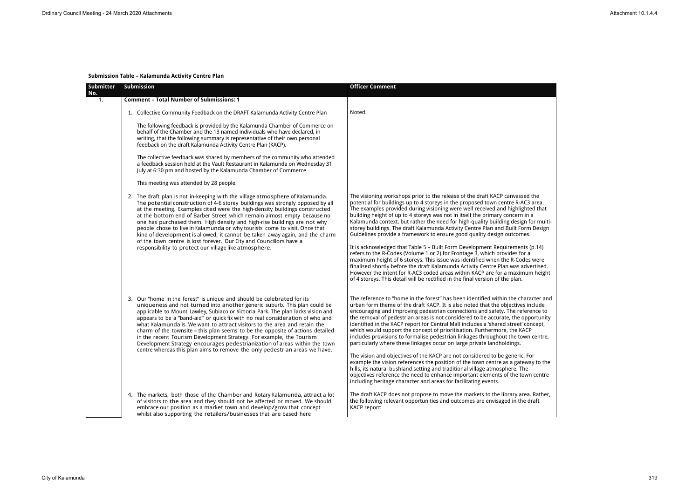# **Submission Table – Kalamunda Activity Centre Plan**

| Submitter<br>No. | Submission                                                                                                                                                                                                                                                                                                                                                                                                                                                                                                                                                                                                                                                                                                                 | <b>Officer Comment</b>                                                                                                                                                                                                                                                                                                                                                                                                                                                                                                                                                                                                                                                                                                                                                                                                                                                                                                                                                                                                                                                                      |
|------------------|----------------------------------------------------------------------------------------------------------------------------------------------------------------------------------------------------------------------------------------------------------------------------------------------------------------------------------------------------------------------------------------------------------------------------------------------------------------------------------------------------------------------------------------------------------------------------------------------------------------------------------------------------------------------------------------------------------------------------|---------------------------------------------------------------------------------------------------------------------------------------------------------------------------------------------------------------------------------------------------------------------------------------------------------------------------------------------------------------------------------------------------------------------------------------------------------------------------------------------------------------------------------------------------------------------------------------------------------------------------------------------------------------------------------------------------------------------------------------------------------------------------------------------------------------------------------------------------------------------------------------------------------------------------------------------------------------------------------------------------------------------------------------------------------------------------------------------|
| 1.               | <b>Comment - Total Number of Submissions: 1</b>                                                                                                                                                                                                                                                                                                                                                                                                                                                                                                                                                                                                                                                                            |                                                                                                                                                                                                                                                                                                                                                                                                                                                                                                                                                                                                                                                                                                                                                                                                                                                                                                                                                                                                                                                                                             |
|                  | 1. Collective Community Feedback on the DRAFT Kalamunda Activity Centre Plan                                                                                                                                                                                                                                                                                                                                                                                                                                                                                                                                                                                                                                               | Noted.                                                                                                                                                                                                                                                                                                                                                                                                                                                                                                                                                                                                                                                                                                                                                                                                                                                                                                                                                                                                                                                                                      |
|                  | The following feedback is provided by the Kalamunda Chamber of Commerce on<br>behalf of the Chamber and the 13 named individuals who have declared, in<br>writing, that the following summary is representative of their own personal<br>feedback on the draft Kalamunda Activity Centre Plan (KACP).                                                                                                                                                                                                                                                                                                                                                                                                                      |                                                                                                                                                                                                                                                                                                                                                                                                                                                                                                                                                                                                                                                                                                                                                                                                                                                                                                                                                                                                                                                                                             |
|                  | The collective feedback was shared by members of the community who attended<br>a feedback session held at the Vault Restaurant in Kalamunda on Wednesday 31<br>July at 6:30 pm and hosted by the Kalamunda Chamber of Commerce.                                                                                                                                                                                                                                                                                                                                                                                                                                                                                            |                                                                                                                                                                                                                                                                                                                                                                                                                                                                                                                                                                                                                                                                                                                                                                                                                                                                                                                                                                                                                                                                                             |
|                  | This meeting was attended by 28 people.                                                                                                                                                                                                                                                                                                                                                                                                                                                                                                                                                                                                                                                                                    |                                                                                                                                                                                                                                                                                                                                                                                                                                                                                                                                                                                                                                                                                                                                                                                                                                                                                                                                                                                                                                                                                             |
|                  | 2. The draft plan is not in-keeping with the village atmosphere of Kalamunda.<br>The potential construction of 4-6 storey buildings was strongly opposed by all<br>at the meeting. Examples cited were the high-density buildings constructed<br>at the bottom end of Barber Street which remain almost empty because no<br>one has purchased them. High density and high-rise buildings are not why<br>people chose to live in Kalamunda or why tourists come to visit. Once that<br>kind of development is allowed, it cannot be taken away again, and the charm<br>of the town centre is lost forever. Our City and Councillors have a<br>responsibility to protect our village like atmosphere.                        | The visioning workshops prior to the release of the draft KACP canvassed the<br>potential for buildings up to 4 storeys in the proposed town centre R-AC3 area.<br>The examples provided during visioning were well received and highlighted that<br>building height of up to 4 storeys was not in itself the primary concern in a<br>Kalamunda context, but rather the need for high-quality building design for multi-<br>storey buildings. The draft Kalamunda Activity Centre Plan and Built Form Design<br>Guidelines provide a framework to ensure good quality design outcomes.<br>It is acknowledged that Table 5 - Built Form Development Requirements (p.14)<br>refers to the R-Codes (Volume 1 or 2) for Frontage 3, which provides for a<br>maximum height of 6 storeys. This issue was identified when the R-Codes were<br>finalised shortly before the draft Kalamunda Activity Centre Plan was advertised.<br>However the intent for R-AC3 coded areas within KACP are for a maximum height<br>of 4 storeys. This detail will be rectified in the final version of the plan. |
|                  | 3. Our "home in the forest" is unique and should be celebrated for its<br>uniqueness and not turned into another generic suburb. This plan could be<br>applicable to Mount Lawley, Subiaco or Victoria Park. The plan lacks vision and<br>appears to be a "band-aid" or quick fix with no real consideration of who and<br>what Kalamunda is. We want to attract visitors to the area and retain the<br>charm of the townsite - this plan seems to be the opposite of actions detailed<br>in the recent Tourism Development Strategy. For example, the Tourism<br>Development Strategy encourages pedestrianization of areas within the town<br>centre whereas this plan aims to remove the only pedestrian areas we have. | The reference to "home in the forest" has been identified within the character and<br>urban form theme of the draft KACP. It is also noted that the objectives include<br>encouraging and improving pedestrian connections and safety. The reference to<br>the removal of pedestrian areas is not considered to be accurate, the opportunity<br>identified in the KACP report for Central Mall includes a 'shared street' concept,<br>which would support the concept of prioritisation. Furthermore, the KACP<br>includes provisions to formalise pedestrian linkages throughout the town centre,<br>particularly where these linkages occur on large private landholdings.<br>The vision and objectives of the KACP are not considered to be generic. For<br>example the vision references the position of the town centre as a gateway to the<br>hills, its natural bushland setting and traditional village atmosphere. The<br>objectives reference the need to enhance important elements of the town centre<br>including heritage character and areas for facilitating events.        |
|                  | 4. The markets, both those of the Chamber and Rotary Kalamunda, attract a lot<br>of visitors to the area and they should not be affected or moved. We should<br>embrace our position as a market town and develop/grow that concept<br>whilst also supporting the retailers/businesses that are based here                                                                                                                                                                                                                                                                                                                                                                                                                 | The draft KACP does not propose to move the markets to the library area. Rather,<br>the following relevant opportunities and outcomes are envisaged in the draft<br><b>KACP</b> report:                                                                                                                                                                                                                                                                                                                                                                                                                                                                                                                                                                                                                                                                                                                                                                                                                                                                                                     |

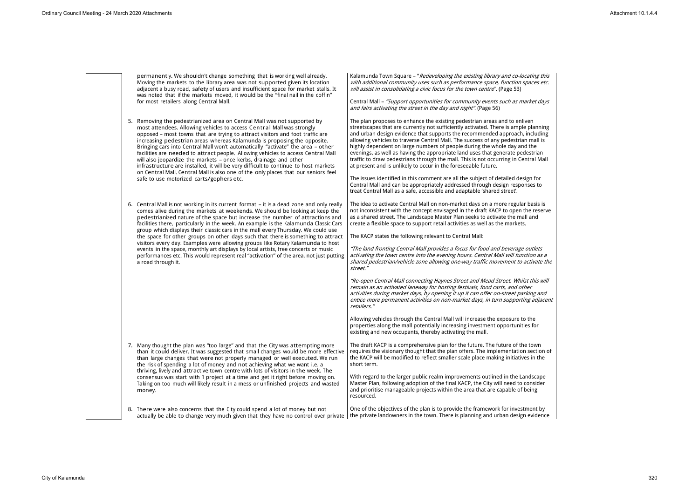permanently. We shouldn't change something that is working well already. Moving the markets to the library area was not supported given its location adjacent a busy road, safety of users and insufficient space for market stalls. It was noted that if the markets moved, it would be the "final nail in the coffin" for most retailers along Central Mall.

Kalamunda Town Square – "*Redeveloping the existing library and co-locating this with additional community uses such as performance space, function spaces etc. will assist in consolidating a civic focus for the town centre*". (Page 53)

Central Mall – *"Support opportunities for community events such as market days and fairs activating the street in the day and night"*. (Page 56)

5. Removing the pedestrianized area on Central Mall was not supported by most attendees. Allowing vehicles to access Central Mall was strongly opposed – most towns that are trying to attract visitors and foot traffic are increasing pedestrian areas whereas Kalamunda is proposing the opposite. Bringing cars into Central Mall won't automatically "activate" the area – other facilities are needed to attract people. Allowing vehicles to access Central Mall will also jeopardize the markets – once kerbs, drainage and other infrastructure are installed, it will be very difficult to continue to host markets on Central Mall. Central Mall is also one of the only places that our seniors feel safe to use motorized carts/gophers etc.

The plan proposes to enhance the existing pedestrian areas and to enliven streetscapes that are currently not sufficiently activated. There is ample planning and urban design evidence that supports the recommended approach, including allowing vehicles to traverse Central Mall. The success of any pedestrian mall is highly dependent on large numbers of people during the whole day and the evenings, as well as having the appropriate land uses that generate pedestrian traffic to draw pedestrians through the mall. This is not occurring in Central Mall at present and is unlikely to occur in the foreseeable future.

The issues identified in this comment are all the subject of detailed design for Central Mall and can be appropriately addressed through design responses to treat Central Mall as a safe, accessible and adaptable 'shared street'.

8. There were also concerns that the City could spend a lot of money but not actually be able to change very much given that they have no control over private  $|$  the private landowners in the town. There is planning and urban design evidence

6. Central Mall is not working in its current format – it is a dead zone and only really comes alive during the markets at weekends. We should be looking at keep the pedestrianized nature of the space but increase the number of attractions and facilities there, particularly in the week. An example is the Kalamunda Classic Cars group which displays their classic cars in the mall every Thursday. We could use the space for other groups on other days such that there is something to attract visitors every day. Examples were allowing groups like Rotary Kalamunda to host events in the space, monthly art displays by local artists, free concerts or music performances etc. This would represent real "activation" of the area, not just putting a road through it.

The idea to activate Central Mall on non-market days on a more regular basis is not inconsistent with the concept envisaged in the draft KACP to open the reserve as a shared street. The Landscape Master Plan seeks to activate the mall and create a flexible space to support retail activities as well as the markets.

The KACP states the following relevant to Central Mall:

*"The land fronting Central Mall provides a focus for food and beverage outlets activating the town centre into the evening hours. Central Mall will function as a shared pedestrian/vehicle zone allowing one-way traffic movement to activate the street."*

*"Re-open Central Mall connecting Haynes Street and Mead Street. Whilst this will remain as an activated laneway for hosting festivals, food carts, and other activities during market days, by opening it up it can offer on-street parking and entice more permanent activities on non-market days, in turn supporting adjacent retailers."* 

Allowing vehicles through the Central Mall will increase the exposure to the properties along the mall potentially increasing investment opportunities for existing and new occupants, thereby activating the mall.

7. Many thought the plan was "too large" and that the City was attempting more than it could deliver. It was suggested that small changes would be more effective than large changes that were not properly managed or well executed. We run the risk of spending a lot of money and not achieving what we want i.e. a thriving, lively and attractive town centre with lots of visitors in the week. The consensus was start with 1 project at a time and get it right before moving on. Taking on too much will likely result in a mess or unfinished projects and wasted money.

The draft KACP is a comprehensive plan for the future. The future of the town requires the visionary thought that the plan offers. The implementation section of the KACP will be modified to reflect smaller scale place making initiatives in the short term.

With regard to the larger public realm improvements outlined in the Landscape Master Plan, following adoption of the final KACP, the City will need to consider and prioritise manageable projects within the area that are capable of being resourced.

One of the objectives of the plan is to provide the framework for investment by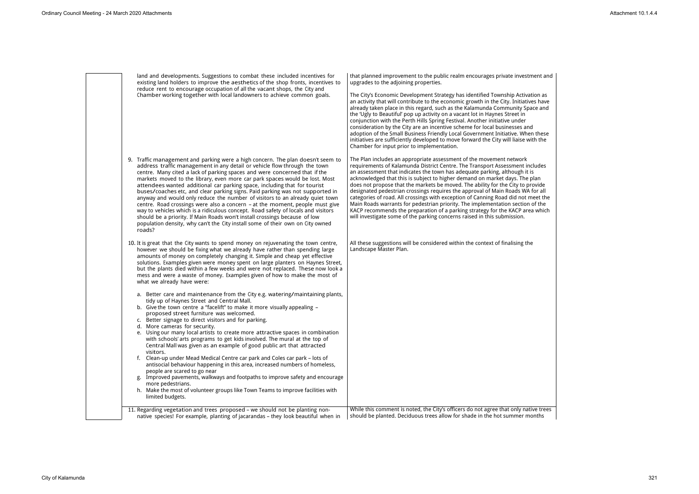land and developments. Suggestions to combat these included incentives for existing land holders to improve the aesthetics of the shop fronts, incentives to reduce rent to encourage occupation of all the vacant shops, the City and Chamber working together with local landowners to achieve common goals.

that planned improvement to the public realm encourages private invested that upgrades to the adjoining properties.

The City's Economic Development Strategy has identified Township Activ an activity that will contribute to the economic growth in the City. Initiat already taken place in this regard, such as the Kalamunda Community S the 'Ugly to Beautiful' pop up activity on a vacant lot in Haynes Street in conjunction with the Perth Hills Spring Festival. Another initiative under consideration by the City are an incentive scheme for local businesses a adoption of the Small Business Friendly Local Government Initiative. When the Small Business Friendly Local Government Initiative. initiatives are sufficiently developed to move forward the City will liaise Chamber for input prior to implementation.

The Plan includes an appropriate assessment of the movement network requirements of Kalamunda District Centre. The Transport Assessment in an assessment that indicates the town has adequate parking, although acknowledged that this is subject to higher demand on market days. The does not propose that the markets be moved. The ability for the City to designated pedestrian crossings requires the approval of Main Roads W categories of road. All crossings with exception of Canning Road did not Main Roads warrants for pedestrian priority. The implementation section KACP recommends the preparation of a parking strategy for the KACP area KACP will investigate some of the parking concerns raised in this submission.

All these suggestions will be considered within the context of finalising Landscape Master Plan.

11. Regarding vegetation and trees proposed – we should not be planting nonnative species! For example, planting of jacarandas – they look beautiful when in While this comment is noted, the City's officers do not agree that only native trees should be planted. Deciduous trees allow for shade in the hot summer

- 9. Traffic management and parking were a high concern. The plan doesn't seem to address traffic management in any detail or vehicle flow through the town centre. Many cited a lack of parking spaces and were concerned that if the markets moved to the library, even more car park spaces would be lost. Most attendees wanted additional car parking space, including that for tourist buses/coaches etc, and clear parking signs. Paid parking was not supported in anyway and would only reduce the number of visitors to an already quiet town centre. Road crossings were also a concern – at the moment, people must give way to vehicles which is a ridiculous concept. Road safety of locals and visitors should be a priority. If Main Roads won't install crossings because of low population density, why can't the City install some of their own on City owned roads?
- 10. It is great that the City wants to spend money on rejuvenating the town centre, however we should be fixing what we already have rather than spending large amounts of money on completely changing it. Simple and cheap yet effective solutions. Examples given were money spent on large planters on Haynes Street, but the plants died within a few weeks and were not replaced. These now look a mess and were a waste of money. Examples given of how to make the most of what we already have were:
	- a. Better care and maintenance from the City e.g. watering/maintaining plants, tidy up of Haynes Street and Central Mall.
	- b. Give the town centre a "facelift" to make it more visually appealing proposed street furniture was welcomed.
	- c. Better signage to direct visitors and for parking.
	- d. More cameras for security.
	- e. Using our many local artists to create more attractive spaces in combination with schools' arts programs to get kids involved. The mural at the top of Central Mall was given as an example of good public art that attracted visitors.
	- f. Clean-up under Mead Medical Centre car park and Coles car park lots of antisocial behaviour happening in this area, increased numbers of homeless, people are scared to go near
	- g. Improved pavements, walkways and footpaths to improve safety and encourage more pedestrians.
	- h. Make the most of volunteer groups like Town Teams to improve facilities with limited budgets.

| stment and                                                                                       |  |
|--------------------------------------------------------------------------------------------------|--|
| vation as<br>tives have<br>pace and                                                              |  |
| ınd<br>hen these<br>with the                                                                     |  |
| ¢<br>includes<br>it is<br>e plan<br>provide<br>A for all<br>t meet the<br>on of the<br>rea which |  |
| the                                                                                              |  |
|                                                                                                  |  |
|                                                                                                  |  |
|                                                                                                  |  |
|                                                                                                  |  |
| ative trees<br>months                                                                            |  |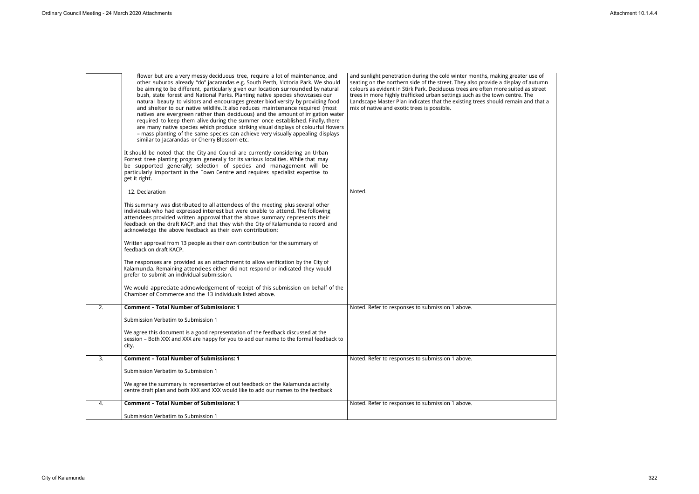| flower but are a very messy deciduous tree, require a lot of maintenance, and<br>other suburbs already "do" jacarandas e.g. South Perth, Victoria Park. We should<br>be aiming to be different, particularly given our location surrounded by natural<br>bush, state forest and National Parks. Planting native species showcases our<br>natural beauty to visitors and encourages greater biodiversity by providing food<br>and shelter to our native wildlife. It also reduces maintenance required (most<br>natives are evergreen rather than deciduous) and the amount of irrigation water<br>required to keep them alive during the summer once established. Finally, there<br>are many native species which produce striking visual displays of colourful flowers<br>- mass planting of the same species can achieve very visually appealing displays<br>similar to Jacarandas or Cherry Blossom etc.<br>It should be noted that the City and Council are currently considering an Urban<br>Forrest tree planting program generally for its various localities. While that may<br>be supported generally; selection of species and management will be<br>particularly important in the Town Centre and requires specialist expertise to<br>get it right. | and sunlight penetration during the cold winter months, making greater use of<br>seating on the northern side of the street. They also provide a display of autumn<br>colours as evident in Stirk Park. Deciduous trees are often more suited as street<br>trees in more highly trafficked urban settings such as the town centre. The<br>Landscape Master Plan indicates that the existing trees should remain and that a<br>mix of native and exotic trees is possible. |
|----------------------------------------------------------------------------------------------------------------------------------------------------------------------------------------------------------------------------------------------------------------------------------------------------------------------------------------------------------------------------------------------------------------------------------------------------------------------------------------------------------------------------------------------------------------------------------------------------------------------------------------------------------------------------------------------------------------------------------------------------------------------------------------------------------------------------------------------------------------------------------------------------------------------------------------------------------------------------------------------------------------------------------------------------------------------------------------------------------------------------------------------------------------------------------------------------------------------------------------------------------------|---------------------------------------------------------------------------------------------------------------------------------------------------------------------------------------------------------------------------------------------------------------------------------------------------------------------------------------------------------------------------------------------------------------------------------------------------------------------------|
| 12. Declaration                                                                                                                                                                                                                                                                                                                                                                                                                                                                                                                                                                                                                                                                                                                                                                                                                                                                                                                                                                                                                                                                                                                                                                                                                                                | Noted.                                                                                                                                                                                                                                                                                                                                                                                                                                                                    |
| This summary was distributed to all attendees of the meeting plus several other<br>individuals who had expressed interest but were unable to attend. The following<br>attendees provided written approval that the above summary represents their<br>feedback on the draft KACP, and that they wish the City of Kalamunda to record and<br>acknowledge the above feedback as their own contribution:                                                                                                                                                                                                                                                                                                                                                                                                                                                                                                                                                                                                                                                                                                                                                                                                                                                           |                                                                                                                                                                                                                                                                                                                                                                                                                                                                           |
| Written approval from 13 people as their own contribution for the summary of<br>feedback on draft KACP.                                                                                                                                                                                                                                                                                                                                                                                                                                                                                                                                                                                                                                                                                                                                                                                                                                                                                                                                                                                                                                                                                                                                                        |                                                                                                                                                                                                                                                                                                                                                                                                                                                                           |
| The responses are provided as an attachment to allow verification by the City of<br>Kalamunda. Remaining attendees either did not respond or indicated they would<br>prefer to submit an individual submission.                                                                                                                                                                                                                                                                                                                                                                                                                                                                                                                                                                                                                                                                                                                                                                                                                                                                                                                                                                                                                                                |                                                                                                                                                                                                                                                                                                                                                                                                                                                                           |
| We would appreciate acknowledgement of receipt of this submission on behalf of the<br>Chamber of Commerce and the 13 individuals listed above.                                                                                                                                                                                                                                                                                                                                                                                                                                                                                                                                                                                                                                                                                                                                                                                                                                                                                                                                                                                                                                                                                                                 |                                                                                                                                                                                                                                                                                                                                                                                                                                                                           |
| <b>Comment - Total Number of Submissions: 1</b>                                                                                                                                                                                                                                                                                                                                                                                                                                                                                                                                                                                                                                                                                                                                                                                                                                                                                                                                                                                                                                                                                                                                                                                                                | Noted. Refer to responses to submission 1 above.                                                                                                                                                                                                                                                                                                                                                                                                                          |
| Submission Verbatim to Submission 1                                                                                                                                                                                                                                                                                                                                                                                                                                                                                                                                                                                                                                                                                                                                                                                                                                                                                                                                                                                                                                                                                                                                                                                                                            |                                                                                                                                                                                                                                                                                                                                                                                                                                                                           |
| We agree this document is a good representation of the feedback discussed at the<br>session - Both XXX and XXX are happy for you to add our name to the formal feedback to<br>city.                                                                                                                                                                                                                                                                                                                                                                                                                                                                                                                                                                                                                                                                                                                                                                                                                                                                                                                                                                                                                                                                            |                                                                                                                                                                                                                                                                                                                                                                                                                                                                           |
| <b>Comment - Total Number of Submissions: 1</b>                                                                                                                                                                                                                                                                                                                                                                                                                                                                                                                                                                                                                                                                                                                                                                                                                                                                                                                                                                                                                                                                                                                                                                                                                | Noted. Refer to responses to submission 1 above.                                                                                                                                                                                                                                                                                                                                                                                                                          |
| Submission Verbatim to Submission 1                                                                                                                                                                                                                                                                                                                                                                                                                                                                                                                                                                                                                                                                                                                                                                                                                                                                                                                                                                                                                                                                                                                                                                                                                            |                                                                                                                                                                                                                                                                                                                                                                                                                                                                           |
| We agree the summary is representative of out feedback on the Kalamunda activity<br>centre draft plan and both XXX and XXX would like to add our names to the feedback                                                                                                                                                                                                                                                                                                                                                                                                                                                                                                                                                                                                                                                                                                                                                                                                                                                                                                                                                                                                                                                                                         |                                                                                                                                                                                                                                                                                                                                                                                                                                                                           |
| <b>Comment - Total Number of Submissions: 1</b>                                                                                                                                                                                                                                                                                                                                                                                                                                                                                                                                                                                                                                                                                                                                                                                                                                                                                                                                                                                                                                                                                                                                                                                                                | Noted. Refer to responses to submission 1 above.                                                                                                                                                                                                                                                                                                                                                                                                                          |
| Submission Verbatim to Submission 1                                                                                                                                                                                                                                                                                                                                                                                                                                                                                                                                                                                                                                                                                                                                                                                                                                                                                                                                                                                                                                                                                                                                                                                                                            |                                                                                                                                                                                                                                                                                                                                                                                                                                                                           |
|                                                                                                                                                                                                                                                                                                                                                                                                                                                                                                                                                                                                                                                                                                                                                                                                                                                                                                                                                                                                                                                                                                                                                                                                                                                                |                                                                                                                                                                                                                                                                                                                                                                                                                                                                           |

| autumn<br>s street |  |  |  |
|--------------------|--|--|--|
| ٦e<br>าd that a    |  |  |  |
|                    |  |  |  |
|                    |  |  |  |
|                    |  |  |  |
|                    |  |  |  |
|                    |  |  |  |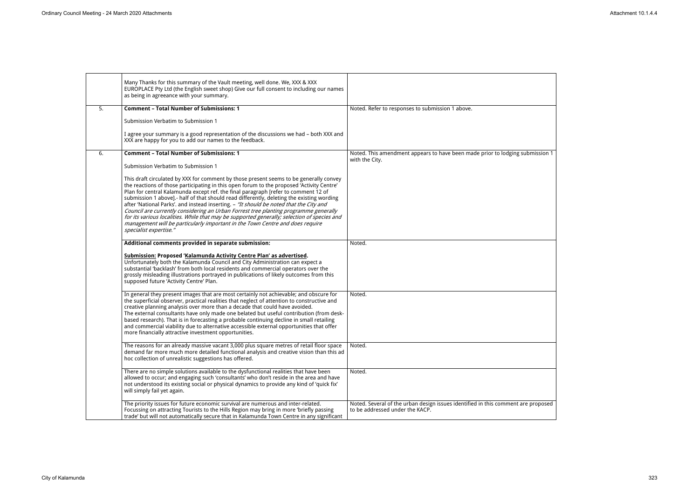|    | Many Thanks for this summary of the Vault meeting, well done. We, XXX & XXX<br>EUROPLACE Pty Ltd (the English sweet shop) Give our full consent to including our names<br>as being in agreeance with your summary.                                                                                                                                                                                                                                                                                                                                                                                                                                                                                                                                                 |                                                                                       |
|----|--------------------------------------------------------------------------------------------------------------------------------------------------------------------------------------------------------------------------------------------------------------------------------------------------------------------------------------------------------------------------------------------------------------------------------------------------------------------------------------------------------------------------------------------------------------------------------------------------------------------------------------------------------------------------------------------------------------------------------------------------------------------|---------------------------------------------------------------------------------------|
| 5. | <b>Comment - Total Number of Submissions: 1</b>                                                                                                                                                                                                                                                                                                                                                                                                                                                                                                                                                                                                                                                                                                                    | Noted. Refer to responses to submission 1 above.                                      |
|    | Submission Verbatim to Submission 1                                                                                                                                                                                                                                                                                                                                                                                                                                                                                                                                                                                                                                                                                                                                |                                                                                       |
|    | I agree your summary is a good representation of the discussions we had - both XXX and<br>XXX are happy for you to add our names to the feedback.                                                                                                                                                                                                                                                                                                                                                                                                                                                                                                                                                                                                                  |                                                                                       |
| 6. | <b>Comment - Total Number of Submissions: 1</b>                                                                                                                                                                                                                                                                                                                                                                                                                                                                                                                                                                                                                                                                                                                    | Noted. This amendment appears to have been made prior to lodging su<br>with the City. |
|    | Submission Verbatim to Submission 1                                                                                                                                                                                                                                                                                                                                                                                                                                                                                                                                                                                                                                                                                                                                |                                                                                       |
|    | This draft circulated by XXX for comment by those present seems to be generally convey<br>the reactions of those participating in this open forum to the proposed 'Activity Centre'<br>Plan for central Kalamunda except ref. the final paragraph [refer to comment 12 of<br>submission 1 above].- half of that should read differently, deleting the existing wording<br>after 'National Parks'. and instead inserting. - "It should be noted that the City and<br>Council are currently considering an Urban Forrest tree planting programme generally<br>for its various localities. While that may be supported generally; selection of species and<br>management will be particularly important in the Town Centre and does require<br>specialist expertise." |                                                                                       |
|    | Additional comments provided in separate submission:                                                                                                                                                                                                                                                                                                                                                                                                                                                                                                                                                                                                                                                                                                               | Noted.                                                                                |
|    | Submission: Proposed 'Kalamunda Activity Centre Plan' as advertised.<br>Unfortunately both the Kalamunda Council and City Administration can expect a<br>substantial 'backlash' from both local residents and commercial operators over the<br>grossly misleading illustrations portrayed in publications of likely outcomes from this<br>supposed future 'Activity Centre' Plan.                                                                                                                                                                                                                                                                                                                                                                                  |                                                                                       |
|    | In general they present images that are most certainly not achievable; and obscure for<br>the superficial observer, practical realities that neglect of attention to constructive and<br>creative planning analysis over more than a decade that could have avoided.<br>The external consultants have only made one belated but useful contribution (from desk-<br>based research). That is in forecasting a probable continuing decline in small retailing<br>and commercial viability due to alternative accessible external opportunities that offer<br>more financially attractive investment opportunities.                                                                                                                                                   | Noted.                                                                                |
|    | The reasons for an already massive vacant 3,000 plus square metres of retail floor space<br>demand far more much more detailed functional analysis and creative vision than this ad<br>hoc collection of unrealistic suggestions has offered.                                                                                                                                                                                                                                                                                                                                                                                                                                                                                                                      | Noted.                                                                                |
|    | There are no simple solutions available to the dysfunctional realities that have been<br>allowed to occur; and engaging such 'consultants' who don't reside in the area and have<br>not understood its existing social or physical dynamics to provide any kind of 'quick fix'<br>will simply fail yet again.                                                                                                                                                                                                                                                                                                                                                                                                                                                      | Noted.                                                                                |
|    | The priority issues for future economic survival are numerous and inter-related.                                                                                                                                                                                                                                                                                                                                                                                                                                                                                                                                                                                                                                                                                   | Noted. Several of the urban design issues identified in this comment are              |
|    | Focussing on attracting Tourists to the Hills Region may bring in more 'briefly passing<br>trade' but will not automatically secure that in Kalamunda Town Centre in any significant                                                                                                                                                                                                                                                                                                                                                                                                                                                                                                                                                                               | to be addressed under the KACP.                                                       |

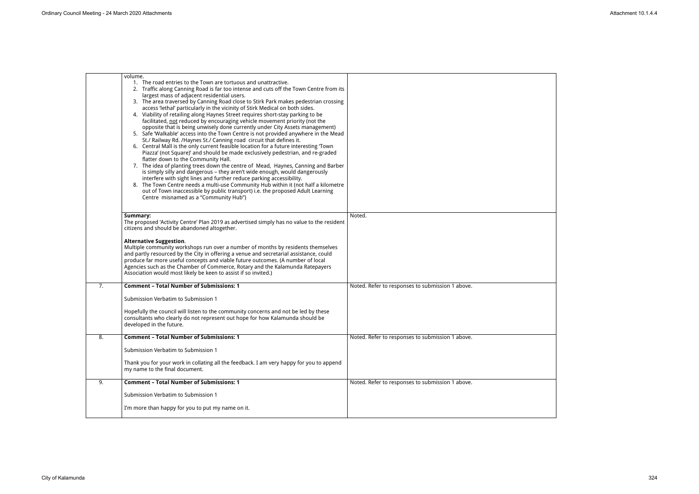|    | volume.<br>1. The road entries to the Town are tortuous and unattractive.<br>2. Traffic along Canning Road is far too intense and cuts off the Town Centre from its<br>largest mass of adjacent residential users.<br>3. The area traversed by Canning Road close to Stirk Park makes pedestrian crossing<br>access 'lethal' particularly in the vicinity of Stirk Medical on both sides.<br>4. Viability of retailing along Haynes Street requires short-stay parking to be<br>facilitated, not reduced by encouraging vehicle movement priority (not the<br>opposite that is being unwisely done currently under City Assets management)<br>5. Safe 'Walkable' access into the Town Centre is not provided anywhere in the Mead<br>St./ Railway Rd. /Haynes St./ Canning road circuit that defines it.<br>6. Central Mall is the only current feasible location for a future interesting Town<br>Piazza' (not Square)' and should be made exclusively pedestrian, and re-graded<br>flatter down to the Community Hall.<br>7. The idea of planting trees down the centre of Mead, Haynes, Canning and Barber<br>is simply silly and dangerous - they aren't wide enough, would dangerously<br>interfere with sight lines and further reduce parking accessibility.<br>8. The Town Centre needs a multi-use Community Hub within it (not half a kilometre<br>out of Town inaccessible by public transport) i.e. the proposed Adult Learning<br>Centre misnamed as a "Community Hub") |                                                  |
|----|--------------------------------------------------------------------------------------------------------------------------------------------------------------------------------------------------------------------------------------------------------------------------------------------------------------------------------------------------------------------------------------------------------------------------------------------------------------------------------------------------------------------------------------------------------------------------------------------------------------------------------------------------------------------------------------------------------------------------------------------------------------------------------------------------------------------------------------------------------------------------------------------------------------------------------------------------------------------------------------------------------------------------------------------------------------------------------------------------------------------------------------------------------------------------------------------------------------------------------------------------------------------------------------------------------------------------------------------------------------------------------------------------------------------------------------------------------------------------------------|--------------------------------------------------|
|    | Summary:<br>The proposed 'Activity Centre' Plan 2019 as advertised simply has no value to the resident<br>citizens and should be abandoned altogether.                                                                                                                                                                                                                                                                                                                                                                                                                                                                                                                                                                                                                                                                                                                                                                                                                                                                                                                                                                                                                                                                                                                                                                                                                                                                                                                               | Noted.                                           |
|    | <b>Alternative Suggestion.</b><br>Multiple community workshops run over a number of months by residents themselves<br>and partly resourced by the City in offering a venue and secretarial assistance, could<br>produce far more useful concepts and viable future outcomes. (A number of local<br>Agencies such as the Chamber of Commerce, Rotary and the Kalamunda Ratepayers<br>Association would most likely be keen to assist if so invited.)                                                                                                                                                                                                                                                                                                                                                                                                                                                                                                                                                                                                                                                                                                                                                                                                                                                                                                                                                                                                                                  |                                                  |
| 7. | <b>Comment - Total Number of Submissions: 1</b>                                                                                                                                                                                                                                                                                                                                                                                                                                                                                                                                                                                                                                                                                                                                                                                                                                                                                                                                                                                                                                                                                                                                                                                                                                                                                                                                                                                                                                      | Noted. Refer to responses to submission 1 above. |
|    | Submission Verbatim to Submission 1                                                                                                                                                                                                                                                                                                                                                                                                                                                                                                                                                                                                                                                                                                                                                                                                                                                                                                                                                                                                                                                                                                                                                                                                                                                                                                                                                                                                                                                  |                                                  |
|    | Hopefully the council will listen to the community concerns and not be led by these<br>consultants who clearly do not represent out hope for how Kalamunda should be<br>developed in the future.                                                                                                                                                                                                                                                                                                                                                                                                                                                                                                                                                                                                                                                                                                                                                                                                                                                                                                                                                                                                                                                                                                                                                                                                                                                                                     |                                                  |
| ୪. | <b>Comment - Total Number of Submissions: 1</b>                                                                                                                                                                                                                                                                                                                                                                                                                                                                                                                                                                                                                                                                                                                                                                                                                                                                                                                                                                                                                                                                                                                                                                                                                                                                                                                                                                                                                                      | Noted. Refer to responses to submission 1 above. |
|    | Submission Verbatim to Submission 1                                                                                                                                                                                                                                                                                                                                                                                                                                                                                                                                                                                                                                                                                                                                                                                                                                                                                                                                                                                                                                                                                                                                                                                                                                                                                                                                                                                                                                                  |                                                  |
|    | Thank you for your work in collating all the feedback. I am very happy for you to append<br>my name to the final document.                                                                                                                                                                                                                                                                                                                                                                                                                                                                                                                                                                                                                                                                                                                                                                                                                                                                                                                                                                                                                                                                                                                                                                                                                                                                                                                                                           |                                                  |
| 9. | <b>Comment - Total Number of Submissions: 1</b>                                                                                                                                                                                                                                                                                                                                                                                                                                                                                                                                                                                                                                                                                                                                                                                                                                                                                                                                                                                                                                                                                                                                                                                                                                                                                                                                                                                                                                      | Noted. Refer to responses to submission 1 above. |
|    | Submission Verbatim to Submission 1                                                                                                                                                                                                                                                                                                                                                                                                                                                                                                                                                                                                                                                                                                                                                                                                                                                                                                                                                                                                                                                                                                                                                                                                                                                                                                                                                                                                                                                  |                                                  |
|    | I'm more than happy for you to put my name on it.                                                                                                                                                                                                                                                                                                                                                                                                                                                                                                                                                                                                                                                                                                                                                                                                                                                                                                                                                                                                                                                                                                                                                                                                                                                                                                                                                                                                                                    |                                                  |

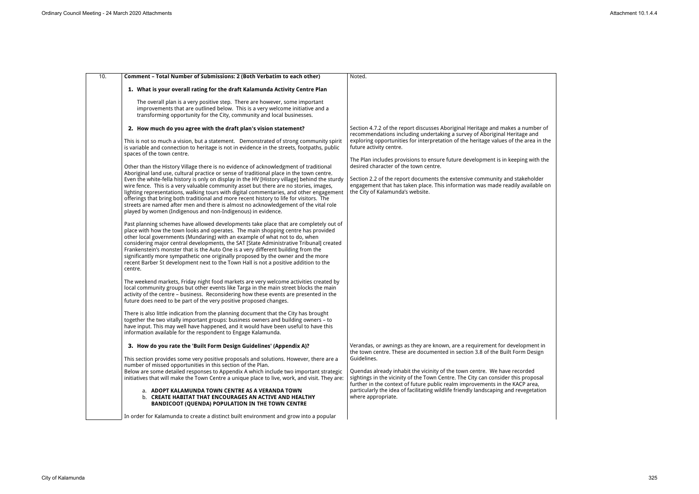| 10.<br>Comment - Total Number of Submissions: 2 (Both Verbatim to each other)                                                                                                                                                                                                                                                                                                                                                                                                                                                                                                                                                    | Noted.                                                                                                                                                                                                                                         |
|----------------------------------------------------------------------------------------------------------------------------------------------------------------------------------------------------------------------------------------------------------------------------------------------------------------------------------------------------------------------------------------------------------------------------------------------------------------------------------------------------------------------------------------------------------------------------------------------------------------------------------|------------------------------------------------------------------------------------------------------------------------------------------------------------------------------------------------------------------------------------------------|
| 1. What is your overall rating for the draft Kalamunda Activity Centre Plan                                                                                                                                                                                                                                                                                                                                                                                                                                                                                                                                                      |                                                                                                                                                                                                                                                |
| The overall plan is a very positive step. There are however, some important<br>improvements that are outlined below. This is a very welcome initiative and a<br>transforming opportunity for the City, community and local businesses.                                                                                                                                                                                                                                                                                                                                                                                           |                                                                                                                                                                                                                                                |
| 2. How much do you agree with the draft plan's vision statement?                                                                                                                                                                                                                                                                                                                                                                                                                                                                                                                                                                 | Section 4.7.2 of the report discusses Aboriginal Heritage and makes a number of<br>recommendations including undertaking a survey of Aboriginal Heritage and                                                                                   |
| This is not so much a vision, but a statement. Demonstrated of strong community spirit<br>is variable and connection to heritage is not in evidence in the streets, footpaths, public<br>spaces of the town centre.                                                                                                                                                                                                                                                                                                                                                                                                              | exploring opportunities for interpretation of the heritage values of the area in the<br>future activity centre.                                                                                                                                |
| Other than the History Village there is no evidence of acknowledgment of traditional                                                                                                                                                                                                                                                                                                                                                                                                                                                                                                                                             | The Plan includes provisions to ensure future development is in keeping with the<br>desired character of the town centre.                                                                                                                      |
| Aboriginal land use, cultural practice or sense of traditional place in the town centre.<br>Even the white-fella history is only on display in the HV [History village] behind the sturdy<br>wire fence. This is a very valuable community asset but there are no stories, images,<br>lighting representations, walking tours with digital commentaries, and other engagement<br>offerings that bring both traditional and more recent history to life for visitors. The<br>streets are named after men and there is almost no acknowledgement of the vital role<br>played by women (Indigenous and non-Indigenous) in evidence. | Section 2.2 of the report documents the extensive community and stakeholder<br>engagement that has taken place. This information was made readily available on<br>the City of Kalamunda's website.                                             |
| Past planning schemes have allowed developments take place that are completely out of<br>place with how the town looks and operates. The main shopping centre has provided<br>other local governments (Mundaring) with an example of what not to do, when<br>considering major central developments, the SAT [State Administrative Tribunal] created<br>Frankenstein's monster that is the Auto One is a very different building from the<br>significantly more sympathetic one originally proposed by the owner and the more<br>recent Barber St development next to the Town Hall is not a positive addition to the<br>centre. |                                                                                                                                                                                                                                                |
| The weekend markets, Friday night food markets are very welcome activities created by<br>local community groups but other events like Targa in the main street blocks the main<br>activity of the centre - business. Reconsidering how these events are presented in the<br>future does need to be part of the very positive proposed changes.                                                                                                                                                                                                                                                                                   |                                                                                                                                                                                                                                                |
| There is also little indication from the planning document that the City has brought<br>together the two vitally important groups: business owners and building owners - to<br>have input. This may well have happened, and it would have been useful to have this<br>information available for the respondent to Engage Kalamunda.                                                                                                                                                                                                                                                                                              |                                                                                                                                                                                                                                                |
| 3. How do you rate the 'Built Form Design Guidelines' (Appendix A)?                                                                                                                                                                                                                                                                                                                                                                                                                                                                                                                                                              | Verandas, or awnings as they are known, are a requirement for development in<br>the town centre. These are documented in section 3.8 of the Built Form Design                                                                                  |
| This section provides some very positive proposals and solutions. However, there are a<br>number of missed opportunities in this section of the Plan.                                                                                                                                                                                                                                                                                                                                                                                                                                                                            | Guidelines.                                                                                                                                                                                                                                    |
| Below are some detailed responses to Appendix A which include two important strategic<br>initiatives that will make the Town Centre a unique place to live, work, and visit. They are:                                                                                                                                                                                                                                                                                                                                                                                                                                           | Quendas already inhabit the vicinity of the town centre. We have recorded<br>sightings in the vicinity of the Town Centre. The City can consider this proposal<br>further in the context of future public realm improvements in the KACP area, |
| a. ADOPT KALAMUNDA TOWN CENTRE AS A VERANDA TOWN<br>b. CREATE HABITAT THAT ENCOURAGES AN ACTIVE AND HEALTHY<br><b>BANDICOOT (QUENDA) POPULATION IN THE TOWN CENTRE</b>                                                                                                                                                                                                                                                                                                                                                                                                                                                           | particularly the idea of facilitating wildlife friendly landscaping and revegetation<br>where appropriate.                                                                                                                                     |
| In order for Kalamunda to create a distinct built environment and grow into a popular                                                                                                                                                                                                                                                                                                                                                                                                                                                                                                                                            |                                                                                                                                                                                                                                                |

| number of<br>ge and       |
|---------------------------|
| $\frac{1}{2}$ area in the |
|                           |
| ng with the               |
|                           |
| keholder                  |
| available on              |
|                           |
|                           |
|                           |
|                           |
|                           |
|                           |
|                           |
|                           |
|                           |
|                           |
|                           |
|                           |
|                           |
|                           |
|                           |
|                           |
| pment in                  |
| .<br>n Design             |
|                           |
| rded                      |
| proposal                  |
| P area,<br>regetation     |
|                           |
|                           |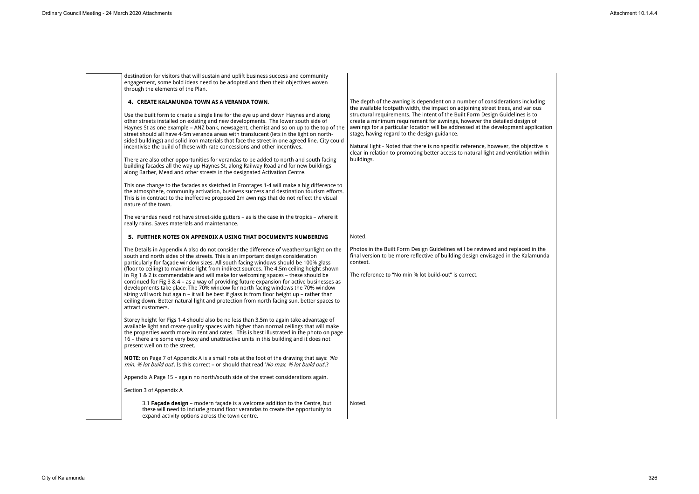destination for visitors that will sustain and uplift business success and community engagement, some bold ideas need to be adopted and then their objectives woven through the elements of the Plan.

### **4. CREATE KALAMUNDA TOWN AS A VERANDA TOWN**.

Use the built form to create a single line for the eye up and down Haynes and along other streets installed on existing and new developments. The lower south side of Haynes St as one example – ANZ bank, newsagent, chemist and so on up to the top of the street should all have 4-5m veranda areas with translucent (lets in the light on northsided buildings) and solid iron materials that face the street in one agreed line. City could incentivise the build of these with rate concessions and other incentives.

There are also other opportunities for verandas to be added to north and south facing building facades all the way up Haynes St, along Railway Road and for new buildings along Barber, Mead and other streets in the designated Activation Centre.

The depth of the awning is dependent on a number of considerations in the available footpath width, the impact on adjoining street trees, and various structural requirements. The intent of the Built Form Design Guidelines create a minimum requirement for awnings, however the detailed desig awnings for a particular location will be addressed at the development  $\vec{a}$ stage, having regard to the design guidance.

Natural light - Noted that there is no specific reference, however, the ob clear in relation to promoting better access to natural light and ventilation buildings.

This one change to the facades as sketched in Frontages 1-4 will make a big difference to the atmosphere, community activation, business success and destination tourism efforts. This is in contract to the ineffective proposed 2m awnings that do not reflect the visual nature of the town.

The verandas need not have street-side gutters – as is the case in the tropics – where it really rains. Saves materials and maintenance.

> Photos in the Built Form Design Guidelines will be reviewed and replace final version to be more reflective of building design envisaged in the Ka context.

# **5. FURTHER NOTES ON APPENDIX A USING THAT DOCUMENT'S NUMBERING**

The Details in Appendix A also do not consider the difference of weather/sunlight on the south and north sides of the streets. This is an important design consideration particularly for façade window sizes. All south facing windows should be 100% glass (floor to ceiling) to maximise light from indirect sources. The 4.5m ceiling height shown in Fig 1 & 2 is commendable and will make for welcoming spaces – these should be continued for Fig 3 & 4 – as a way of providing future expansion for active businesses as developments take place. The 70% window for north facing windows the 70% window sizing will work but again – it will be best if glass is from floor height up – rather than ceiling down. Better natural light and protection from north facing sun, better spaces to attract customers.

Storey height for Figs 1-4 should also be no less than 3.5m to again take advantage of available light and create quality spaces with higher than normal ceilings that will make the properties worth more in rent and rates. This is best illustrated in the photo on page 16 – there are some very boxy and unattractive units in this building and it does not present well on to the street.

**NOTE**: on Page 7 of Appendix A is a small note at the foot of the drawing that says: *'No min. % lot build out*'. Is this correct – or should that read '*No max. % lot build out*'.?

Appendix A Page 15 – again no north/south side of the street considerations again.

Section 3 of Appendix A

# Noted.

The reference to "No min % lot build-out" is correct.

3.1 **Façade design** – modern façade is a welcome addition to the Centre, but these will need to include ground floor verandas to create the opportunity to expand activity options across the town centre.

Noted.

| icluding<br>arious<br>is to<br><sub>รั</sub> ท of<br>application |  |  |
|------------------------------------------------------------------|--|--|
| pjective is<br>on within                                         |  |  |
|                                                                  |  |  |
|                                                                  |  |  |
| d in the<br>alamunda                                             |  |  |
|                                                                  |  |  |
|                                                                  |  |  |
|                                                                  |  |  |
|                                                                  |  |  |
|                                                                  |  |  |
|                                                                  |  |  |
|                                                                  |  |  |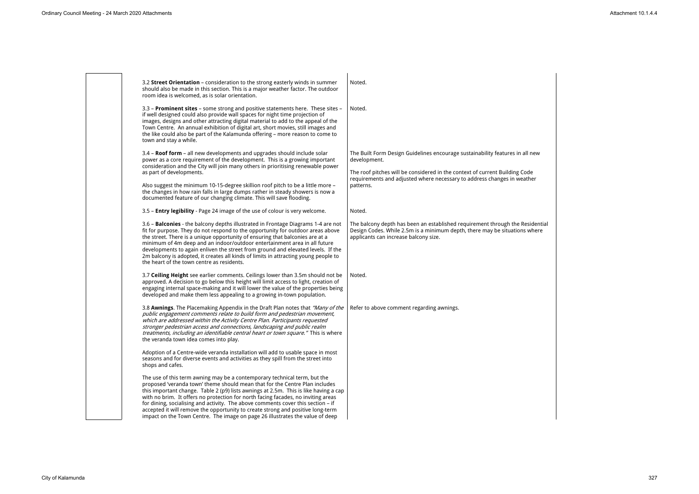

| I new               |  |  |
|---------------------|--|--|
| de<br>ther          |  |  |
|                     |  |  |
|                     |  |  |
| sidential:<br>where |  |  |
|                     |  |  |
|                     |  |  |
|                     |  |  |
|                     |  |  |
|                     |  |  |
|                     |  |  |
|                     |  |  |
|                     |  |  |
|                     |  |  |
|                     |  |  |
|                     |  |  |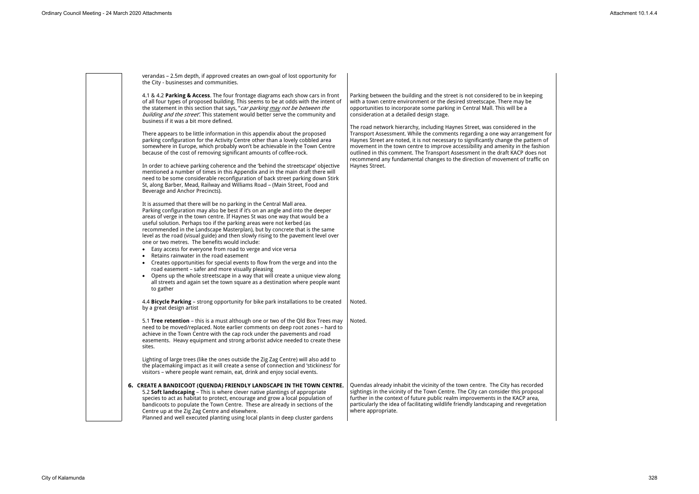verandas – 2.5m depth, if approved creates an own-goal of lost opportunity for the City - businesses and communities.

4.1 & 4.2 **Parking & Access**. The four frontage diagrams each show cars in front of all four types of proposed building. This seems to be at odds with the intent of the statement in this section that says, "*car parking may not be between the building and the street'*. This statement would better serve the community and business if it was a bit more defined.

There appears to be little information in this appendix about the proposed parking configuration for the Activity Centre other than a lovely cobbled area somewhere in Europe, which probably won't be achievable in the Town Centre because of the cost of removing significant amounts of coffee-rock.

In order to achieve parking coherence and the 'behind the streetscape' objective mentioned a number of times in this Appendix and in the main draft there will need to be some considerable reconfiguration of back street parking down Stirk St, along Barber, Mead, Railway and Williams Road – (Main Street, Food and Beverage and Anchor Precincts).

Parking between the building and the street is not considered to be in k with a town centre environment or the desired streetscape. There may opportunities to incorporate some parking in Central Mall. This will be a consideration at a detailed design stage.

It is assumed that there will be no parking in the Central Mall area. Parking configuration may also be best if it's on an angle and into the deeper areas of verge in the town centre. If Haynes St was one way that would be a useful solution. Perhaps too if the parking areas were not kerbed (as recommended in the Landscape Masterplan), but by concrete that is the same level as the road (visual guide) and then slowly rising to the pavement level over one or two metres. The benefits would include:

The road network hierarchy, including Haynes Street, was considered in Transport Assessment. While the comments regarding a one way arrangement Haynes Street are noted, it is not necessary to significantly change the patherman of movement in the town centre to improve accessibility and amenity in the outlined in this comment. The Transport Assessment in the draft KACP recommend any fundamental changes to the direction of movement of Haynes Street.

- Easy access for everyone from road to verge and vice versa
- Retains rainwater in the road easement
- Creates opportunities for special events to flow from the verge and into the road easement – safer and more visually pleasing
- Opens up the whole streetscape in a way that will create a unique view along all streets and again set the town square as a destination where people want to gather

Quendas already inhabit the vicinity of the town centre. The City has resightings in the vicinity of the Town Centre. The City can consider this proposed further in the context of future public realm improvements in the KACP particularly the idea of facilitating wildlife friendly landscaping and revegetation where appropriate.

4.4 **Bicycle Parking** – strong opportunity for bike park installations to be created by a great design artist Noted.

5.1 **Tree retention** – this is a must although one or two of the Qld Box Trees may need to be moved/replaced. Note earlier comments on deep root zones – hard to achieve in the Town Centre with the cap rock under the pavements and road easements. Heavy equipment and strong arborist advice needed to create these sites. Noted.

Lighting of large trees (like the ones outside the Zig Zag Centre) will also add to the placemaking impact as it will create a sense of connection and 'stickiness' for visitors – where people want remain, eat, drink and enjoy social events.

# **6. CREATE A BANDICOOT (QUENDA) FRIENDLY LANDSCAPE IN THE TOWN CENTRE.**

5.2 **Soft landscaping** – This is where clever native plantings of appropriate species to act as habitat to protect, encourage and grow a local population of bandicoots to populate the Town Centre. These are already in sections of the Centre up at the Zig Zag Centre and elsewhere.

Planned and well executed planting using local plants in deep cluster gardens

| ceping<br>be<br>E                                                       |  |
|-------------------------------------------------------------------------|--|
| າ the<br>gement for<br>attern of<br>e fashion<br>does not<br>traffic on |  |
|                                                                         |  |
|                                                                         |  |
|                                                                         |  |
|                                                                         |  |
|                                                                         |  |
|                                                                         |  |
| corded:                                                                 |  |
| roposal<br>area,                                                        |  |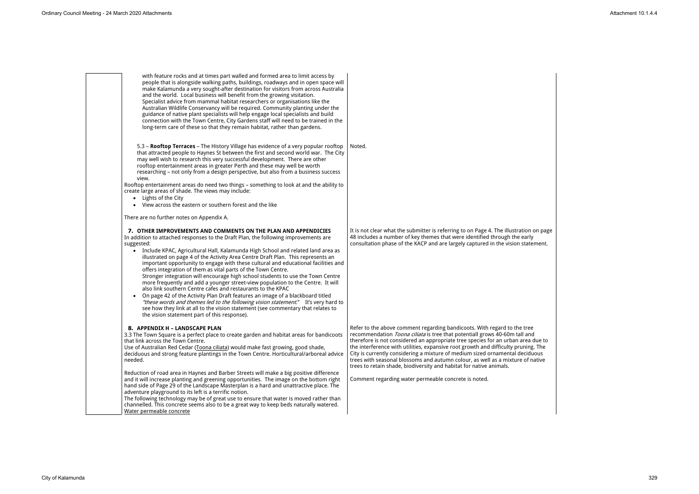

It is not clear what the submitter is referring to on Page 4. The illustration on page 48 includes a number of key themes that were identified through the early consultation phase of the KACP and are largely captured in the vision statement.

Refer to the above comment regarding bandicoots. With regard to the tree recommendation *Toona ciliata* is tree that potentiall grows 40-60m tall and therefore is not considered an appropriate tree species for an urban area due to the interference with utilities, expansive root growth and difficulty pruning. The City is currently considering a mixture of medium sized ornamental deciduous trees with seasonal blossoms and autumn colour, as well as a mixture of native trees to retain shade, biodiversity and habitat for native animals.

Comment regarding water permeable concrete is noted.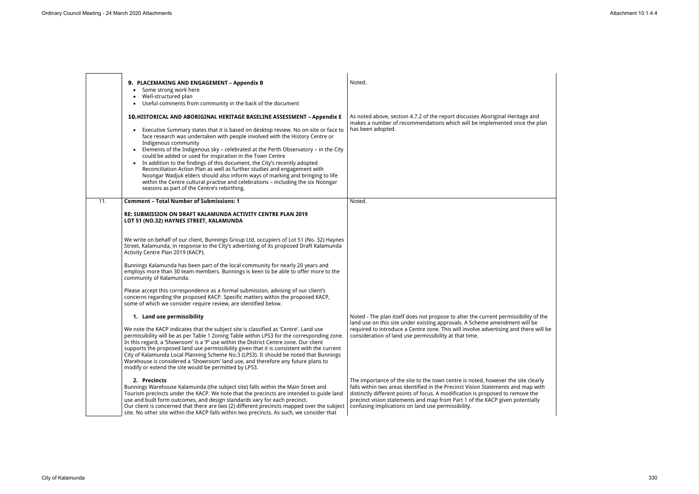|     | 9. PLACEMAKING AND ENGAGEMENT - Appendix B                                                                                                                                                                                                                                                                                                                                                                                                                                                                                                                                                                                                                                                                                      | Noted.                                                                                                                                                                                                                                                                                                                                                                                       |
|-----|---------------------------------------------------------------------------------------------------------------------------------------------------------------------------------------------------------------------------------------------------------------------------------------------------------------------------------------------------------------------------------------------------------------------------------------------------------------------------------------------------------------------------------------------------------------------------------------------------------------------------------------------------------------------------------------------------------------------------------|----------------------------------------------------------------------------------------------------------------------------------------------------------------------------------------------------------------------------------------------------------------------------------------------------------------------------------------------------------------------------------------------|
|     | • Some strong work here                                                                                                                                                                                                                                                                                                                                                                                                                                                                                                                                                                                                                                                                                                         |                                                                                                                                                                                                                                                                                                                                                                                              |
|     | Well-structured plan<br>Useful comments from community in the back of the document<br>$\bullet$                                                                                                                                                                                                                                                                                                                                                                                                                                                                                                                                                                                                                                 |                                                                                                                                                                                                                                                                                                                                                                                              |
|     | 10.HISTORICAL AND ABORIGINAL HERITAGE BASELINE ASSESSMENT - Appendix E                                                                                                                                                                                                                                                                                                                                                                                                                                                                                                                                                                                                                                                          | As noted above, section 4.7.2 of the report discusses Aboriginal Heritage and<br>makes a number of recommendations which will be implemented once the plan                                                                                                                                                                                                                                   |
|     | Executive Summary states that it is based on desktop review. No on-site or face to<br>face research was undertaken with people involved with the History Centre or<br>Indigenous community<br>• Elements of the Indigenous sky - celebrated at the Perth Observatory - in the City<br>could be added or used for inspiration in the Town Centre<br>• In addition to the findings of this document, the City's recently adopted<br>Reconciliation Action Plan as well as further studies and engagement with<br>Noongar Wadjuk elders should also inform ways of marking and bringing to life<br>within the Centre cultural practise and celebrations - including the six Noongar<br>seasons as part of the Centre's rebirthing. | has been adopted.                                                                                                                                                                                                                                                                                                                                                                            |
| 11. | <b>Comment - Total Number of Submissions: 1</b>                                                                                                                                                                                                                                                                                                                                                                                                                                                                                                                                                                                                                                                                                 | Noted.                                                                                                                                                                                                                                                                                                                                                                                       |
|     | RE: SUBMISSION ON DRAFT KALAMUNDA ACTIVITY CENTRE PLAN 2019<br>LOT 51 (NO.32) HAYNES STREET, KALAMUNDA                                                                                                                                                                                                                                                                                                                                                                                                                                                                                                                                                                                                                          |                                                                                                                                                                                                                                                                                                                                                                                              |
|     | We write on behalf of our client, Bunnings Group Ltd, occupiers of Lot 51 (No. 32) Haynes<br>Street, Kalamunda, in response to the City's advertising of its proposed Draft Kalamunda<br>Activity Centre Plan 2019 (KACP).                                                                                                                                                                                                                                                                                                                                                                                                                                                                                                      |                                                                                                                                                                                                                                                                                                                                                                                              |
|     | Bunnings Kalamunda has been part of the local community for nearly 20 years and<br>employs more than 30 team members. Bunnings is keen to be able to offer more to the<br>community of Kalamunda.                                                                                                                                                                                                                                                                                                                                                                                                                                                                                                                               |                                                                                                                                                                                                                                                                                                                                                                                              |
|     | Please accept this correspondence as a formal submission, advising of our client's<br>concerns regarding the proposed KACP. Specific matters within the proposed KACP,<br>some of which we consider require review, are identified below.                                                                                                                                                                                                                                                                                                                                                                                                                                                                                       |                                                                                                                                                                                                                                                                                                                                                                                              |
|     | 1. Land use permissibility                                                                                                                                                                                                                                                                                                                                                                                                                                                                                                                                                                                                                                                                                                      | Noted - The plan itself does not propose to alter the current permissibility of the<br>land use on this site under existing approvals. A Scheme amendment will be                                                                                                                                                                                                                            |
|     | We note the KACP indicates that the subject site is classified as 'Centre'. Land use<br>permissibility will be as per Table 1 Zoning Table within LPS3 for the corresponding zone.<br>In this regard, a 'Showroom' is a 'P' use within the District Centre zone. Our client<br>supports the proposed land use permissibility given that it is consistent with the current<br>City of Kalamunda Local Planning Scheme No.3 (LPS3). It should be noted that Bunnings<br>Warehouse is considered a 'Showroom' land use, and therefore any future plans to<br>modify or extend the site would be permitted by LPS3.                                                                                                                 | required to introduce a Centre zone. This will involve advertising and there will be<br>consideration of land use permissibility at that time.                                                                                                                                                                                                                                               |
|     | 2. Precincts<br>Bunnings Warehouse Kalamunda (the subject site) falls within the Main Street and<br>Tourism precincts under the KACP. We note that the precincts are intended to guide land<br>use and built form outcomes, and design standards vary for each precinct.<br>Our client is concerned that there are two (2) different precincts mapped over the subject<br>site. No other site within the KACP falls within two precincts. As such, we consider that                                                                                                                                                                                                                                                             | The importance of the site to the town centre is noted, however the site clearly<br>falls within two areas identified in the Precinct Vision Statements and map with<br>distinctly different points of focus. A modification is proposed to remove the<br>precinct vision statements and map from Part 1 of the KACP given potentially<br>confusing implications on land use permissibility. |

| e and<br>the plan                      |  |
|----------------------------------------|--|
|                                        |  |
| ity of the<br>II be<br>ere will be     |  |
| clearly<br>ap with<br>e the<br>itially |  |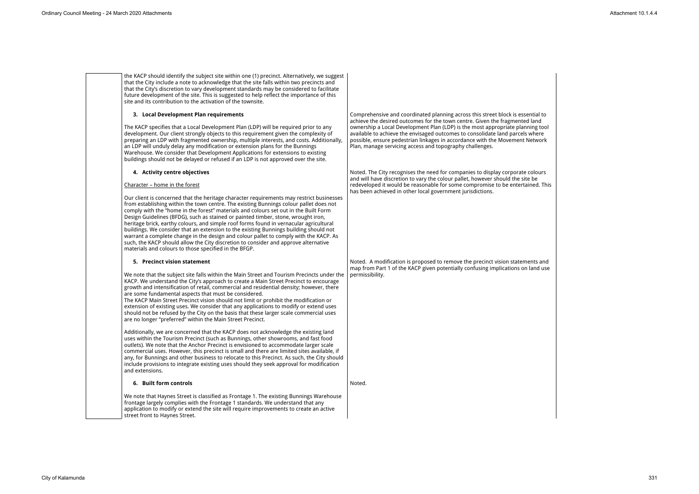the KACP should identify the subject site within one (1) precinct. Alternatively, we suggest that the City include a note to acknowledge that the site falls within two precincts and that the City's discretion to vary development standards may be considered to facilitate future development of the site. This is suggested to help reflect the importance of this site and its contribution to the activation of the townsite.

### **3. Local Development Plan requirements**

Comprehensive and coordinated planning across this street block is essential to achieve the desired outcomes for the town centre. Given the fragmente ownership a Local Development Plan (LDP) is the most appropriate plan available to achieve the envisaged outcomes to consolidate land parcels possible, ensure pedestrian linkages in accordance with the Movement Plan, manage servicing access and topography challenges.

The KACP specifies that a Local Development Plan (LDP) will be required prior to any development. Our client strongly objects to this requirement given the complexity of preparing an LDP with fragmented ownership, multiple interests, and costs. Additionally, an LDP will unduly delay any modification or extension plans for the Bunnings Warehouse. We consider that Development Applications for extensions to existing buildings should not be delayed or refused if an LDP is not approved over the site.

> Noted. The City recognises the need for companies to display corporate and will have discretion to vary the colour pallet, however should the sit redeveloped it would be reasonable for some compromise to be entertained. has been achieved in other local government jurisdictions.

# **4. Activity centre objectives**

# Character – home in the forest

Our client is concerned that the heritage character requirements may restrict businesses from establishing within the town centre. The existing Bunnings colour pallet does not comply with the "home in the forest" materials and colours set out in the Built Form Design Guidelines (BFDG), such as stained or painted timber, stone, wrought iron, heritage brick, earthy colours, and simple roof forms found in vernacular agricultural buildings. We consider that an extension to the existing Bunnings building should not warrant a complete change in the design and colour pallet to comply with the KACP. As such, the KACP should allow the City discretion to consider and approve alternative materials and colours to those specified in the BFGP.

> Noted. A modification is proposed to remove the precinct vision statem map from Part 1 of the KACP given potentially confusing implications on permissibility.

#### **5. Precinct vision statement**

We note that the subject site falls within the Main Street and Tourism Precincts under the KACP. We understand the City's approach to create a Main Street Precinct to encourage growth and intensification of retail, commercial and residential density; however, there are some fundamental aspects that must be considered.

The KACP Main Street Precinct vision should not limit or prohibit the modification or extension of existing uses. We consider that any applications to modify or extend uses should not be refused by the City on the basis that these larger scale commercial uses are no longer "preferred" within the Main Street Precinct.

Additionally, we are concerned that the KACP does not acknowledge the existing land uses within the Tourism Precinct (such as Bunnings, other showrooms, and fast food outlets). We note that the Anchor Precinct is envisioned to accommodate larger scale commercial uses. However, this precinct is small and there are limited sites available, if any, for Bunnings and other business to relocate to this Precinct. As such, the City should include provisions to integrate existing uses should they seek approval for modification and extensions.

#### **6. Built form controls**

We note that Haynes Street is classified as Frontage 1. The existing Bunnings Warehouse frontage largely complies with the Frontage 1 standards. We understand that any application to modify or extend the site will require improvements to create an active street front to Haynes Street.

Noted.

| sential to<br>d land<br>nning tool<br>s where<br>Network |  |  |  |
|----------------------------------------------------------|--|--|--|
| e colours<br>te be<br>ained. This                        |  |  |  |
|                                                          |  |  |  |
| nents and<br>n land use                                  |  |  |  |
|                                                          |  |  |  |
|                                                          |  |  |  |
|                                                          |  |  |  |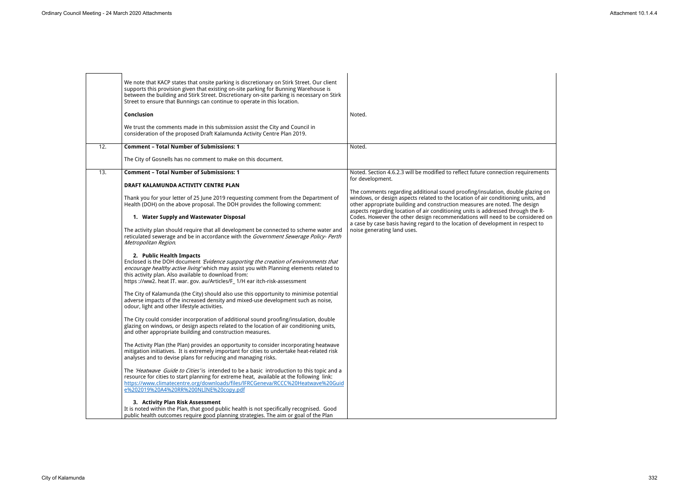|     | We note that KACP states that onsite parking is discretionary on Stirk Street. Our client<br>supports this provision given that existing on-site parking for Bunning Warehouse is<br>between the building and Stirk Street. Discretionary on-site parking is necessary on Stirk<br>Street to ensure that Bunnings can continue to operate in this location.<br>Conclusion | Noted.                                                                                                                                                                                                                                              |
|-----|---------------------------------------------------------------------------------------------------------------------------------------------------------------------------------------------------------------------------------------------------------------------------------------------------------------------------------------------------------------------------|-----------------------------------------------------------------------------------------------------------------------------------------------------------------------------------------------------------------------------------------------------|
|     | We trust the comments made in this submission assist the City and Council in<br>consideration of the proposed Draft Kalamunda Activity Centre Plan 2019.                                                                                                                                                                                                                  |                                                                                                                                                                                                                                                     |
| 12. | <b>Comment - Total Number of Submissions: 1</b>                                                                                                                                                                                                                                                                                                                           | Noted.                                                                                                                                                                                                                                              |
|     | The City of Gosnells has no comment to make on this document.                                                                                                                                                                                                                                                                                                             |                                                                                                                                                                                                                                                     |
| 13. | <b>Comment - Total Number of Submissions: 1</b>                                                                                                                                                                                                                                                                                                                           | Noted. Section 4.6.2.3 will be modified to reflect future connection requirements<br>for development.                                                                                                                                               |
|     | DRAFT KALAMUNDA ACTIVITY CENTRE PLAN                                                                                                                                                                                                                                                                                                                                      | The comments regarding additional sound proofing/insulation, double glazing on                                                                                                                                                                      |
|     | Thank you for your letter of 25 June 2019 requesting comment from the Department of<br>Health (DOH) on the above proposal. The DOH provides the following comment:                                                                                                                                                                                                        | windows, or design aspects related to the location of air conditioning units, and<br>other appropriate building and construction measures are noted. The design<br>aspects regarding location of air conditioning units is addressed through the R- |
|     | 1. Water Supply and Wastewater Disposal                                                                                                                                                                                                                                                                                                                                   | Codes. However the other design recommendations will need to be considered on<br>a case by case basis having regard to the location of development in respect to                                                                                    |
|     | The activity plan should require that all development be connected to scheme water and<br>reticulated sewerage and be in accordance with the Government Sewerage Policy- Perth<br>Metropolitan Region.                                                                                                                                                                    | noise generating land uses.                                                                                                                                                                                                                         |
|     | 2. Public Health Impacts<br>Enclosed is the DOH document 'Evidence supporting the creation of environments that<br>encourage healthy active living' which may assist you with Planning elements related to<br>this activity plan. Also available to download from:<br>https://ww2. heat IT. war. gov. au/Articles/F_1/H ear itch-risk-assessment                          |                                                                                                                                                                                                                                                     |
|     | The City of Kalamunda (the City) should also use this opportunity to minimise potential<br>adverse impacts of the increased density and mixed-use development such as noise,<br>odour, light and other lifestyle activities.                                                                                                                                              |                                                                                                                                                                                                                                                     |
|     | The City could consider incorporation of additional sound proofing/insulation, double<br>glazing on windows, or design aspects related to the location of air conditioning units,<br>and other appropriate building and construction measures.                                                                                                                            |                                                                                                                                                                                                                                                     |
|     | The Activity Plan (the Plan) provides an opportunity to consider incorporating heatwave<br>mitigation initiatives. It is extremely important for cities to undertake heat-related risk<br>analyses and to devise plans for reducing and managing risks.                                                                                                                   |                                                                                                                                                                                                                                                     |
|     | The 'Heatwave Guide to Cities' is intended to be a basic introduction to this topic and a<br>resource for cities to start planning for extreme heat, available at the following link:<br>https://www.climatecentre.org/downloads/files/lFRCGeneva/RCCC%20Heatwave%20Guid<br>e%202019%20A4%20RR%200NLINE%20copy.pdf                                                        |                                                                                                                                                                                                                                                     |
|     | 3. Activity Plan Risk Assessment<br>It is noted within the Plan, that good public health is not specifically recognised. Good<br>public health outcomes require good planning strategies. The aim or goal of the Plan                                                                                                                                                     |                                                                                                                                                                                                                                                     |

| quirements                                                                      |  |  |
|---------------------------------------------------------------------------------|--|--|
| e glazing on<br>units, and<br>design<br>igh the R-<br>pnsidered on<br>espect to |  |  |
|                                                                                 |  |  |
|                                                                                 |  |  |
|                                                                                 |  |  |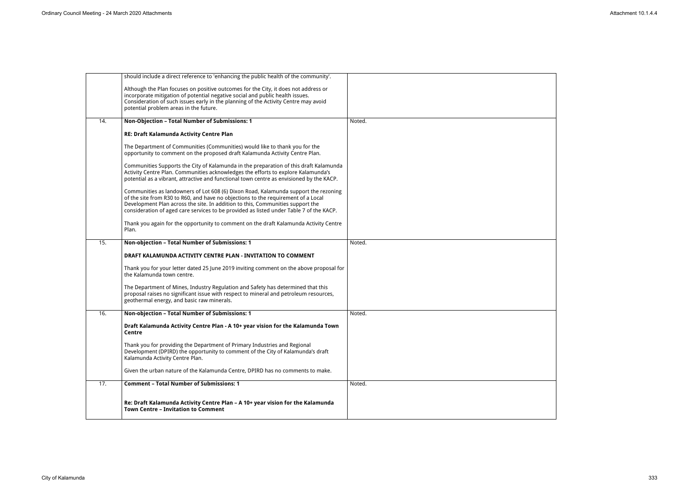|     | should include a direct reference to 'enhancing the public health of the community'.                                                                                                                                                                                                                                                                  |        |
|-----|-------------------------------------------------------------------------------------------------------------------------------------------------------------------------------------------------------------------------------------------------------------------------------------------------------------------------------------------------------|--------|
|     | Although the Plan focuses on positive outcomes for the City, it does not address or<br>incorporate mitigation of potential negative social and public health issues.<br>Consideration of such issues early in the planning of the Activity Centre may avoid<br>potential problem areas in the future.                                                 |        |
| 14. | Non-Objection - Total Number of Submissions: 1                                                                                                                                                                                                                                                                                                        | Noted. |
|     | RE: Draft Kalamunda Activity Centre Plan                                                                                                                                                                                                                                                                                                              |        |
|     | The Department of Communities (Communities) would like to thank you for the<br>opportunity to comment on the proposed draft Kalamunda Activity Centre Plan.                                                                                                                                                                                           |        |
|     | Communities Supports the City of Kalamunda in the preparation of this draft Kalamunda<br>Activity Centre Plan. Communities acknowledges the efforts to explore Kalamunda's<br>potential as a vibrant, attractive and functional town centre as envisioned by the KACP.                                                                                |        |
|     | Communities as landowners of Lot 608 (6) Dixon Road, Kalamunda support the rezoning<br>of the site from R30 to R60, and have no objections to the requirement of a Local<br>Development Plan across the site. In addition to this, Communities support the<br>consideration of aged care services to be provided as listed under Table 7 of the KACP. |        |
|     | Thank you again for the opportunity to comment on the draft Kalamunda Activity Centre<br>Plan.                                                                                                                                                                                                                                                        |        |
| 15. | Non-objection - Total Number of Submissions: 1                                                                                                                                                                                                                                                                                                        | Noted. |
|     | DRAFT KALAMUNDA ACTIVITY CENTRE PLAN - INVITATION TO COMMENT                                                                                                                                                                                                                                                                                          |        |
|     | Thank you for your letter dated 25 June 2019 inviting comment on the above proposal for<br>the Kalamunda town centre.                                                                                                                                                                                                                                 |        |
|     | The Department of Mines, Industry Regulation and Safety has determined that this<br>proposal raises no significant issue with respect to mineral and petroleum resources,<br>geothermal energy, and basic raw minerals.                                                                                                                               |        |
| 16. | Non-objection - Total Number of Submissions: 1                                                                                                                                                                                                                                                                                                        | Noted. |
|     | Draft Kalamunda Activity Centre Plan - A 10+ year vision for the Kalamunda Town<br><b>Centre</b>                                                                                                                                                                                                                                                      |        |
|     | Thank you for providing the Department of Primary Industries and Regional<br>Development (DPIRD) the opportunity to comment of the City of Kalamunda's draft<br>Kalamunda Activity Centre Plan.                                                                                                                                                       |        |
|     | Given the urban nature of the Kalamunda Centre, DPIRD has no comments to make.                                                                                                                                                                                                                                                                        |        |
| 17. | <b>Comment - Total Number of Submissions: 1</b>                                                                                                                                                                                                                                                                                                       | Noted. |
|     | Re: Draft Kalamunda Activity Centre Plan - A 10+ year vision for the Kalamunda<br><b>Town Centre - Invitation to Comment</b>                                                                                                                                                                                                                          |        |
|     |                                                                                                                                                                                                                                                                                                                                                       |        |

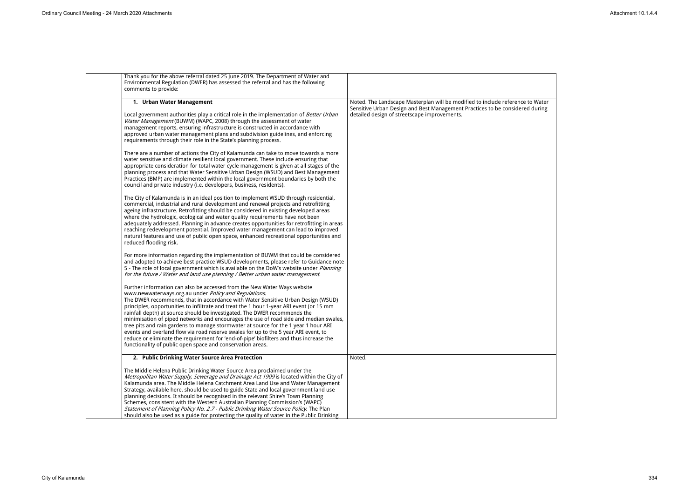| Thank you for the above referral dated 25 June 2019. The Department of Water and<br>Environmental Regulation (DWER) has assessed the referral and has the following<br>comments to provide:                                                                                                                                                                                                                                                                                                                                                                                                                                                                                                                                                                                                                                  |                                                                                                                                                                                                                |
|------------------------------------------------------------------------------------------------------------------------------------------------------------------------------------------------------------------------------------------------------------------------------------------------------------------------------------------------------------------------------------------------------------------------------------------------------------------------------------------------------------------------------------------------------------------------------------------------------------------------------------------------------------------------------------------------------------------------------------------------------------------------------------------------------------------------------|----------------------------------------------------------------------------------------------------------------------------------------------------------------------------------------------------------------|
| 1. Urban Water Management<br>Local government authorities play a critical role in the implementation of Better Urban<br>Water Management (BUWM) (WAPC, 2008) through the assessment of water<br>management reports, ensuring infrastructure is constructed in accordance with                                                                                                                                                                                                                                                                                                                                                                                                                                                                                                                                                | Noted. The Landscape Masterplan will be modified to include reference to Water<br>Sensitive Urban Design and Best Management Practices to be considered during<br>detailed design of streetscape improvements. |
| approved urban water management plans and subdivision guidelines, and enforcing<br>requirements through their role in the State's planning process.<br>There are a number of actions the City of Kalamunda can take to move towards a more                                                                                                                                                                                                                                                                                                                                                                                                                                                                                                                                                                                   |                                                                                                                                                                                                                |
| water sensitive and climate resilient local government. These include ensuring that<br>appropriate consideration for total water cycle management is given at all stages of the<br>planning process and that Water Sensitive Urban Design (WSUD) and Best Management<br>Practices (BMP) are implemented within the local government boundaries by both the<br>council and private industry (i.e. developers, business, residents).                                                                                                                                                                                                                                                                                                                                                                                           |                                                                                                                                                                                                                |
| The City of Kalamunda is in an ideal position to implement WSUD through residential,<br>commercial, industrial and rural development and renewal projects and retrofitting<br>ageing infrastructure. Retrofitting should be considered in existing developed areas<br>where the hydrologic, ecological and water quality requirements have not been<br>adequately addressed. Planning in advance creates opportunities for retrofitting in areas<br>reaching redevelopment potential. Improved water management can lead to improved<br>natural features and use of public open space, enhanced recreational opportunities and<br>reduced flooding risk.                                                                                                                                                                     |                                                                                                                                                                                                                |
| For more information regarding the implementation of BUWM that could be considered<br>and adopted to achieve best practice WSUD developments, please refer to Guidance note<br>5 - The role of local government which is available on the DoW's website under <i>Planning</i><br>for the future / Water and land use planning / Better urban water management.                                                                                                                                                                                                                                                                                                                                                                                                                                                               |                                                                                                                                                                                                                |
| Further information can also be accessed from the New Water Ways website<br>www.newwaterways.org.au under Policy and Regulations.<br>The DWER recommends, that in accordance with Water Sensitive Urban Design (WSUD)<br>principles, opportunities to infiltrate and treat the 1 hour 1-year ARI event (or 15 mm<br>rainfall depth) at source should be investigated. The DWER recommends the<br>minimisation of piped networks and encourages the use of road side and median swales,<br>tree pits and rain gardens to manage stormwater at source for the 1 year 1 hour ARI<br>events and overland flow via road reserve swales for up to the 5 year ARI event, to<br>reduce or eliminate the requirement for 'end-of-pipe' biofilters and thus increase the<br>functionality of public open space and conservation areas. |                                                                                                                                                                                                                |
| 2. Public Drinking Water Source Area Protection<br>The Middle Helena Public Drinking Water Source Area proclaimed under the<br>Metropolitan Water Supply, Sewerage and Drainage Act 1909 is located within the City of<br>Kalamunda area. The Middle Helena Catchment Area Land Use and Water Management<br>Strategy, available here, should be used to guide State and local government land use<br>planning decisions. It should be recognised in the relevant Shire's Town Planning<br>Schemes, consistent with the Western Australian Planning Commission's (WAPC)<br>Statement of Planning Policy No. 2.7 - Public Drinking Water Source Policy. The Plan<br>should also be used as a guide for protecting the quality of water in the Public Drinking                                                                  | Noted.                                                                                                                                                                                                         |

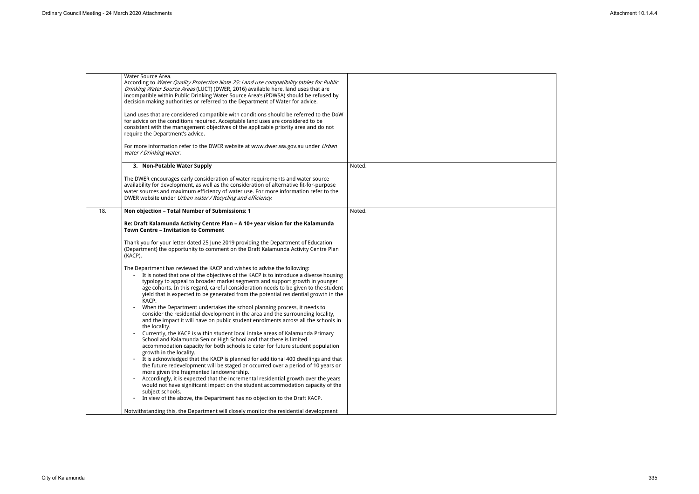|     | Water Source Area.<br>According to Water Quality Protection Note 25: Land use compatibility tables for Public<br>Drinking Water Source Areas (LUCT) (DWER, 2016) available here, land uses that are<br>incompatible within Public Drinking Water Source Area's (PDWSA) should be refused by<br>decision making authorities or referred to the Department of Water for advice.<br>Land uses that are considered compatible with conditions should be referred to the DoW<br>for advice on the conditions required. Acceptable land uses are considered to be<br>consistent with the management objectives of the applicable priority area and do not<br>require the Department's advice.<br>For more information refer to the DWER website at www.dwer.wa.gov.au under Urban |        |
|-----|-----------------------------------------------------------------------------------------------------------------------------------------------------------------------------------------------------------------------------------------------------------------------------------------------------------------------------------------------------------------------------------------------------------------------------------------------------------------------------------------------------------------------------------------------------------------------------------------------------------------------------------------------------------------------------------------------------------------------------------------------------------------------------|--------|
|     | water / Drinking water.                                                                                                                                                                                                                                                                                                                                                                                                                                                                                                                                                                                                                                                                                                                                                     |        |
|     | 3. Non-Potable Water Supply                                                                                                                                                                                                                                                                                                                                                                                                                                                                                                                                                                                                                                                                                                                                                 | Noted. |
|     | The DWER encourages early consideration of water requirements and water source<br>availability for development, as well as the consideration of alternative fit-for-purpose<br>water sources and maximum efficiency of water use. For more information refer to the<br>DWER website under Urban water / Recycling and efficiency.                                                                                                                                                                                                                                                                                                                                                                                                                                           |        |
| 18. | Non objection - Total Number of Submissions: 1                                                                                                                                                                                                                                                                                                                                                                                                                                                                                                                                                                                                                                                                                                                              | Noted. |
|     | Re: Draft Kalamunda Activity Centre Plan - A 10+ year vision for the Kalamunda<br><b>Town Centre - Invitation to Comment</b>                                                                                                                                                                                                                                                                                                                                                                                                                                                                                                                                                                                                                                                |        |
|     | Thank you for your letter dated 25 June 2019 providing the Department of Education<br>(Department) the opportunity to comment on the Draft Kalamunda Activity Centre Plan<br>(KACP).                                                                                                                                                                                                                                                                                                                                                                                                                                                                                                                                                                                        |        |
|     | The Department has reviewed the KACP and wishes to advise the following:<br>It is noted that one of the objectives of the KACP is to introduce a diverse housing<br>typology to appeal to broader market segments and support growth in younger<br>age cohorts. In this regard, careful consideration needs to be given to the student<br>yield that is expected to be generated from the potential residential growth in the<br>KACP.                                                                                                                                                                                                                                                                                                                                      |        |
|     | When the Department undertakes the school planning process, it needs to<br>$\overline{\phantom{a}}$<br>consider the residential development in the area and the surrounding locality,<br>and the impact it will have on public student enrolments across all the schools in<br>the locality.                                                                                                                                                                                                                                                                                                                                                                                                                                                                                |        |
|     | Currently, the KACP is within student local intake areas of Kalamunda Primary<br>School and Kalamunda Senior High School and that there is limited<br>accommodation capacity for both schools to cater for future student population<br>growth in the locality.                                                                                                                                                                                                                                                                                                                                                                                                                                                                                                             |        |
|     | It is acknowledged that the KACP is planned for additional 400 dwellings and that<br>the future redevelopment will be staged or occurred over a period of 10 years or<br>more given the fragmented landownership.                                                                                                                                                                                                                                                                                                                                                                                                                                                                                                                                                           |        |
|     | Accordingly, it is expected that the incremental residential growth over the years<br>$\overline{\phantom{a}}$<br>would not have significant impact on the student accommodation capacity of the<br>subject schools.                                                                                                                                                                                                                                                                                                                                                                                                                                                                                                                                                        |        |
|     | In view of the above, the Department has no objection to the Draft KACP.<br>$\overline{\phantom{a}}$                                                                                                                                                                                                                                                                                                                                                                                                                                                                                                                                                                                                                                                                        |        |
|     | Notwithstanding this, the Department will closely monitor the residential development                                                                                                                                                                                                                                                                                                                                                                                                                                                                                                                                                                                                                                                                                       |        |

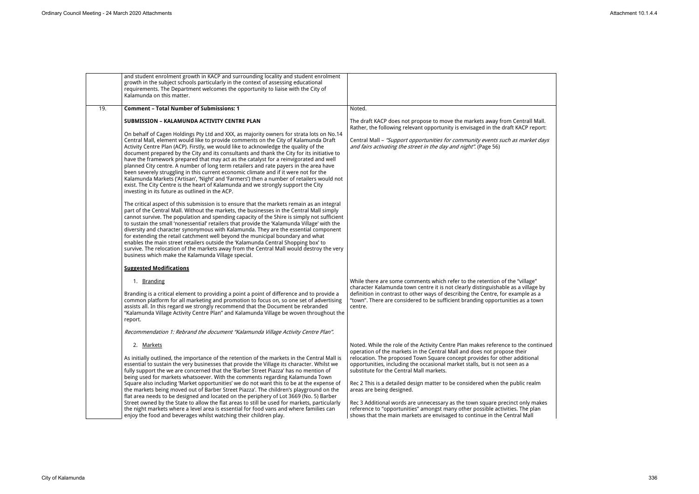|     | and student enrolment growth in KACP and surrounding locality and student enrolment<br>growth in the subject schools particularly in the context of assessing educational<br>requirements. The Department welcomes the opportunity to liaise with the City of<br>Kalamunda on this matter.                                                                                                                                                                                                                                                                                                                                                                                                                                                                                                                                                                                                                                                                                                                                                                                                                                                                                                                                                                                                                                                                                                                                                                                                                                                                                                                                                                                                                                                                                          |                                                                                                                                                                                                                                                                                                                                                                                                                                                                                                                                                                                                                                                                                                                                     |
|-----|-------------------------------------------------------------------------------------------------------------------------------------------------------------------------------------------------------------------------------------------------------------------------------------------------------------------------------------------------------------------------------------------------------------------------------------------------------------------------------------------------------------------------------------------------------------------------------------------------------------------------------------------------------------------------------------------------------------------------------------------------------------------------------------------------------------------------------------------------------------------------------------------------------------------------------------------------------------------------------------------------------------------------------------------------------------------------------------------------------------------------------------------------------------------------------------------------------------------------------------------------------------------------------------------------------------------------------------------------------------------------------------------------------------------------------------------------------------------------------------------------------------------------------------------------------------------------------------------------------------------------------------------------------------------------------------------------------------------------------------------------------------------------------------|-------------------------------------------------------------------------------------------------------------------------------------------------------------------------------------------------------------------------------------------------------------------------------------------------------------------------------------------------------------------------------------------------------------------------------------------------------------------------------------------------------------------------------------------------------------------------------------------------------------------------------------------------------------------------------------------------------------------------------------|
| 19. | <b>Comment - Total Number of Submissions: 1</b>                                                                                                                                                                                                                                                                                                                                                                                                                                                                                                                                                                                                                                                                                                                                                                                                                                                                                                                                                                                                                                                                                                                                                                                                                                                                                                                                                                                                                                                                                                                                                                                                                                                                                                                                     | Noted.                                                                                                                                                                                                                                                                                                                                                                                                                                                                                                                                                                                                                                                                                                                              |
|     | <b>SUBMISSION - KALAMUNDA ACTIVITY CENTRE PLAN</b><br>On behalf of Cagen Holdings Pty Ltd and XXX, as majority owners for strata lots on No.14<br>Central Mall, element would like to provide comments on the City of Kalamunda Draft<br>Activity Centre Plan (ACP). Firstly, we would like to acknowledge the quality of the<br>document prepared by the City and its consultants and thank the City for its initiative to<br>have the framework prepared that may act as the catalyst for a reinvigorated and well<br>planned City centre. A number of long term retailers and rate payers in the area have<br>been severely struggling in this current economic climate and if it were not for the<br>Kalamunda Markets ('Artisan', 'Night' and 'Farmers') then a number of retailers would not<br>exist. The City Centre is the heart of Kalamunda and we strongly support the City<br>investing in its future as outlined in the ACP.<br>The critical aspect of this submission is to ensure that the markets remain as an integral<br>part of the Central Mall. Without the markets, the businesses in the Central Mall simply<br>cannot survive. The population and spending capacity of the Shire is simply not sufficient<br>to sustain the small 'nonessential' retailers that provide the 'Kalamunda Village' with the<br>diversity and character synonymous with Kalamunda. They are the essential component<br>for extending the retail catchment well beyond the municipal boundary and what<br>enables the main street retailers outside the 'Kalamunda Central Shopping box' to<br>survive. The relocation of the markets away from the Central Mall would destroy the very<br>business which make the Kalamunda Village special.<br><b>Suggested Modifications</b> | The draft KACP does not propose to move the markets away from Centrall Mall.<br>Rather, the following relevant opportunity is envisaged in the draft KACP report:<br>Central Mall - "Support opportunities for community events such as market days<br>and fairs activating the street in the day and night". (Page 56)                                                                                                                                                                                                                                                                                                                                                                                                             |
|     | 1. Branding<br>Branding is a critical element to providing a point a point of difference and to provide a<br>common platform for all marketing and promotion to focus on, so one set of advertising<br>assists all. In this regard we strongly recommend that the Document be rebranded<br>"Kalamunda Village Activity Centre Plan" and Kalamunda Village be woven throughout the<br>report.<br>Recommendation 1: Rebrand the document "Kalamunda Village Activity Centre Plan".                                                                                                                                                                                                                                                                                                                                                                                                                                                                                                                                                                                                                                                                                                                                                                                                                                                                                                                                                                                                                                                                                                                                                                                                                                                                                                    | While there are some comments which refer to the retention of the "village"<br>character Kalamunda town centre it is not clearly distinguishable as a village by<br>definition in contrast to other ways of describing the Centre, for example as a<br>"town". There are considered to be sufficient branding opportunities as a town<br>centre.                                                                                                                                                                                                                                                                                                                                                                                    |
|     | 2. Markets<br>As initially outlined, the importance of the retention of the markets in the Central Mall is<br>essential to sustain the very businesses that provide the Village its character. Whilst we<br>fully support the we are concerned that the 'Barber Street Piazza' has no mention of<br>being used for markets whatsoever. With the comments regarding Kalamunda Town<br>Square also including 'Market opportunities' we do not want this to be at the expense of<br>the markets being moved out of Barber Street Piazza'. The children's playground on the<br>flat area needs to be designed and located on the periphery of Lot 3669 (No. 5) Barber<br>Street owned by the State to allow the flat areas to still be used for markets, particularly<br>the night markets where a level area is essential for food vans and where families can<br>enjoy the food and beverages whilst watching their children play.                                                                                                                                                                                                                                                                                                                                                                                                                                                                                                                                                                                                                                                                                                                                                                                                                                                    | Noted. While the role of the Activity Centre Plan makes reference to the continued<br>operation of the markets in the Central Mall and does not propose their<br>relocation. The proposed Town Square concept provides for other additional<br>opportunities, including the occasional market stalls, but is not seen as a<br>substitute for the Central Mall markets.<br>Rec 2 This is a detailed design matter to be considered when the public realm<br>areas are being designed.<br>Rec 3 Additional words are unnecessary as the town square precinct only makes<br>reference to "opportunities" amongst many other possible activities. The plan<br>shows that the main markets are envisaged to continue in the Central Mall |

| all Mall.<br>report:<br>rket days                 |  |
|---------------------------------------------------|--|
| age"<br>llage by<br>e as <mark>a</mark><br>a town |  |
| ontinued<br>ï<br>C<br>ional<br>a                  |  |
| realm                                             |  |
| y makes<br>e plan<br>$\dot{\mathsf{all}}$         |  |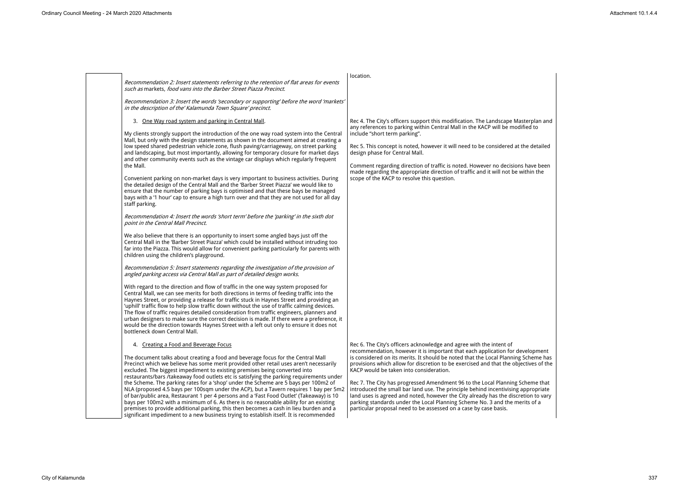Rec 4. The City's officers support this modification. The Landscape Mast any references to parking within Central Mall in the KACP will be modified to include "short term parking".

Rec 5. This concept is noted, however it will need to be considered at the design phase for Central Mall.

Comment regarding direction of traffic is noted. However no decisions made regarding the appropriate direction of traffic and it will not be wi scope of the KACP to resolve this question.

*Recommendation 2: Insert statements referring to the retention of flat areas for events such as* markets, *food vans into the Barber Street Piazza Precinct. Recommendation 3: Insert the words 'secondary or supporting' before the word 'markets' in the description of the' Kalamunda Town Square' precinct.* location. 3. One Way road system and parking in Central Mall. My clients strongly support the introduction of the one way road system into the Central Mall, but only with the design statements as shown in the document aimed at creating a low speed shared pedestrian vehicle zone, flush paving/carriageway, on street parking and landscaping, but most importantly, allowing for temporary closure for market days and other community events such as the vintage car displays which regularly frequent the Mall. Convenient parking on non-market days is very important to business activities. During the detailed design of the Central Mall and the 'Barber Street Piazza' we would like to ensure that the number of parking bays is optimised and that these bays be managed bays with a '1 hour' cap to ensure a high turn over and that they are not used for all day staff parking. *Recommendation 4: Insert the words 'short term' before the 'parking' in the sixth dot point in the Central Mall Precinct.* We also believe that there is an opportunity to insert some angled bays just off the Central Mall in the 'Barber Street Piazza' which could be installed without intruding too far into the Piazza. This would allow for convenient parking particularly for parents with children using the children's playground. *Recommendation 5: Insert statements regarding the investigation of the provision of angled parking access via Central Mall as part of detailed design works.* With regard to the direction and flow of traffic in the one way system proposed for Central Mall, we can see merits for both directions in terms of feeding traffic into the Haynes Street, or providing a release for traffic stuck in Haynes Street and providing an 'uphill' traffic flow to help slow traffic down without the use of traffic calming devices. The flow of traffic requires detailed consideration from traffic engineers, planners and urban designers to make sure the correct decision is made. If there were a preference, it would be the direction towards Haynes Street with a left out only to ensure it does not bottleneck down Central Mall. 4. Creating a Food and Beverage Focus The document talks about creating a food and beverage focus for the Central Mall Precinct which we believe has some merit provided other retail uses aren't necessarily excluded. The biggest impediment to existing premises being converted into restaurants/bars /takeaway food outlets etc is satisfying the parking requirements under the Scheme. The parking rates for a 'shop' under the Scheme are 5 bays per 100m2 of NLA (proposed 4.5 bays per 100sqm under the ACP), but a Tavern requires 1 bay per 5m2 of bar/public area, Restaurant 1 per 4 persons and a 'Fast Food Outlet' (Takeaway) is 10 bays per 100m2 with a minimum of 6. As there is no reasonable ability for an existing premises to provide additional parking, this then becomes a cash in lieu burden and a

Rec 7. The City has progressed Amendment 96 to the Local Planning Scheme that introduced the small bar land use. The principle behind incentivising appropriately land uses is agreed and noted, however the City already has the discret parking standards under the Local Planning Scheme No. 3 and the mer particular proposal need to be assessed on a case by case basis.

significant impediment to a new business trying to establish itself. It is recommended

Rec 6. The City's officers acknowledge and agree with the intent of recommendation, however it is important that each application for dev is considered on its merits. It should be noted that the Local Planning S provisions which allow for discretion to be exercised and that the objective KACP would be taken into consideration.

| terplan and<br>ied to                               |
|-----------------------------------------------------|
| e detailed                                          |
| have been<br>ithin the                              |
|                                                     |
|                                                     |
|                                                     |
|                                                     |
|                                                     |
|                                                     |
|                                                     |
|                                                     |
| elopment<br>scheme has<br>ctives of the             |
| heme that<br>ppropriate<br>tion to vary<br>its of a |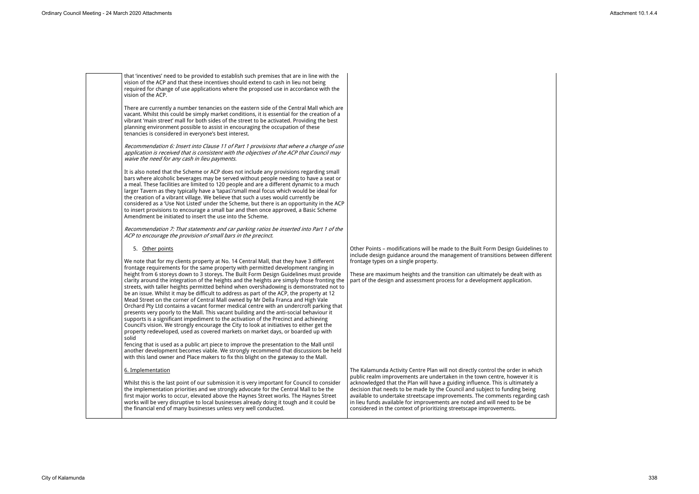that 'incentives' need to be provided to establish such premises that are in line with the vision of the ACP and that these incentives should extend to cash in lieu not being required for change of use applications where the proposed use in accordance with the vision of the ACP.

There are currently a number tenancies on the eastern side of the Central Mall which are vacant. Whilst this could be simply market conditions, it is essential for the creation of a vibrant 'main street' mall for both sides of the street to be activated. Providing the best planning environment possible to assist in encouraging the occupation of these tenancies is considered in everyone's best interest.

*Recommendation 6: Insert into Clause 11 of Part 1 provisions that where a change of use application is received that is consistent with the objectives of the ACP that Council may waive the need for any cash in lieu payments.*

It is also noted that the Scheme or ACP does not include any provisions regarding small bars where alcoholic beverages may be served without people needing to have a seat or a meal. These facilities are limited to 120 people and are a different dynamic to a much larger Tavern as they typically have a 'tapas'/small meal focus which would be ideal for the creation of a vibrant village. We believe that such a uses would currently be considered as a 'Use Not Listed' under the Scheme, but there is an opportunity in the ACP to insert provisions to encourage a small bar and then once approved, a Basic Scheme Amendment be initiated to insert the use into the Scheme.

> Other Points – modifications will be made to the Built Form Design Gu include design guidance around the management of transitions betwe frontage types on a single property.

> These are maximum heights and the transition can ultimately be dealt part of the design and assessment process for a development application.

*Recommendation 7: That statements and car parking ratios be inserted into Part 1 of the ACP to encourage the provision of small bars in the precinct.*

5. Other points

The Kalamunda Activity Centre Plan will not directly control the order public realm improvements are undertaken in the town centre, however acknowledged that the Plan will have a guiding influence. This is ultimately decision that needs to be made by the Council and subject to funding between available to undertake streetscape improvements. The comments rega in lieu funds available for improvements are noted and will need to be be considered in the context of prioritizing streetscape improvements.

We note that for my clients property at No. 14 Central Mall, that they have 3 different frontage requirements for the same property with permitted development ranging in height from 6 storeys down to 3 storeys. The Built Form Design Guidelines must provide clarity around the integration of the heights and the heights are simply those fronting the streets, with taller heights permitted behind when overshadowing is demonstrated not to be an issue. Whilst it may be difficult to address as part of the ACP, the property at 12 Mead Street on the corner of Central Mall owned by Mr Della Franca and High Vale Orchard Pty Ltd contains a vacant former medical centre with an undercroft parking that presents very poorly to the Mall. This vacant building and the anti-social behaviour it supports is a significant impediment to the activation of the Precinct and achieving Council's vision. We strongly encourage the City to look at initiatives to either get the property redeveloped, used as covered markets on market days, or boarded up with solid

fencing that is used as a public art piece to improve the presentation to the Mall until another development becomes viable. We strongly recommend that discussions be held with this land owner and Place makers to fix this blight on the gateway to the Mall.

# 6. Implementation

Whilst this is the last point of our submission it is very important for Council to consider the implementation priorities and we strongly advocate for the Central Mall to be the first major works to occur, elevated above the Haynes Street works. The Haynes Street works will be very disruptive to local businesses already doing it tough and it could be the financial end of many businesses unless very well conducted.

| idelines to<br>en different                                     |  |
|-----------------------------------------------------------------|--|
| t with as<br>tion.                                              |  |
|                                                                 |  |
|                                                                 |  |
|                                                                 |  |
| in which<br>er it is<br>ately a<br>being<br>arding cash<br>e be |  |
|                                                                 |  |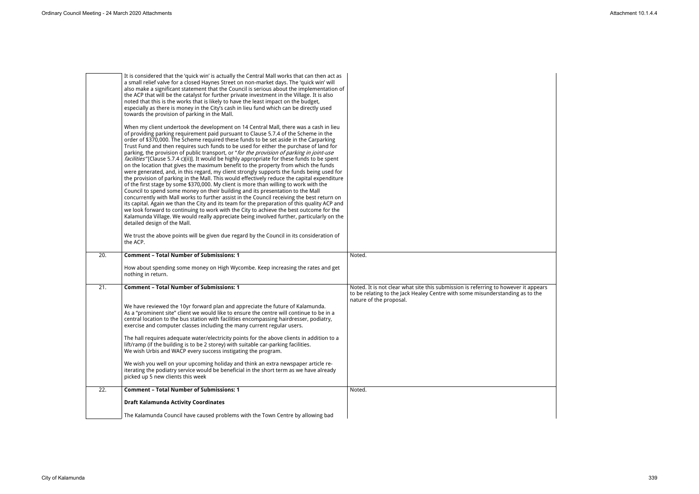|     | It is considered that the 'quick win' is actually the Central Mall works that can then act as<br>a small relief valve for a closed Haynes Street on non-market days. The 'quick win' will<br>also make a significant statement that the Council is serious about the implementation of<br>the ACP that will be the catalyst for further private investment in the Village. It is also<br>noted that this is the works that is likely to have the least impact on the budget,<br>especially as there is money in the City's cash in lieu fund which can be directly used<br>towards the provision of parking in the Mall.<br>When my client undertook the development on 14 Central Mall, there was a cash in lieu<br>of providing parking requirement paid pursuant to Clause 5.7.4 of the Scheme in the<br>order of \$370,000. The Scheme required these funds to be set aside in the Carparking<br>Trust Fund and then requires such funds to be used for either the purchase of land for<br>parking, the provision of public transport, or "for the provision of parking in joint-use<br>facilities"[Clause 5.7.4 c)(ii)]. It would be highly appropriate for these funds to be spent<br>on the location that gives the maximum benefit to the property from which the funds<br>were generated, and, in this regard, my client strongly supports the funds being used for<br>the provision of parking in the Mall. This would effectively reduce the capital expenditure<br>of the first stage by some \$370,000. My client is more than willing to work with the<br>Council to spend some money on their building and its presentation to the Mall<br>concurrently with Mall works to further assist in the Council receiving the best return on<br>its capital. Again we than the City and its team for the preparation of this quality ACP and<br>we look forward to continuing to work with the City to achieve the best outcome for the<br>Kalamunda Village. We would really appreciate being involved further, particularly on the<br>detailed design of the Mall.<br>We trust the above points will be given due regard by the Council in its consideration of<br>the ACP. |                                                                                                                                                                                                 |
|-----|---------------------------------------------------------------------------------------------------------------------------------------------------------------------------------------------------------------------------------------------------------------------------------------------------------------------------------------------------------------------------------------------------------------------------------------------------------------------------------------------------------------------------------------------------------------------------------------------------------------------------------------------------------------------------------------------------------------------------------------------------------------------------------------------------------------------------------------------------------------------------------------------------------------------------------------------------------------------------------------------------------------------------------------------------------------------------------------------------------------------------------------------------------------------------------------------------------------------------------------------------------------------------------------------------------------------------------------------------------------------------------------------------------------------------------------------------------------------------------------------------------------------------------------------------------------------------------------------------------------------------------------------------------------------------------------------------------------------------------------------------------------------------------------------------------------------------------------------------------------------------------------------------------------------------------------------------------------------------------------------------------------------------------------------------------------------------------------------------------------------------------------------------------------------------------------|-------------------------------------------------------------------------------------------------------------------------------------------------------------------------------------------------|
| 20. | <b>Comment - Total Number of Submissions: 1</b>                                                                                                                                                                                                                                                                                                                                                                                                                                                                                                                                                                                                                                                                                                                                                                                                                                                                                                                                                                                                                                                                                                                                                                                                                                                                                                                                                                                                                                                                                                                                                                                                                                                                                                                                                                                                                                                                                                                                                                                                                                                                                                                                       | Noted.                                                                                                                                                                                          |
|     | How about spending some money on High Wycombe. Keep increasing the rates and get<br>nothing in return.                                                                                                                                                                                                                                                                                                                                                                                                                                                                                                                                                                                                                                                                                                                                                                                                                                                                                                                                                                                                                                                                                                                                                                                                                                                                                                                                                                                                                                                                                                                                                                                                                                                                                                                                                                                                                                                                                                                                                                                                                                                                                |                                                                                                                                                                                                 |
| 21. | <b>Comment - Total Number of Submissions: 1</b><br>We have reviewed the 10yr forward plan and appreciate the future of Kalamunda.<br>As a "prominent site" client we would like to ensure the centre will continue to be in a<br>central location to the bus station with facilities encompassing hairdresser, podiatry,<br>exercise and computer classes including the many current regular users.<br>The hall requires adequate water/electricity points for the above clients in addition to a<br>lift/ramp (if the building is to be 2 storey) with suitable car-parking facilities.<br>We wish Urbis and WACP every success instigating the program.<br>We wish you well on your upcoming holiday and think an extra newspaper article re-<br>iterating the podiatry service would be beneficial in the short term as we have already<br>picked up 5 new clients this week                                                                                                                                                                                                                                                                                                                                                                                                                                                                                                                                                                                                                                                                                                                                                                                                                                                                                                                                                                                                                                                                                                                                                                                                                                                                                                       | Noted. It is not clear what site this submission is referring to however it appears<br>to be relating to the Jack Healey Centre with some misunderstanding as to the<br>nature of the proposal. |
| 22. | <b>Comment - Total Number of Submissions: 1</b>                                                                                                                                                                                                                                                                                                                                                                                                                                                                                                                                                                                                                                                                                                                                                                                                                                                                                                                                                                                                                                                                                                                                                                                                                                                                                                                                                                                                                                                                                                                                                                                                                                                                                                                                                                                                                                                                                                                                                                                                                                                                                                                                       | Noted.                                                                                                                                                                                          |
|     |                                                                                                                                                                                                                                                                                                                                                                                                                                                                                                                                                                                                                                                                                                                                                                                                                                                                                                                                                                                                                                                                                                                                                                                                                                                                                                                                                                                                                                                                                                                                                                                                                                                                                                                                                                                                                                                                                                                                                                                                                                                                                                                                                                                       |                                                                                                                                                                                                 |
|     | <b>Draft Kalamunda Activity Coordinates</b>                                                                                                                                                                                                                                                                                                                                                                                                                                                                                                                                                                                                                                                                                                                                                                                                                                                                                                                                                                                                                                                                                                                                                                                                                                                                                                                                                                                                                                                                                                                                                                                                                                                                                                                                                                                                                                                                                                                                                                                                                                                                                                                                           |                                                                                                                                                                                                 |

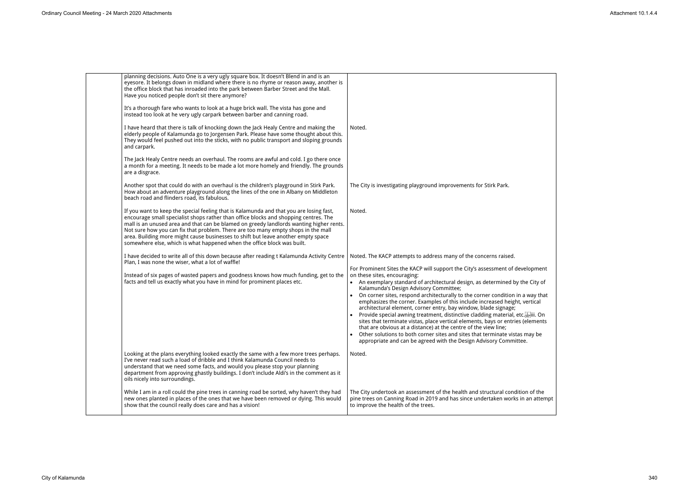| planning decisions. Auto One is a very ugly square box. It doesn't Blend in and is an<br>eyesore. It belongs down in midland where there is no rhyme or reason away, another is<br>the office block that has inroaded into the park between Barber Street and the Mall.<br>Have you noticed people don't sit there anymore?                                                                                                                                                                                                     |                                                                                                                                                                                                                                                                                                                                                                                                                                                                                                                                                                                                                                                                                                                                                                                                                                                                             |
|---------------------------------------------------------------------------------------------------------------------------------------------------------------------------------------------------------------------------------------------------------------------------------------------------------------------------------------------------------------------------------------------------------------------------------------------------------------------------------------------------------------------------------|-----------------------------------------------------------------------------------------------------------------------------------------------------------------------------------------------------------------------------------------------------------------------------------------------------------------------------------------------------------------------------------------------------------------------------------------------------------------------------------------------------------------------------------------------------------------------------------------------------------------------------------------------------------------------------------------------------------------------------------------------------------------------------------------------------------------------------------------------------------------------------|
| It's a thorough fare who wants to look at a huge brick wall. The vista has gone and<br>instead too look at he very ugly carpark between barber and canning road.                                                                                                                                                                                                                                                                                                                                                                |                                                                                                                                                                                                                                                                                                                                                                                                                                                                                                                                                                                                                                                                                                                                                                                                                                                                             |
| I have heard that there is talk of knocking down the Jack Healy Centre and making the<br>elderly people of Kalamunda go to Jorgensen Park. Please have some thought about this.<br>They would feel pushed out into the sticks, with no public transport and sloping grounds<br>and carpark.                                                                                                                                                                                                                                     | Noted.                                                                                                                                                                                                                                                                                                                                                                                                                                                                                                                                                                                                                                                                                                                                                                                                                                                                      |
| The Jack Healy Centre needs an overhaul. The rooms are awful and cold. I go there once<br>a month for a meeting. It needs to be made a lot more homely and friendly. The grounds<br>are a disgrace.                                                                                                                                                                                                                                                                                                                             |                                                                                                                                                                                                                                                                                                                                                                                                                                                                                                                                                                                                                                                                                                                                                                                                                                                                             |
| Another spot that could do with an overhaul is the children's playground in Stirk Park.<br>How about an adventure playground along the lines of the one in Albany on Middleton<br>beach road and flinders road, its fabulous.                                                                                                                                                                                                                                                                                                   | The City is investigating playground improvements for Stirk Park.                                                                                                                                                                                                                                                                                                                                                                                                                                                                                                                                                                                                                                                                                                                                                                                                           |
| If you want to keep the special feeling that is Kalamunda and that you are losing fast,<br>encourage small specialist shops rather than office blocks and shopping centres. The<br>mall is an unused area and that can be blamed on greedy landlords wanting higher rents.<br>Not sure how you can fix that problem. There are too many empty shops in the mall<br>area. Building more might cause businesses to shift but leave another empty space<br>somewhere else, which is what happened when the office block was built. | Noted.                                                                                                                                                                                                                                                                                                                                                                                                                                                                                                                                                                                                                                                                                                                                                                                                                                                                      |
| I have decided to write all of this down because after reading t Kalamunda Activity Centre<br>Plan, I was none the wiser, what a lot of waffle!                                                                                                                                                                                                                                                                                                                                                                                 | Noted. The KACP attempts to address many of the concerns raised.                                                                                                                                                                                                                                                                                                                                                                                                                                                                                                                                                                                                                                                                                                                                                                                                            |
| Instead of six pages of wasted papers and goodness knows how much funding, get to the<br>facts and tell us exactly what you have in mind for prominent places etc.                                                                                                                                                                                                                                                                                                                                                              | For Prominent Sites the KACP will support the City's assessment of development<br>on these sites, encouraging:<br>• An exemplary standard of architectural design, as determined by the City of<br>Kalamunda's Design Advisory Committee;<br>On corner sites, respond architecturally to the corner condition in a way that<br>emphasizes the corner. Examples of this include increased height, vertical<br>architectural element, corner entry, bay window, blade signage;<br>Provide special awning treatment, distinctive cladding material, etc. [1] lii. On<br>sites that terminate vistas, place vertical elements, bays or entries (elements<br>that are obvious at a distance) at the centre of the view line;<br>Other solutions to both corner sites and sites that terminate vistas may be<br>appropriate and can be agreed with the Design Advisory Committee. |
| Looking at the plans everything looked exactly the same with a few more trees perhaps.<br>I've never read such a load of dribble and I think Kalamunda Council needs to<br>understand that we need some facts, and would you please stop your planning<br>department from approving ghastly buildings. I don't include Aldi's in the comment as it<br>oils nicely into surroundings.                                                                                                                                            | Noted.                                                                                                                                                                                                                                                                                                                                                                                                                                                                                                                                                                                                                                                                                                                                                                                                                                                                      |
| While I am in a roll could the pine trees in canning road be sorted, why haven't they had<br>new ones planted in places of the ones that we have been removed or dying. This would<br>show that the council really does care and has a vision!                                                                                                                                                                                                                                                                                  | The City undertook an assessment of the health and structural condition of the<br>pine trees on Canning Road in 2019 and has since undertaken works in an attempt<br>to improve the health of the trees.                                                                                                                                                                                                                                                                                                                                                                                                                                                                                                                                                                                                                                                                    |
|                                                                                                                                                                                                                                                                                                                                                                                                                                                                                                                                 |                                                                                                                                                                                                                                                                                                                                                                                                                                                                                                                                                                                                                                                                                                                                                                                                                                                                             |

| velopment                                |  |  |
|------------------------------------------|--|--|
| he City of:                              |  |  |
| a way that<br>vertical                   |  |  |
| c. <mark>sep</mark> ili. On<br>(elements |  |  |
| s may be<br>eе.                          |  |  |
|                                          |  |  |
|                                          |  |  |
| on of the<br>n an attempt                |  |  |
|                                          |  |  |

 $\overline{\phantom{0}}$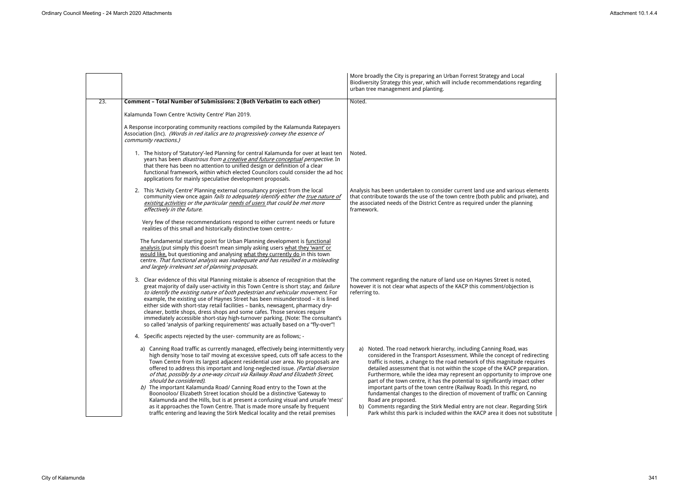|     |                                                                                                                                                                                                                                                                                                                                                                                                                                                                                                                                                                                                                                                                                                                                                                                                                                                               | More broadly the City is preparing an Urban Forrest Strategy and Local<br>Biodiversity Strategy this year, which will include recommendations regarding<br>urban tree management and planting.                                                                                                                                                                                                                                                                                                                                                                                                                                                                                                                                                                                                             |
|-----|---------------------------------------------------------------------------------------------------------------------------------------------------------------------------------------------------------------------------------------------------------------------------------------------------------------------------------------------------------------------------------------------------------------------------------------------------------------------------------------------------------------------------------------------------------------------------------------------------------------------------------------------------------------------------------------------------------------------------------------------------------------------------------------------------------------------------------------------------------------|------------------------------------------------------------------------------------------------------------------------------------------------------------------------------------------------------------------------------------------------------------------------------------------------------------------------------------------------------------------------------------------------------------------------------------------------------------------------------------------------------------------------------------------------------------------------------------------------------------------------------------------------------------------------------------------------------------------------------------------------------------------------------------------------------------|
| 23. | Comment - Total Number of Submissions: 2 (Both Verbatim to each other)                                                                                                                                                                                                                                                                                                                                                                                                                                                                                                                                                                                                                                                                                                                                                                                        | Noted.                                                                                                                                                                                                                                                                                                                                                                                                                                                                                                                                                                                                                                                                                                                                                                                                     |
|     | Kalamunda Town Centre 'Activity Centre' Plan 2019.                                                                                                                                                                                                                                                                                                                                                                                                                                                                                                                                                                                                                                                                                                                                                                                                            |                                                                                                                                                                                                                                                                                                                                                                                                                                                                                                                                                                                                                                                                                                                                                                                                            |
|     | A Response incorporating community reactions compiled by the Kalamunda Ratepayers<br>Association (Inc). (Words in red italics are to progressively convey the essence of<br>community reactions.)                                                                                                                                                                                                                                                                                                                                                                                                                                                                                                                                                                                                                                                             |                                                                                                                                                                                                                                                                                                                                                                                                                                                                                                                                                                                                                                                                                                                                                                                                            |
|     | 1. The history of 'Statutory'-led Planning for central Kalamunda for over at least ten<br>years has been <i>disastrous from a creative and future conceptual perspective.</i> In<br>that there has been no attention to unified design or definition of a clear<br>functional framework, within which elected Councilors could consider the ad hoc<br>applications for mainly speculative development proposals.                                                                                                                                                                                                                                                                                                                                                                                                                                              | Noted.                                                                                                                                                                                                                                                                                                                                                                                                                                                                                                                                                                                                                                                                                                                                                                                                     |
|     | 2. This 'Activity Centre' Planning external consultancy project from the local<br>community view once again fails to adequately identify either the true nature of<br>existing activities or the particular needs of users that could be met more<br>effectively in the future.                                                                                                                                                                                                                                                                                                                                                                                                                                                                                                                                                                               | Analysis has been undertaken to consider current land use and various elements<br>that contribute towards the use of the town centre (both public and private), and<br>the associated needs of the District Centre as required under the planning<br>framework.                                                                                                                                                                                                                                                                                                                                                                                                                                                                                                                                            |
|     | Very few of these recommendations respond to either current needs or future<br>realities of this small and historically distinctive town centre.-                                                                                                                                                                                                                                                                                                                                                                                                                                                                                                                                                                                                                                                                                                             |                                                                                                                                                                                                                                                                                                                                                                                                                                                                                                                                                                                                                                                                                                                                                                                                            |
|     | The fundamental starting point for Urban Planning development is functional<br>analysis (put simply this doesn't mean simply asking users what they 'want' or<br>would like, but questioning and analysing what they currently do in this town<br>centre. That functional analysis was inadequate and has resulted in a misleading<br>and largely irrelevant set of planning proposals.                                                                                                                                                                                                                                                                                                                                                                                                                                                                       |                                                                                                                                                                                                                                                                                                                                                                                                                                                                                                                                                                                                                                                                                                                                                                                                            |
|     | 3. Clear evidence of this vital Planning mistake is absence of recognition that the<br>great majority of daily user-activity in this Town Centre is short stay; and failure<br>to identify the existing nature of both pedestrian and vehicular movement. For<br>example, the existing use of Haynes Street has been misunderstood - it is lined<br>either side with short-stay retail facilities - banks, newsagent, pharmacy dry-<br>cleaner, bottle shops, dress shops and some cafes. Those services require<br>immediately accessible short-stay high-turnover parking. (Note: The consultant's<br>so called 'analysis of parking requirements' was actually based on a "fly-over"!                                                                                                                                                                      | The comment regarding the nature of land use on Haynes Street is noted,<br>however it is not clear what aspects of the KACP this comment/objection is<br>referring to.                                                                                                                                                                                                                                                                                                                                                                                                                                                                                                                                                                                                                                     |
|     | 4. Specific aspects rejected by the user- community are as follows; -                                                                                                                                                                                                                                                                                                                                                                                                                                                                                                                                                                                                                                                                                                                                                                                         |                                                                                                                                                                                                                                                                                                                                                                                                                                                                                                                                                                                                                                                                                                                                                                                                            |
|     | a) Canning Road traffic as currently managed, effectively being intermittently very<br>high density 'nose to tail' moving at excessive speed, cuts off safe access to the<br>Town Centre from its largest adjacent residential user area. No proposals are<br>offered to address this important and long-neglected issue. (Partial diversion<br>of that, possibly by a one-way circuit via Railway Road and Elizabeth Street,<br>should be considered).<br>b) The important Kalamunda Road/ Canning Road entry to the Town at the<br>Boonooloo/ Elizabeth Street location should be a distinctive 'Gateway to<br>Kalamunda and the Hills, but is at present a confusing visual and unsafe 'mess'<br>as it approaches the Town Centre. That is made more unsafe by frequent<br>traffic entering and leaving the Stirk Medical locality and the retail premises | a) Noted. The road network hierarchy, including Canning Road, was<br>considered in the Transport Assessment. While the concept of redirecting<br>traffic is notes, a change to the road network of this magnitude requires<br>detailed assessment that is not within the scope of the KACP preparation.<br>Furthermore, while the idea may represent an opportunity to improve one<br>part of the town centre, it has the potential to significantly impact other<br>important parts of the town centre (Railway Road). In this regard, no<br>fundamental changes to the direction of movement of traffic on Canning<br>Road are proposed.<br>b) Comments regarding the Stirk Medial entry are not clear. Regarding Stirk<br>Park whilst this park is included within the KACP area it does not substitute |

| arding                                                                                      |  |
|---------------------------------------------------------------------------------------------|--|
| elements<br>vate), and<br>ing                                                               |  |
| ed,<br>n is                                                                                 |  |
| S<br>edirecting<br>requires<br>paration.<br>.<br>nprove one<br>ct other<br>d, no<br>Canning |  |
| ding Stirk<br>t substitute                                                                  |  |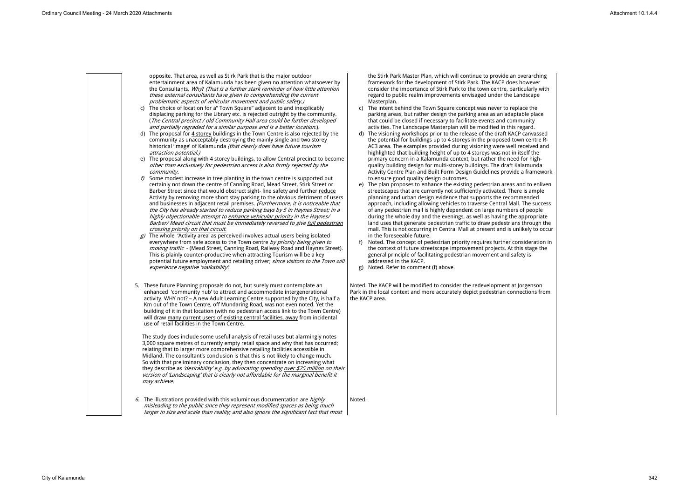|    | opposite. That area, as well as Stirk Park that is the major outdoor<br>entertainment area of Kalamunda has been given no attention whatsoever by<br>the Consultants. Why? (That is a further stark reminder of how little attention<br>these external consultants have given to comprehending the current<br>problematic aspects of vehicular movement and public safety.)<br>c) The choice of location for a" Town Square" adjacent to and inexplicably<br>displacing parking for the Library etc. is rejected outright by the community.<br>(The Central precinct / old Community Hall area could be further developed<br>and partially regraded for a similar purpose and is a better location.).<br>d) The proposal for 4 storey buildings in the Town Centre is also rejected by the | the Stirk Park N<br>framework for<br>consider the in<br>regard to publi<br>Masterplan.<br>$\mathsf{C}$<br>The intent behi<br>parking areas,<br>that could be c<br>activities. The L<br>d) The visioning w |
|----|--------------------------------------------------------------------------------------------------------------------------------------------------------------------------------------------------------------------------------------------------------------------------------------------------------------------------------------------------------------------------------------------------------------------------------------------------------------------------------------------------------------------------------------------------------------------------------------------------------------------------------------------------------------------------------------------------------------------------------------------------------------------------------------------|-----------------------------------------------------------------------------------------------------------------------------------------------------------------------------------------------------------|
|    | community as unacceptably destroying the mainly single and two storey<br>historical 'image' of Kalamunda (that clearly does have future tourism<br>attraction potential.)<br>e) The proposal along with 4 storey buildings, to allow Central precinct to become<br>other than exclusively for pedestrian access is also firmly rejected by the<br>community.                                                                                                                                                                                                                                                                                                                                                                                                                               | the potential fo<br>AC3 area. The<br>highlighted tha<br>primary concer<br>quality building<br><b>Activity Centre</b>                                                                                      |
| f) | Some modest increase in tree planting in the town centre is supported but<br>certainly not down the centre of Canning Road, Mead Street, Stirk Street or<br>Barber Street since that would obstruct sight-line safety and further reduce<br>Activity by removing more short stay parking to the obvious detriment of users<br>and businesses in adjacent retail premises. (Furthermore, it is noticeable that<br>the City has already started to reduce parking bays by 5 in Haynes Street; in a<br>highly objectionable attempt to enhance vehicular priority in the Haynes/<br>Barber/ Mead circuit that must be immediately reversed to give full pedestrian<br>crossing priority on that circuit.                                                                                      | to ensure good<br>e) The plan propo<br>streetscapes th<br>planning and u<br>approach, inclu<br>of any pedestri<br>during the who<br>land uses that<br>mall. This is no                                    |
|    | $g$ ) The whole 'Activity area' as perceived involves actual users being isolated<br>everywhere from safe access to the Town centre by priority being given to<br>moving traffic - (Mead Street, Canning Road, Railway Road and Haynes Street).<br>This is plainly counter-productive when attracting Tourism will be a key<br>potential future employment and retailing driver; since visitors to the Town will<br>experience negative 'walkability'.                                                                                                                                                                                                                                                                                                                                     | in the foreseea<br>Noted. The cor<br>f)<br>the context of 1<br>general princip<br>addressed in th<br>Noted. Refer to<br>g)                                                                                |
|    | 5. These future Planning proposals do not, but surely must contemplate an<br>enhanced 'community hub' to attract and accommodate intergenerational<br>activity. WHY not? - A new Adult Learning Centre supported by the City, is half a<br>Km out of the Town Centre, off Mundaring Road, was not even noted. Yet the<br>building of it in that location (with no pedestrian access link to the Town Centre)<br>will draw many current users of existing central facilities, away from incidental<br>use of retail facilities in the Town Centre.                                                                                                                                                                                                                                          | Noted. The KACP will b<br>Park in the local conte<br>the KACP area.                                                                                                                                       |
|    | The study does include some useful analysis of retail uses but alarmingly notes<br>3,000 square metres of currently empty retail space and why that has occurred;<br>relating that to larger more comprehensive retailing facilities accessible in<br>Midland. The consultant's conclusion is that this is not likely to change much.<br>So with that preliminary conclusion, they then concentrate on increasing what<br>they describe as 'desirability' e.g. by advocating spending over \$25 million on their<br>version of 'Landscaping' that is clearly not affordable for the marginal benefit it<br>may achieve.                                                                                                                                                                    |                                                                                                                                                                                                           |
|    | 6. The illustrations provided with this voluminous documentation are $highly$<br>misleading to the public since they represent modified spaces as being much<br>larger in size and scale than reality; and also ignore the significant fact that most                                                                                                                                                                                                                                                                                                                                                                                                                                                                                                                                      | Noted.                                                                                                                                                                                                    |

Master Plan, which will continue to provide an overarching r the development of Stirk Park. The KACP does how mportance of Stirk Park to the town centre, particul lic realm improvements envisaged under the Landso

- ind the Town Square concept was never to replace but rather design the parking area as an adaptable closed if necessary to facilitate events and commun Landscape Masterplan will be modified in this regar
- workshops prior to the release of the draft KACP can for buildings up to 4 storeys in the proposed town c examples provided during visioning were well recei at building height of up to 4 storeys was not in itself  $en$  in a Kalamunda context, but rather the need for ig design for multi-storey buildings. The draft Kalam Plan and Built Form Design Guidelines provide a f I quality design outcomes.
- oses to enhance the existing pedestrian areas and  $\overline{\phantom{a}}$  are currently not sufficiently activated. There is urban design evidence that supports the recommen uding allowing vehicles to traverse Central Mall. The  $\epsilon$  rian mall is highly dependent on large numbers of people ole day and the evenings, as well as having the appropriate generate pedestrian traffic to draw pedestrians thr ot occurring in Central Mall at present and is unlikel able future.
- ncept of pedestrian priority requires further consideration future streetscape improvement projects. At this st ple of facilitating pedestrian movement and safety he KACP.
- o comment (f) above.

be modified to consider the redevelopment at Jorge  $ext$  and more accurately depict pedestrian connections from

| vever<br>larly with<br>scape                                                                                              |  |
|---------------------------------------------------------------------------------------------------------------------------|--|
| the !<br>e place<br>hity<br>ırd.<br>nvassed<br>entre R <mark>-</mark><br>ived and<br>If the<br>high-<br>nunda<br>ramework |  |
| to enliven<br>ample<br>nded<br>e success<br>oeople<br>ropriate<br>rough the<br>ly to occur                                |  |
| leration in<br>tage the<br>is                                                                                             |  |
| enson<br>ions from                                                                                                        |  |
|                                                                                                                           |  |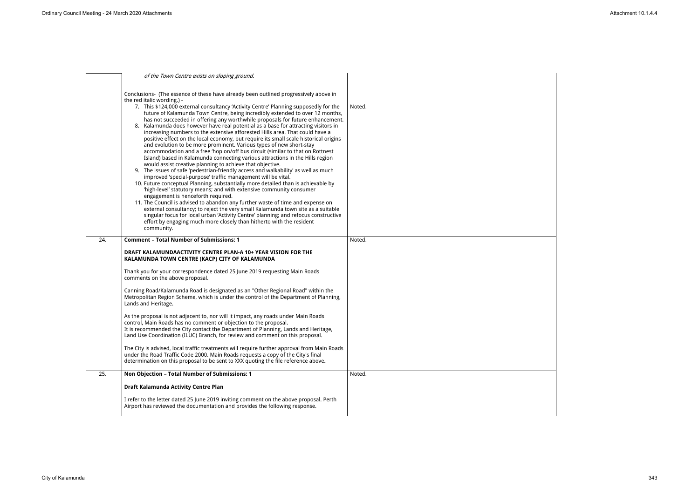|     | of the Town Centre exists on sloping ground.                                                                                                                                                                                                                                                                                                                                                                                                                                                                                                                                                                                                                                                                                                                                                                                                                                                                                                                                                                                                                                                                                                                                                                                                                                                                                                                                                                                                                                                                                                                                                                                                                 |        |
|-----|--------------------------------------------------------------------------------------------------------------------------------------------------------------------------------------------------------------------------------------------------------------------------------------------------------------------------------------------------------------------------------------------------------------------------------------------------------------------------------------------------------------------------------------------------------------------------------------------------------------------------------------------------------------------------------------------------------------------------------------------------------------------------------------------------------------------------------------------------------------------------------------------------------------------------------------------------------------------------------------------------------------------------------------------------------------------------------------------------------------------------------------------------------------------------------------------------------------------------------------------------------------------------------------------------------------------------------------------------------------------------------------------------------------------------------------------------------------------------------------------------------------------------------------------------------------------------------------------------------------------------------------------------------------|--------|
|     | Conclusions- (The essence of these have already been outlined progressively above in<br>the red italic wording.) -<br>7. This \$124,000 external consultancy 'Activity Centre' Planning supposedly for the<br>future of Kalamunda Town Centre, being incredibly extended to over 12 months,<br>has not succeeded in offering any worthwhile proposals for future enhancement.<br>8. Kalamunda does however have real potential as a base for attracting visitors in<br>increasing numbers to the extensive afforested Hills area. That could have a<br>positive effect on the local economy, but require its small scale historical origins<br>and evolution to be more prominent. Various types of new short-stay<br>accommodation and a free 'hop on/off bus circuit (similar to that on Rottnest<br>Island) based in Kalamunda connecting various attractions in the Hills region<br>would assist creative planning to achieve that objective.<br>9. The issues of safe 'pedestrian-friendly access and walkability' as well as much<br>improved 'special-purpose' traffic management will be vital.<br>10. Future conceptual Planning, substantially more detailed than is achievable by<br>'high-level' statutory means; and with extensive community consumer<br>engagement is henceforth required.<br>11. The Council is advised to abandon any further waste of time and expense on<br>external consultancy; to reject the very small Kalamunda town site as a suitable<br>singular focus for local urban 'Activity Centre' planning; and refocus constructive<br>effort by engaging much more closely than hitherto with the resident<br>community. | Noted. |
| 24. | <b>Comment - Total Number of Submissions: 1</b>                                                                                                                                                                                                                                                                                                                                                                                                                                                                                                                                                                                                                                                                                                                                                                                                                                                                                                                                                                                                                                                                                                                                                                                                                                                                                                                                                                                                                                                                                                                                                                                                              | Noted. |
|     | DRAFT KALAMUNDAACTIVITY CENTRE PLAN-A 10+ YEAR VISION FOR THE<br>KALAMUNDA TOWN CENTRE (KACP) CITY OF KALAMUNDA<br>Thank you for your correspondence dated 25 June 2019 requesting Main Roads<br>comments on the above proposal.                                                                                                                                                                                                                                                                                                                                                                                                                                                                                                                                                                                                                                                                                                                                                                                                                                                                                                                                                                                                                                                                                                                                                                                                                                                                                                                                                                                                                             |        |
|     | Canning Road/Kalamunda Road is designated as an "Other Regional Road" within the<br>Metropolitan Region Scheme, which is under the control of the Department of Planning,<br>Lands and Heritage.                                                                                                                                                                                                                                                                                                                                                                                                                                                                                                                                                                                                                                                                                                                                                                                                                                                                                                                                                                                                                                                                                                                                                                                                                                                                                                                                                                                                                                                             |        |
|     | As the proposal is not adjacent to, nor will it impact, any roads under Main Roads<br>control, Main Roads has no comment or objection to the proposal.<br>It is recommended the City contact the Department of Planning, Lands and Heritage,<br>Land Use Coordination (ILUC) Branch, for review and comment on this proposal.                                                                                                                                                                                                                                                                                                                                                                                                                                                                                                                                                                                                                                                                                                                                                                                                                                                                                                                                                                                                                                                                                                                                                                                                                                                                                                                                |        |
|     | The City is advised, local traffic treatments will require further approval from Main Roads<br>under the Road Traffic Code 2000. Main Roads requests a copy of the City's final<br>determination on this proposal to be sent to XXX quoting the file reference above.                                                                                                                                                                                                                                                                                                                                                                                                                                                                                                                                                                                                                                                                                                                                                                                                                                                                                                                                                                                                                                                                                                                                                                                                                                                                                                                                                                                        |        |
| 25. | Non Objection - Total Number of Submissions: 1                                                                                                                                                                                                                                                                                                                                                                                                                                                                                                                                                                                                                                                                                                                                                                                                                                                                                                                                                                                                                                                                                                                                                                                                                                                                                                                                                                                                                                                                                                                                                                                                               | Noted. |
|     | Draft Kalamunda Activity Centre Plan                                                                                                                                                                                                                                                                                                                                                                                                                                                                                                                                                                                                                                                                                                                                                                                                                                                                                                                                                                                                                                                                                                                                                                                                                                                                                                                                                                                                                                                                                                                                                                                                                         |        |
|     | I refer to the letter dated 25 June 2019 inviting comment on the above proposal. Perth<br>Airport has reviewed the documentation and provides the following response.                                                                                                                                                                                                                                                                                                                                                                                                                                                                                                                                                                                                                                                                                                                                                                                                                                                                                                                                                                                                                                                                                                                                                                                                                                                                                                                                                                                                                                                                                        |        |

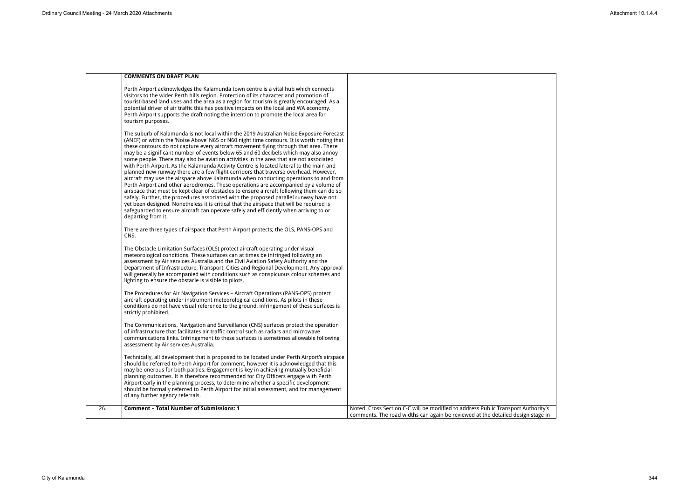|     | <b>COMMENTS ON DRAFT PLAN</b>                                                                                                                                                                                                                                                                                                                                                                                                                                                                                                                                                                                                                                                                                                                                                                                                                                                                                                                                                                                                                                                                                                                                                                                                      |                                                                                                                                                                      |
|-----|------------------------------------------------------------------------------------------------------------------------------------------------------------------------------------------------------------------------------------------------------------------------------------------------------------------------------------------------------------------------------------------------------------------------------------------------------------------------------------------------------------------------------------------------------------------------------------------------------------------------------------------------------------------------------------------------------------------------------------------------------------------------------------------------------------------------------------------------------------------------------------------------------------------------------------------------------------------------------------------------------------------------------------------------------------------------------------------------------------------------------------------------------------------------------------------------------------------------------------|----------------------------------------------------------------------------------------------------------------------------------------------------------------------|
|     | Perth Airport acknowledges the Kalamunda town centre is a vital hub which connects<br>visitors to the wider Perth hills region. Protection of its character and promotion of<br>tourist-based land uses and the area as a region for tourism is greatly encouraged. As a<br>potential driver of air traffic this has positive impacts on the local and WA economy.<br>Perth Airport supports the draft noting the intention to promote the local area for<br>tourism purposes.                                                                                                                                                                                                                                                                                                                                                                                                                                                                                                                                                                                                                                                                                                                                                     |                                                                                                                                                                      |
|     | The suburb of Kalamunda is not local within the 2019 Australian Noise Exposure Forecast<br>(ANEF) or within the 'Noise Above' N65 or N60 night time contours. It is worth noting that<br>these contours do not capture every aircraft movement flying through that area. There<br>may be a significant number of events below 65 and 60 decibels which may also annoy<br>some people. There may also be aviation activities in the area that are not associated<br>with Perth Airport. As the Kalamunda Activity Centre is located lateral to the main and<br>planned new runway there are a few flight corridors that traverse overhead. However,<br>aircraft may use the airspace above Kalamunda when conducting operations to and from<br>Perth Airport and other aerodromes. These operations are accompanied by a volume of<br>airspace that must be kept clear of obstacles to ensure aircraft following them can do so<br>safely. Further, the procedures associated with the proposed parallel runway have not<br>yet been designed. Nonetheless it is critical that the airspace that will be required is<br>safeguarded to ensure aircraft can operate safely and efficiently when arriving to or<br>departing from it. |                                                                                                                                                                      |
|     | There are three types of airspace that Perth Airport protects; the OLS, PANS-OPS and<br>CNS.                                                                                                                                                                                                                                                                                                                                                                                                                                                                                                                                                                                                                                                                                                                                                                                                                                                                                                                                                                                                                                                                                                                                       |                                                                                                                                                                      |
|     | The Obstacle Limitation Surfaces (OLS) protect aircraft operating under visual<br>meteorological conditions. These surfaces can at times be infringed following an<br>assessment by Air services Australia and the Civil Aviation Safety Authority and the<br>Department of Infrastructure, Transport, Cities and Regional Development. Any approval<br>will generally be accompanied with conditions such as conspicuous colour schemes and<br>lighting to ensure the obstacle is visible to pilots.                                                                                                                                                                                                                                                                                                                                                                                                                                                                                                                                                                                                                                                                                                                              |                                                                                                                                                                      |
|     | The Procedures for Air Navigation Services - Aircraft Operations (PANS-OPS) protect<br>aircraft operating under instrument meteorological conditions. As pilots in these<br>conditions do not have visual reference to the ground, infringement of these surfaces is<br>strictly prohibited.                                                                                                                                                                                                                                                                                                                                                                                                                                                                                                                                                                                                                                                                                                                                                                                                                                                                                                                                       |                                                                                                                                                                      |
|     | The Communications, Navigation and Surveillance (CNS) surfaces protect the operation<br>of infrastructure that facilitates air traffic control such as radars and microwave<br>communications links. Infringement to these surfaces is sometimes allowable following<br>assessment by Air services Australia.                                                                                                                                                                                                                                                                                                                                                                                                                                                                                                                                                                                                                                                                                                                                                                                                                                                                                                                      |                                                                                                                                                                      |
|     | Technically, all development that is proposed to be located under Perth Airport's airspace<br>should be referred to Perth Airport for comment, however it is acknowledged that this<br>may be onerous for both parties. Engagement is key in achieving mutually beneficial<br>planning outcomes. It is therefore recommended for City Officers engage with Perth<br>Airport early in the planning process, to determine whether a specific development<br>should be formally referred to Perth Airport for initial assessment, and for management<br>of any further agency referrals.                                                                                                                                                                                                                                                                                                                                                                                                                                                                                                                                                                                                                                              |                                                                                                                                                                      |
| 26. | <b>Comment - Total Number of Submissions: 1</b>                                                                                                                                                                                                                                                                                                                                                                                                                                                                                                                                                                                                                                                                                                                                                                                                                                                                                                                                                                                                                                                                                                                                                                                    | Noted. Cross Section C-C will be modified to address Public Transport Authority's<br>comments. The road widths can again be reviewed at the detailed design stage in |

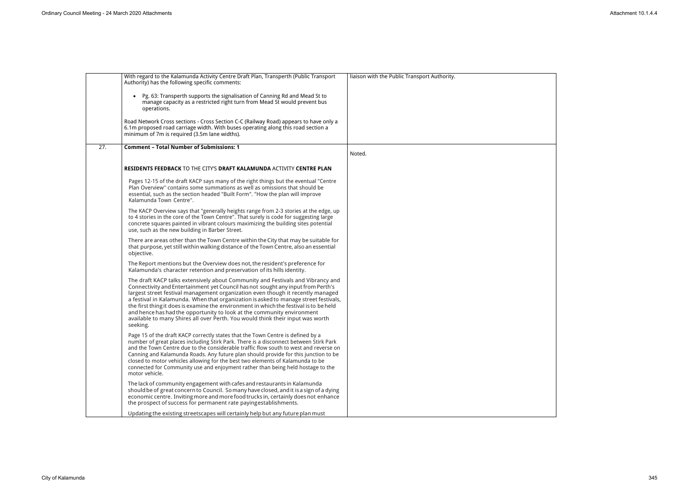|     | With regard to the Kalamunda Activity Centre Draft Plan, Transperth (Public Transport<br>Authority) has the following specific comments:                                                                                                                                                                                                                                                                                                                                                                                                                                                                         | liaison with the Public Transport Authority. |
|-----|------------------------------------------------------------------------------------------------------------------------------------------------------------------------------------------------------------------------------------------------------------------------------------------------------------------------------------------------------------------------------------------------------------------------------------------------------------------------------------------------------------------------------------------------------------------------------------------------------------------|----------------------------------------------|
|     | • Pg. 63: Transperth supports the signalisation of Canning Rd and Mead St to<br>manage capacity as a restricted right turn from Mead St would prevent bus<br>operations.                                                                                                                                                                                                                                                                                                                                                                                                                                         |                                              |
|     | Road Network Cross sections - Cross Section C-C (Railway Road) appears to have only a<br>6.1m proposed road carriage width. With buses operating along this road section a<br>minimum of 7m is required (3.5m lane widths).                                                                                                                                                                                                                                                                                                                                                                                      |                                              |
| 27. | <b>Comment - Total Number of Submissions: 1</b>                                                                                                                                                                                                                                                                                                                                                                                                                                                                                                                                                                  | Noted.                                       |
|     | RESIDENTS FEEDBACK TO THE CITY'S DRAFT KALAMUNDA ACTIVITY CENTRE PLAN                                                                                                                                                                                                                                                                                                                                                                                                                                                                                                                                            |                                              |
|     | Pages 12-15 of the draft KACP says many of the right things but the eventual "Centre<br>Plan Overview" contains some summations as well as omissions that should be<br>essential, such as the section headed "Built Form". "How the plan will improve<br>Kalamunda Town Centre".                                                                                                                                                                                                                                                                                                                                 |                                              |
|     | The KACP Overview says that "generally heights range from 2-3 stories at the edge, up<br>to 4 stories in the core of the Town Centre". That surely is code for suggesting large<br>concrete squares painted in vibrant colours maximizing the building sites potential<br>use, such as the new building in Barber Street.                                                                                                                                                                                                                                                                                        |                                              |
|     | There are areas other than the Town Centre within the City that may be suitable for<br>that purpose, yet still within walking distance of the Town Centre, also an essential<br>objective.                                                                                                                                                                                                                                                                                                                                                                                                                       |                                              |
|     | The Report mentions but the Overview does not, the resident's preference for<br>Kalamunda's character retention and preservation of its hills identity.                                                                                                                                                                                                                                                                                                                                                                                                                                                          |                                              |
|     | The draft KACP talks extensively about Community and Festivals and Vibrancy and<br>Connectivity and Entertainment yet Council has not sought any input from Perth's<br>largest street festival management organization even though it recently managed<br>a festival in Kalamunda. When that organization is asked to manage street festivals,<br>the first thing it does is examine the environment in which the festival is to be held<br>and hence has had the opportunity to look at the community environment<br>available to many Shires all over Perth. You would think their input was worth<br>seeking. |                                              |
|     | Page 15 of the draft KACP correctly states that the Town Centre is defined by a<br>number of great places including Stirk Park. There is a disconnect between Stirk Park<br>and the Town Centre due to the considerable traffic flow south to west and reverse on<br>Canning and Kalamunda Roads. Any future plan should provide for this junction to be<br>closed to motor vehicles allowing for the best two elements of Kalamunda to be<br>connected for Community use and enjoyment rather than being held hostage to the<br>motor vehicle.                                                                  |                                              |
|     | The lack of community engagement with cafes and restaurants in Kalamunda<br>should be of great concern to Council. So many have closed, and it is a sign of a dying<br>economic centre. Inviting more and more food trucks in, certainly does not enhance<br>the prospect of success for permanent rate payingestablishments.                                                                                                                                                                                                                                                                                    |                                              |
|     | Updating the existing streetscapes will certainly help but any future plan must                                                                                                                                                                                                                                                                                                                                                                                                                                                                                                                                  |                                              |

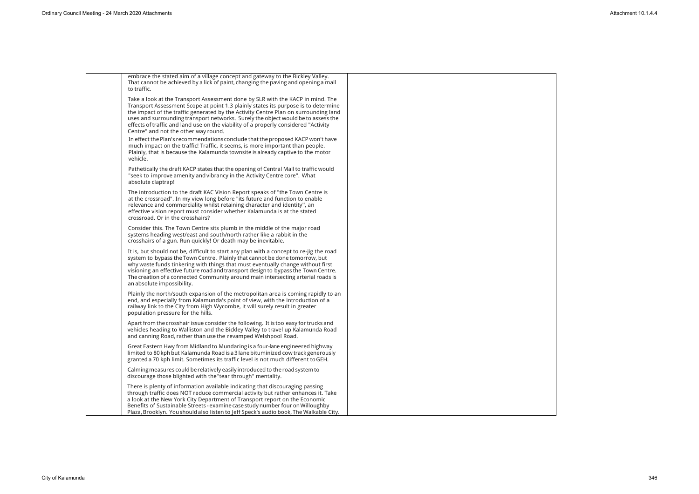| embrace the stated aim of a village concept and gateway to the Bickley Valley.<br>That cannot be achieved by a lick of paint, changing the paving and opening a mall<br>to traffic.                                                                                                                                                                                                                                                                                             |  |
|---------------------------------------------------------------------------------------------------------------------------------------------------------------------------------------------------------------------------------------------------------------------------------------------------------------------------------------------------------------------------------------------------------------------------------------------------------------------------------|--|
| Take a look at the Transport Assessment done by SLR with the KACP in mind. The<br>Transport Assessment Scope at point 1.3 plainly states its purpose is to determine<br>the impact of the traffic generated by the Activity Centre Plan on surrounding land<br>uses and surrounding transport networks. Surely the object would be to assess the<br>effects of traffic and land use on the viability of a properly considered "Activity<br>Centre" and not the other way round. |  |
| In effect the Plan's recommendations conclude that the proposed KACP won't have<br>much impact on the traffic! Traffic, it seems, is more important than people.<br>Plainly, that is because the Kalamunda townsite is already captive to the motor<br>vehicle.                                                                                                                                                                                                                 |  |
| Pathetically the draft KACP states that the opening of Central Mall to traffic would<br>"seek to improve amenity and vibrancy in the Activity Centre core". What<br>absolute claptrap!                                                                                                                                                                                                                                                                                          |  |
| The introduction to the draft KAC Vision Report speaks of "the Town Centre is<br>at the crossroad". In my view long before "its future and function to enable<br>relevance and commerciality whilst retaining character and identity", an<br>effective vision report must consider whether Kalamunda is at the stated<br>crossroad. Or in the crosshairs?                                                                                                                       |  |
| Consider this. The Town Centre sits plumb in the middle of the major road<br>systems heading west/east and south/north rather like a rabbit in the<br>crosshairs of a gun. Run quickly! Or death may be inevitable.                                                                                                                                                                                                                                                             |  |
| It is, but should not be, difficult to start any plan with a concept to re-jig the road<br>system to bypass the Town Centre. Plainly that cannot be done tomorrow, but<br>why waste funds tinkering with things that must eventually change without first<br>visioning an effective future road and transport design to bypass the Town Centre.<br>The creation of a connected Community around main intersecting arterial roads is<br>an absolute impossibility.               |  |
| Plainly the north/south expansion of the metropolitan area is coming rapidly to an<br>end, and especially from Kalamunda's point of view, with the introduction of a<br>railway link to the City from High Wycombe, it will surely result in greater<br>population pressure for the hills.                                                                                                                                                                                      |  |
| Apart from the crosshair issue consider the following. It is too easy for trucks and<br>vehicles heading to Walliston and the Bickley Valley to travel up Kalamunda Road<br>and canning Road, rather than use the revamped Welshpool Road.                                                                                                                                                                                                                                      |  |
| Great Eastern Hwy from Midland to Mundaring is a four-lane engineered highway<br>limited to 80 kph but Kalamunda Road is a 3 lane bituminized cow track generously<br>granted a 70 kph limit. Sometimes its traffic level is not much different to GEH.                                                                                                                                                                                                                         |  |
| Calming measures could be relatively easily introduced to the road system to<br>discourage those blighted with the "tear through" mentality.                                                                                                                                                                                                                                                                                                                                    |  |
| There is plenty of information available indicating that discouraging passing<br>through traffic does NOT reduce commercial activity but rather enhances it. Take<br>a look at the New York City Department of Transport report on the Economic<br>Benefits of Sustainable Streets - examine case study number four on Willoughby<br>Plaza, Brooklyn. You should also listen to Jeff Speck's audio book, The Walkable City.                                                     |  |

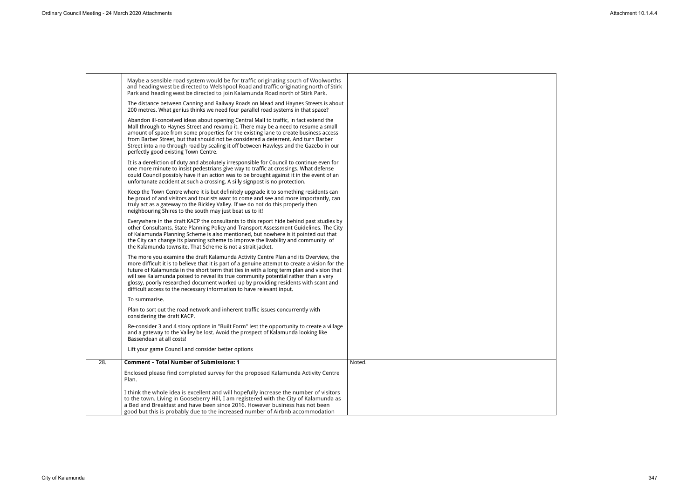|     | Maybe a sensible road system would be for traffic originating south of Woolworths<br>and heading west be directed to Welshpool Road and traffic originating north of Stirk<br>Park and heading west be directed to join Kalamunda Road north of Stirk Park.                                                                                                                                                                                                                                                                              |        |
|-----|------------------------------------------------------------------------------------------------------------------------------------------------------------------------------------------------------------------------------------------------------------------------------------------------------------------------------------------------------------------------------------------------------------------------------------------------------------------------------------------------------------------------------------------|--------|
|     | The distance between Canning and Railway Roads on Mead and Haynes Streets is about<br>200 metres. What genius thinks we need four parallel road systems in that space?                                                                                                                                                                                                                                                                                                                                                                   |        |
|     | Abandon ill-conceived ideas about opening Central Mall to traffic, in fact extend the<br>Mall through to Haynes Street and revamp it. There may be a need to resume a small<br>amount of space from some properties for the existing lane to create business access<br>from Barber Street, but that should not be considered a deterrent. And turn Barber<br>Street into a no through road by sealing it off between Hawleys and the Gazebo in our<br>perfectly good existing Town Centre.                                               |        |
|     | It is a dereliction of duty and absolutely irresponsible for Council to continue even for<br>one more minute to insist pedestrians give way to traffic at crossings. What defense<br>could Council possibly have if an action was to be brought against it in the event of an<br>unfortunate accident at such a crossing. A silly signpost is no protection.                                                                                                                                                                             |        |
|     | Keep the Town Centre where it is but definitely upgrade it to something residents can<br>be proud of and visitors and tourists want to come and see and more importantly, can<br>truly act as a gateway to the Bickley Valley. If we do not do this properly then<br>neighbouring Shires to the south may just beat us to it!                                                                                                                                                                                                            |        |
|     | Everywhere in the draft KACP the consultants to this report hide behind past studies by<br>other Consultants, State Planning Policy and Transport Assessment Guidelines. The City<br>of Kalamunda Planning Scheme is also mentioned, but nowhere is it pointed out that<br>the City can change its planning scheme to improve the livability and community of<br>the Kalamunda townsite. That Scheme is not a strait jacket.                                                                                                             |        |
|     | The more you examine the draft Kalamunda Activity Centre Plan and its Overview, the<br>more difficult it is to believe that it is part of a genuine attempt to create a vision for the<br>future of Kalamunda in the short term that ties in with a long term plan and vision that<br>will see Kalamunda poised to reveal its true community potential rather than a very<br>glossy, poorly researched document worked up by providing residents with scant and<br>difficult access to the necessary information to have relevant input. |        |
|     | To summarise.                                                                                                                                                                                                                                                                                                                                                                                                                                                                                                                            |        |
|     | Plan to sort out the road network and inherent traffic issues concurrently with<br>considering the draft KACP.                                                                                                                                                                                                                                                                                                                                                                                                                           |        |
|     | Re-consider 3 and 4 story options in "Built Form" lest the opportunity to create a village<br>and a gateway to the Valley be lost. Avoid the prospect of Kalamunda looking like<br>Bassendean at all costs!                                                                                                                                                                                                                                                                                                                              |        |
|     | Lift your game Council and consider better options                                                                                                                                                                                                                                                                                                                                                                                                                                                                                       |        |
| 28. | <b>Comment - Total Number of Submissions: 1</b>                                                                                                                                                                                                                                                                                                                                                                                                                                                                                          | Noted. |
|     | Enclosed please find completed survey for the proposed Kalamunda Activity Centre<br>Plan.                                                                                                                                                                                                                                                                                                                                                                                                                                                |        |
|     | I think the whole idea is excellent and will hopefully increase the number of visitors<br>to the town. Living in Gooseberry Hill, I am registered with the City of Kalamunda as<br>a Bed and Breakfast and have been since 2016. However business has not been<br>good but this is probably due to the increased number of Airbnb accommodation                                                                                                                                                                                          |        |

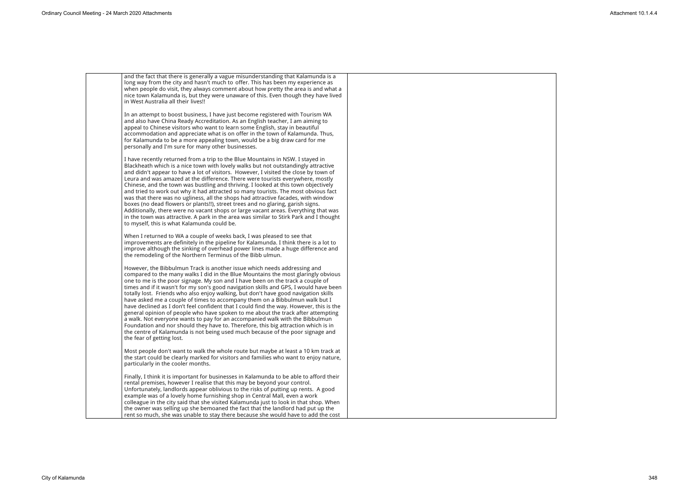

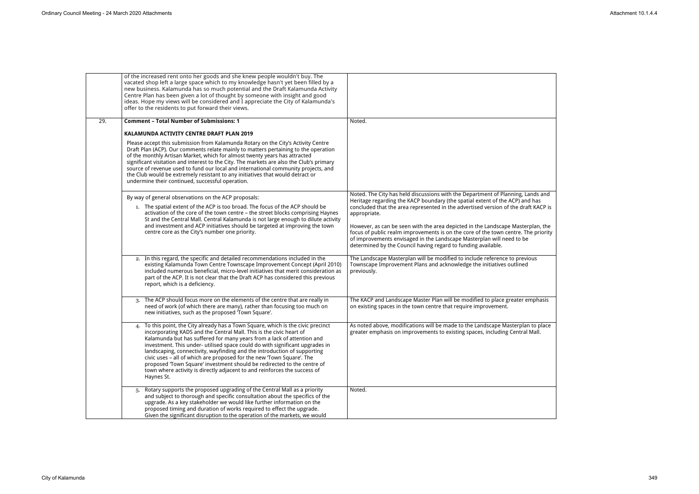|     | of the increased rent onto her goods and she knew people wouldn't buy. The<br>vacated shop left a large space which to my knowledge hasn't yet been filled by a<br>new business. Kalamunda has so much potential and the Draft Kalamunda Activity<br>Centre Plan has been given a lot of thought by someone with insight and good<br>ideas. Hope my views will be considered and I appreciate the City of Kalamunda's<br>offer to the residents to put forward their views.                                                                                                                                                                      |                                                                                                                                                                                                                                                                                                                 |
|-----|--------------------------------------------------------------------------------------------------------------------------------------------------------------------------------------------------------------------------------------------------------------------------------------------------------------------------------------------------------------------------------------------------------------------------------------------------------------------------------------------------------------------------------------------------------------------------------------------------------------------------------------------------|-----------------------------------------------------------------------------------------------------------------------------------------------------------------------------------------------------------------------------------------------------------------------------------------------------------------|
| 29. | <b>Comment - Total Number of Submissions: 1</b>                                                                                                                                                                                                                                                                                                                                                                                                                                                                                                                                                                                                  | Noted.                                                                                                                                                                                                                                                                                                          |
|     | KALAMUNDA ACTIVITY CENTRE DRAFT PLAN 2019                                                                                                                                                                                                                                                                                                                                                                                                                                                                                                                                                                                                        |                                                                                                                                                                                                                                                                                                                 |
|     | Please accept this submission from Kalamunda Rotary on the City's Activity Centre<br>Draft Plan (ACP). Our comments relate mainly to matters pertaining to the operation<br>of the monthly Artisan Market, which for almost twenty years has attracted<br>significant visitation and interest to the City. The markets are also the Club's primary<br>source of revenue used to fund our local and international community projects, and<br>the Club would be extremely resistant to any initiatives that would detract or<br>undermine their continued, successful operation.                                                                   |                                                                                                                                                                                                                                                                                                                 |
|     | By way of general observations on the ACP proposals:                                                                                                                                                                                                                                                                                                                                                                                                                                                                                                                                                                                             | Noted. The City has held discussions with the Department of Planning, Lands and                                                                                                                                                                                                                                 |
|     | 1. The spatial extent of the ACP is too broad. The focus of the ACP should be<br>activation of the core of the town centre - the street blocks comprising Haynes<br>St and the Central Mall. Central Kalamunda is not large enough to dilute activity                                                                                                                                                                                                                                                                                                                                                                                            | Heritage regarding the KACP boundary (the spatial extent of the ACP) and has<br>concluded that the area represented in the advertised version of the draft KACP is<br>appropriate.                                                                                                                              |
|     | and investment and ACP initiatives should be targeted at improving the town<br>centre core as the City's number one priority.                                                                                                                                                                                                                                                                                                                                                                                                                                                                                                                    | However, as can be seen with the area depicted in the Landscape Masterplan, the<br>focus of public realm improvements is on the core of the town centre. The priority<br>of improvements envisaged in the Landscape Masterplan will need to be<br>determined by the Council having regard to funding available. |
|     | 2. In this regard, the specific and detailed recommendations included in the<br>existing Kalamunda Town Centre Townscape Improvement Concept (April 2010)<br>included numerous beneficial, micro-level initiatives that merit consideration as<br>part of the ACP. It is not clear that the Draft ACP has considered this previous<br>report, which is a deficiency.                                                                                                                                                                                                                                                                             | The Landscape Masterplan will be modified to include reference to previous<br>Townscape Improvement Plans and acknowledge the initiatives outlined<br>previously.                                                                                                                                               |
|     | 3. The ACP should focus more on the elements of the centre that are really in<br>need of work (of which there are many), rather than focusing too much on<br>new initiatives, such as the proposed 'Town Square'.                                                                                                                                                                                                                                                                                                                                                                                                                                | The KACP and Landscape Master Plan will be modified to place greater emphasis<br>on existing spaces in the town centre that require improvement.                                                                                                                                                                |
|     | To this point, the City already has a Town Square, which is the civic precinct<br>4.<br>incorporating KADS and the Central Mall. This is the civic heart of<br>Kalamunda but has suffered for many years from a lack of attention and<br>investment. This under- utilised space could do with significant upgrades in<br>landscaping, connectivity, wayfinding and the introduction of supporting<br>civic uses - all of which are proposed for the new 'Town Square'. The<br>proposed 'Town Square' investment should be redirected to the centre of<br>town where activity is directly adjacent to and reinforces the success of<br>Haynes St. | As noted above, modifications will be made to the Landscape Masterplan to place<br>greater emphasis on improvements to existing spaces, including Central Mall.                                                                                                                                                 |
|     | Rotary supports the proposed upgrading of the Central Mall as a priority<br>and subject to thorough and specific consultation about the specifics of the<br>upgrade. As a key stakeholder we would like further information on the<br>proposed timing and duration of works required to effect the upgrade.<br>Given the significant disruption to the operation of the markets, we would                                                                                                                                                                                                                                                        | Noted.                                                                                                                                                                                                                                                                                                          |

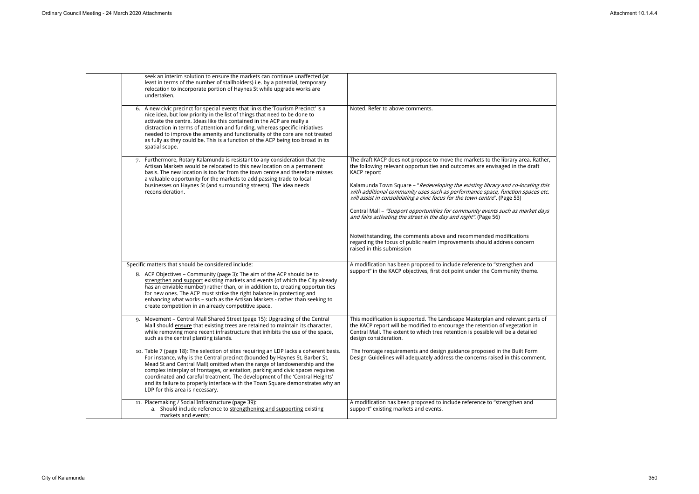| seek an interim solution to ensure the markets can continue unaffected (at<br>least in terms of the number of stallholders) i.e. by a potential, temporary<br>relocation to incorporate portion of Haynes St while upgrade works are<br>undertaken.                                                                                                                                                                                                                                                                                      |                                                                                                                                                                                                                                                                            |
|------------------------------------------------------------------------------------------------------------------------------------------------------------------------------------------------------------------------------------------------------------------------------------------------------------------------------------------------------------------------------------------------------------------------------------------------------------------------------------------------------------------------------------------|----------------------------------------------------------------------------------------------------------------------------------------------------------------------------------------------------------------------------------------------------------------------------|
| 6. A new civic precinct for special events that links the 'Tourism Precinct' is a<br>nice idea, but low priority in the list of things that need to be done to<br>activate the centre. Ideas like this contained in the ACP are really a<br>distraction in terms of attention and funding, whereas specific initiatives<br>needed to improve the amenity and functionality of the core are not treated<br>as fully as they could be. This is a function of the ACP being too broad in its<br>spatial scope.                              | Noted. Refer to above comments.                                                                                                                                                                                                                                            |
| 7. Furthermore, Rotary Kalamunda is resistant to any consideration that the<br>Artisan Markets would be relocated to this new location on a permanent<br>basis. The new location is too far from the town centre and therefore misses                                                                                                                                                                                                                                                                                                    | The draft KACP does not propose to move the markets to the library area. Rather,<br>the following relevant opportunities and outcomes are envisaged in the draft<br><b>KACP</b> report:                                                                                    |
| a valuable opportunity for the markets to add passing trade to local<br>businesses on Haynes St (and surrounding streets). The idea needs<br>reconsideration.                                                                                                                                                                                                                                                                                                                                                                            | Kalamunda Town Square - "Redeveloping the existing library and co-locating this<br>with additional community uses such as performance space, function spaces etc.<br>will assist in consolidating a civic focus for the town centre". (Page 53)                            |
|                                                                                                                                                                                                                                                                                                                                                                                                                                                                                                                                          | Central Mall - "Support opportunities for community events such as market days<br>and fairs activating the street in the day and night". (Page 56)                                                                                                                         |
|                                                                                                                                                                                                                                                                                                                                                                                                                                                                                                                                          | Notwithstanding, the comments above and recommended modifications<br>regarding the focus of public realm improvements should address concern<br>raised in this submission                                                                                                  |
| Specific matters that should be considered include:<br>8. ACP Objectives - Community (page 3): The aim of the ACP should be to<br>strengthen and support existing markets and events (of which the City already<br>has an enviable number) rather than, or in addition to, creating opportunities<br>for new ones. The ACP must strike the right balance in protecting and<br>enhancing what works - such as the Artisan Markets - rather than seeking to<br>create competition in an already competitive space.                         | A modification has been proposed to include reference to "strengthen and<br>support" in the KACP objectives, first dot point under the Community theme.                                                                                                                    |
| Movement - Central Mall Shared Street (page 15): Upgrading of the Central<br>9.<br>Mall should ensure that existing trees are retained to maintain its character,<br>while removing more recent infrastructure that inhibits the use of the space,<br>such as the central planting islands.                                                                                                                                                                                                                                              | This modification is supported. The Landscape Masterplan and relevant parts of<br>the KACP report will be modified to encourage the retention of vegetation in<br>Central Mall. The extent to which tree retention is possible will be a detailed<br>design consideration. |
| 10. Table 7 (page 18): The selection of sites requiring an LDP lacks a coherent basis.<br>For instance, why is the Central precinct (bounded by Haynes St, Barber St,<br>Mead St and Central Mall) omitted when the range of landownership and the<br>complex interplay of frontages, orientation, parking and civic spaces requires<br>coordinated and careful treatment. The development of the 'Central Heights'<br>and its failure to properly interface with the Town Square demonstrates why an<br>LDP for this area is necessary. | The frontage requirements and design guidance proposed in the Built Form<br>Design Guidelines will adequately address the concerns raised in this comment.                                                                                                                 |
| 11. Placemaking / Social Infrastructure (page 39):<br>a. Should include reference to strengthening and supporting existing<br>markets and events;                                                                                                                                                                                                                                                                                                                                                                                        | A modification has been proposed to include reference to "strengthen and<br>support" existing markets and events.                                                                                                                                                          |

| a. Rather,<br>draft                      |  |
|------------------------------------------|--|
| ating this<br>paces etc.                 |  |
| rket days                                |  |
| S<br>ern                                 |  |
| nd<br>eme.                               |  |
|                                          |  |
| parts of<br>ว <sup>ั</sup> ท in<br>ailed |  |
| mment.                                   |  |
|                                          |  |
| nd                                       |  |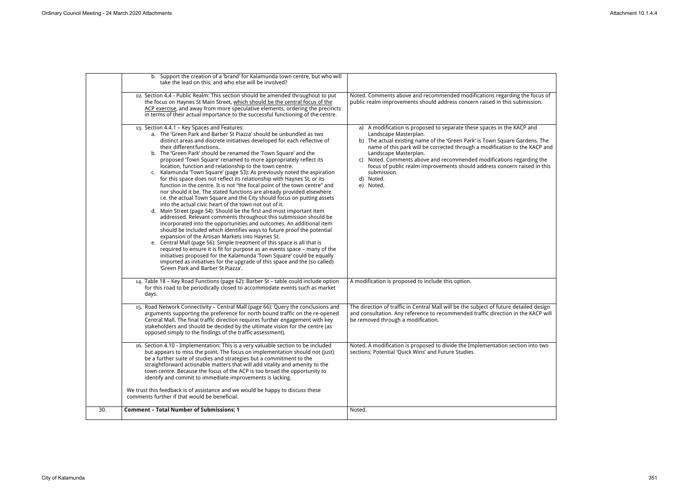|     | b. Support the creation of a 'brand' for Kalamunda town centre, but who will<br>take the lead on this, and who else will be involved?                                                                                                                                                                                                                                                                                                                                                                                                                                                                                                                                                                                                                                                                                                                                                                                                                                                                                                                                                                                                                                                                                                                                                                                                                                                                                                                                                                                                                                                       |                                                                                                                                                                                                                                                                                                                                                                                                                                                                                           |
|-----|---------------------------------------------------------------------------------------------------------------------------------------------------------------------------------------------------------------------------------------------------------------------------------------------------------------------------------------------------------------------------------------------------------------------------------------------------------------------------------------------------------------------------------------------------------------------------------------------------------------------------------------------------------------------------------------------------------------------------------------------------------------------------------------------------------------------------------------------------------------------------------------------------------------------------------------------------------------------------------------------------------------------------------------------------------------------------------------------------------------------------------------------------------------------------------------------------------------------------------------------------------------------------------------------------------------------------------------------------------------------------------------------------------------------------------------------------------------------------------------------------------------------------------------------------------------------------------------------|-------------------------------------------------------------------------------------------------------------------------------------------------------------------------------------------------------------------------------------------------------------------------------------------------------------------------------------------------------------------------------------------------------------------------------------------------------------------------------------------|
|     | 12. Section 4.4 - Public Realm: This section should be amended throughout to put<br>the focus on Haynes St Main Street, which should be the central focus of the<br>ACP exercise, and away from more speculative elements, ordering the precincts<br>in terms of their actual importance to the successful functioning of the centre.                                                                                                                                                                                                                                                                                                                                                                                                                                                                                                                                                                                                                                                                                                                                                                                                                                                                                                                                                                                                                                                                                                                                                                                                                                                       | Noted. Comments above and recommended modifications regarding the focus of<br>public realm improvements should address concern raised in this submission.                                                                                                                                                                                                                                                                                                                                 |
|     | 13. Section 4.4.1 - Key Spaces and Features:<br>a. The 'Green Park and Barber St Piazza' should be unbundled as two<br>distinct areas and discrete initiatives developed for each reflective of<br>their different functions.<br>b. The 'Green Park' should be renamed the 'Town Square' and the<br>proposed 'Town Square' renamed to more appropriately reflect its<br>location, function and relationship to the town centre.<br>c. Kalamunda 'Town Square' (page 53): As previously noted the aspiration<br>for this space does not reflect its relationship with Haynes St, or its<br>function in the centre. It is not "the focal point of the town centre" and<br>nor should it be. The stated functions are already provided elsewhere<br>i.e. the actual Town Square and the City should focus on putting assets<br>into the actual civic heart of the town not out of it.<br>d. Main Street (page 54): Should be the first and most important item<br>addressed. Relevant comments throughout this submission should be<br>incorporated into the opportunities and outcomes. An additional item<br>should be included which identifies ways to future proof the potential<br>expansion of the Artisan Markets into Haynes St.<br>e. Central Mall (page 56): Simple treatment of this space is all that is<br>required to ensure it is fit for purpose as an events space - many of the<br>initiatives proposed for the Kalamunda 'Town Square' could be equally<br>imported as initiatives for the upgrade of this space and the (so called)<br>'Green Park and Barber St Piazza'. | a) A modification is proposed to separate these spaces in the KACP and<br>Landscape Masterplan.<br>b) The actual existing name of the 'Green Park' is Town Square Gardens. The<br>name of this park will be corrected through a modification to the KACP and<br>Landscape Masterplan.<br>c) Noted. Comments above and recommended modifications regarding the<br>focus of public realm improvements should address concern raised in this<br>submission.<br>d).<br>Noted.<br>Noted.<br>e) |
|     | 14. Table 18 - Key Road Functions (page 62): Barber St - table could include option<br>for this road to be periodically closed to accommodate events such as market<br>days.                                                                                                                                                                                                                                                                                                                                                                                                                                                                                                                                                                                                                                                                                                                                                                                                                                                                                                                                                                                                                                                                                                                                                                                                                                                                                                                                                                                                                | A modification is proposed to include this option.                                                                                                                                                                                                                                                                                                                                                                                                                                        |
|     | 15. Road Network Connectivity - Central Mall (page 66): Query the conclusions and<br>arguments supporting the preference for north bound traffic on the re-opened<br>Central Mall. The final traffic direction requires further engagement with key<br>stakeholders and should be decided by the ultimate vision for the centre (as<br>opposed simply to the findings of the traffic assessment).                                                                                                                                                                                                                                                                                                                                                                                                                                                                                                                                                                                                                                                                                                                                                                                                                                                                                                                                                                                                                                                                                                                                                                                           | The direction of traffic in Central Mall will be the subject of future detailed design<br>and consultation. Any reference to recommended traffic direction in the KACP will<br>be removed through a modification.                                                                                                                                                                                                                                                                         |
|     | 16. Section 4.10 - Implementation: This is a very valuable section to be included<br>but appears to miss the point. The focus on implementation should not (just)<br>be a further suite of studies and strategies but a commitment to the<br>straightforward actionable matters that will add vitality and amenity to the<br>town centre. Because the focus of the ACP is too broad the opportunity to<br>identify and commit to immediate improvements is lacking.<br>We trust this feedback is of assistance and we would be happy to discuss these<br>comments further if that would be beneficial.                                                                                                                                                                                                                                                                                                                                                                                                                                                                                                                                                                                                                                                                                                                                                                                                                                                                                                                                                                                      | Noted. A modification is proposed to divide the Implementation section into two<br>sections; Potential 'Quick Wins' and Future Studies.                                                                                                                                                                                                                                                                                                                                                   |
| 30. | <b>Comment - Total Number of Submissions: 1</b>                                                                                                                                                                                                                                                                                                                                                                                                                                                                                                                                                                                                                                                                                                                                                                                                                                                                                                                                                                                                                                                                                                                                                                                                                                                                                                                                                                                                                                                                                                                                             | Noted.                                                                                                                                                                                                                                                                                                                                                                                                                                                                                    |
|     |                                                                                                                                                                                                                                                                                                                                                                                                                                                                                                                                                                                                                                                                                                                                                                                                                                                                                                                                                                                                                                                                                                                                                                                                                                                                                                                                                                                                                                                                                                                                                                                             |                                                                                                                                                                                                                                                                                                                                                                                                                                                                                           |

| e focus of<br>ission.                                               |
|---------------------------------------------------------------------|
| $\overline{and}$<br>lens. The<br>KACP and<br>ding the<br>ed in this |
|                                                                     |
| ed design<br><b>KACP will</b>                                       |
|                                                                     |
|                                                                     |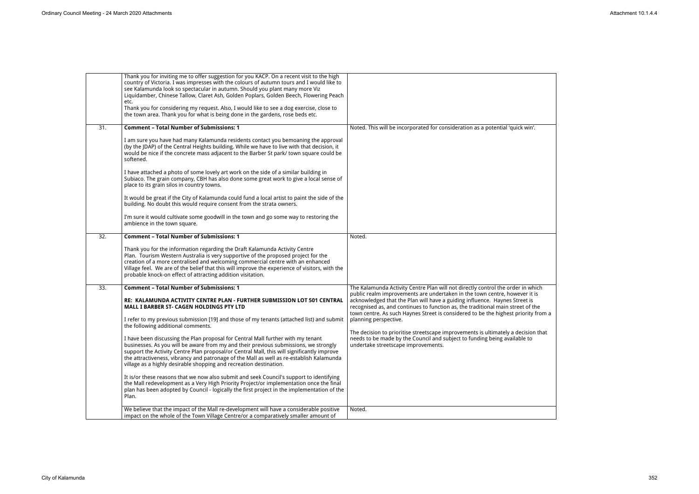|                  | Thank you for inviting me to offer suggestion for you KACP. On a recent visit to the high<br>country of Victoria. I was impresses with the colours of autumn tours and I would like to<br>see Kalamunda look so spectacular in autumn. Should you plant many more Viz<br>Liquidamber, Chinese Tallow, Claret Ash, Golden Poplars, Golden Beech, Flowering Peach<br>etc.<br>Thank you for considering my request. Also, I would like to see a dog exercise, close to<br>the town area. Thank you for what is being done in the gardens, rose beds etc.                                                                                                                                                                                                                                                                                                                                                                                                                                                                                                                                                                                                  |                                                                                                                                                                                                                                                                                                                                                                                                                                                                                                                                                                                                                                                    |
|------------------|--------------------------------------------------------------------------------------------------------------------------------------------------------------------------------------------------------------------------------------------------------------------------------------------------------------------------------------------------------------------------------------------------------------------------------------------------------------------------------------------------------------------------------------------------------------------------------------------------------------------------------------------------------------------------------------------------------------------------------------------------------------------------------------------------------------------------------------------------------------------------------------------------------------------------------------------------------------------------------------------------------------------------------------------------------------------------------------------------------------------------------------------------------|----------------------------------------------------------------------------------------------------------------------------------------------------------------------------------------------------------------------------------------------------------------------------------------------------------------------------------------------------------------------------------------------------------------------------------------------------------------------------------------------------------------------------------------------------------------------------------------------------------------------------------------------------|
| 31.              | <b>Comment - Total Number of Submissions: 1</b><br>I am sure you have had many Kalamunda residents contact you bemoaning the approval<br>(by the JDAP) of the Central Heights building. While we have to live with that decision, it<br>would be nice if the concrete mass adjacent to the Barber St park/ town square could be<br>softened.<br>I have attached a photo of some lovely art work on the side of a similar building in<br>Subiaco. The grain company, CBH has also done some great work to give a local sense of<br>place to its grain silos in country towns.<br>It would be great if the City of Kalamunda could fund a local artist to paint the side of the<br>building. No doubt this would require consent from the strata owners.<br>I'm sure it would cultivate some goodwill in the town and go some way to restoring the<br>ambience in the town square.                                                                                                                                                                                                                                                                       | Noted. This will be incorporated for consideration as a potential 'quick win'.                                                                                                                                                                                                                                                                                                                                                                                                                                                                                                                                                                     |
| $\overline{32.}$ | <b>Comment - Total Number of Submissions: 1</b><br>Thank you for the information regarding the Draft Kalamunda Activity Centre<br>Plan. Tourism Western Australia is very supportive of the proposed project for the<br>creation of a more centralised and welcoming commercial centre with an enhanced<br>Village feel. We are of the belief that this will improve the experience of visitors, with the<br>probable knock-on effect of attracting addition visitation.                                                                                                                                                                                                                                                                                                                                                                                                                                                                                                                                                                                                                                                                               | Noted.                                                                                                                                                                                                                                                                                                                                                                                                                                                                                                                                                                                                                                             |
| 33.              | <b>Comment - Total Number of Submissions: 1</b><br>RE: KALAMUNDA ACTIVITY CENTRE PLAN - FURTHER SUBMISSION LOT 501 CENTRAL<br><b>MALL I BARBER ST- CAGEN HOLDINGS PTY LTD</b><br>I refer to my previous submission [19] and those of my tenants (attached list) and submit<br>the following additional comments.<br>I have been discussing the Plan proposal for Central Mall further with my tenant<br>businesses. As you will be aware from my and their previous submissions, we strongly<br>support the Activity Centre Plan proposal/or Central Mall, this will significantly improve<br>the attractiveness, vibrancy and patronage of the Mall as well as re-establish Kalamunda<br>village as a highly desirable shopping and recreation destination.<br>It is/or these reasons that we now also submit and seek Council's support to identifying<br>the Mall redevelopment as a Very High Priority Project/or implementation once the final<br>plan has been adopted by Council - logically the first project in the implementation of the<br>Plan.<br>We believe that the impact of the Mall re-development will have a considerable positive | The Kalamunda Activity Centre Plan will not directly control the order in which<br>public realm improvements are undertaken in the town centre, however it is<br>acknowledged that the Plan will have a guiding influence. Haynes Street is<br>recognised as, and continues to function as, the traditional main street of the<br>town centre. As such Haynes Street is considered to be the highest priority fro<br>planning perspective.<br>The decision to prioritise streetscape improvements is ultimately a decision the<br>needs to be made by the Council and subject to funding being available to<br>undertake streetscape improvements. |
|                  | impact on the whole of the Town Village Centre/or a comparatively smaller amount of                                                                                                                                                                                                                                                                                                                                                                                                                                                                                                                                                                                                                                                                                                                                                                                                                                                                                                                                                                                                                                                                    | Noted.                                                                                                                                                                                                                                                                                                                                                                                                                                                                                                                                                                                                                                             |

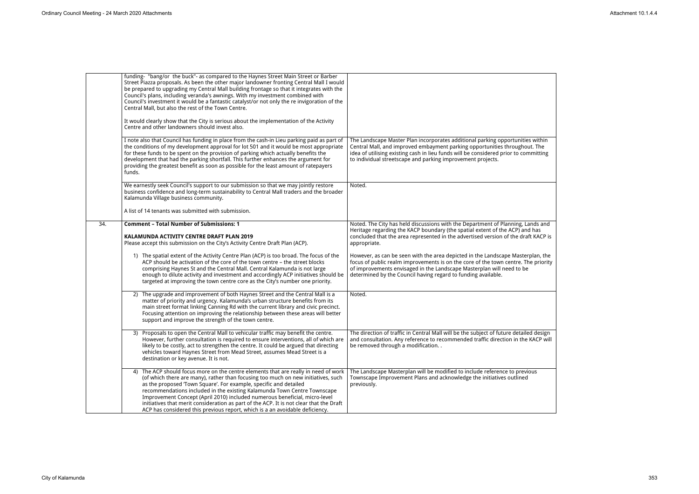|     | funding- "bang/or the buck"- as compared to the Haynes Street Main Street or Barber<br>Street Piazza proposals. As been the other major landowner fronting Central Mall I would<br>be prepared to upgrading my Central Mall building frontage so that it integrates with the<br>Council's plans, including veranda's awnings. With my investment combined with<br>Council's investment it would be a fantastic catalyst/or not only the re invigoration of the<br>Central Mall, but also the rest of the Town Centre.                                                              |                                                                                                                                                                                                                                                                                                                     |
|-----|------------------------------------------------------------------------------------------------------------------------------------------------------------------------------------------------------------------------------------------------------------------------------------------------------------------------------------------------------------------------------------------------------------------------------------------------------------------------------------------------------------------------------------------------------------------------------------|---------------------------------------------------------------------------------------------------------------------------------------------------------------------------------------------------------------------------------------------------------------------------------------------------------------------|
|     | It would clearly show that the City is serious about the implementation of the Activity<br>Centre and other landowners should invest also.                                                                                                                                                                                                                                                                                                                                                                                                                                         |                                                                                                                                                                                                                                                                                                                     |
|     | I note also that Council has funding in place from the cash-in Lieu parking paid as part of<br>the conditions of my development approval for lot 501 and it would be most appropriate<br>for these funds to be spent on the provision of parking which actually benefits the<br>development that had the parking shortfall. This further enhances the argument for<br>providing the greatest benefit as soon as possible for the least amount of ratepayers<br>funds.                                                                                                              | The Landscape Master Plan incorporates additional parking opportunities within<br>Central Mall, and improved embayment parking opportunities throughout. The<br>idea of utilising existing cash in lieu funds will be considered prior to committing<br>to individual streetscape and parking improvement projects. |
|     | We earnestly seek Council's support to our submission so that we may jointly restore<br>business confidence and long-term sustainability to Central Mall traders and the broader<br>Kalamunda Village business community.                                                                                                                                                                                                                                                                                                                                                          | Noted.                                                                                                                                                                                                                                                                                                              |
|     | A list of 14 tenants was submitted with submission.                                                                                                                                                                                                                                                                                                                                                                                                                                                                                                                                |                                                                                                                                                                                                                                                                                                                     |
| 34. | <b>Comment - Total Number of Submissions: 1</b><br>KALAMUNDA ACTIVITY CENTRE DRAFT PLAN 2019<br>Please accept this submission on the City's Activity Centre Draft Plan (ACP).                                                                                                                                                                                                                                                                                                                                                                                                      | Noted. The City has held discussions with the Department of Planning, Lands and<br>Heritage regarding the KACP boundary (the spatial extent of the ACP) and has<br>concluded that the area represented in the advertised version of the draft KACP is<br>appropriate.                                               |
|     | 1) The spatial extent of the Activity Centre Plan (ACP) is too broad. The focus of the<br>ACP should be activation of the core of the town centre - the street blocks<br>comprising Haynes St and the Central Mall. Central Kalamunda is not large<br>enough to dilute activity and investment and accordingly ACP initiatives should be<br>targeted at improving the town centre core as the City's number one priority.                                                                                                                                                          | However, as can be seen with the area depicted in the Landscape Masterplan, the<br>focus of public realm improvements is on the core of the town centre. The priority<br>of improvements envisaged in the Landscape Masterplan will need to be<br>determined by the Council having regard to funding available.     |
|     | 2) The upgrade and improvement of both Haynes Street and the Central Mall is a<br>matter of priority and urgency. Kalamunda's urban structure benefits from its<br>main street format linking Canning Rd with the current library and civic precinct.<br>Focusing attention on improving the relationship between these areas will better<br>support and improve the strength of the town centre.                                                                                                                                                                                  | Noted.                                                                                                                                                                                                                                                                                                              |
|     | 3) Proposals to open the Central Mall to vehicular traffic may benefit the centre.<br>However, further consultation is required to ensure interventions, all of which are<br>likely to be costly, act to strengthen the centre. It could be argued that directing<br>vehicles toward Haynes Street from Mead Street, assumes Mead Street is a<br>destination or key avenue. It is not.                                                                                                                                                                                             | The direction of traffic in Central Mall will be the subject of future detailed design<br>and consultation. Any reference to recommended traffic direction in the KACP will<br>be removed through a modification                                                                                                    |
|     | 4) The ACP should focus more on the centre elements that are really in need of work<br>(of which there are many), rather than focusing too much on new initiatives, such<br>as the proposed 'Town Square'. For example, specific and detailed<br>recommendations included in the existing Kalamunda Town Centre Townscape<br>Improvement Concept (April 2010) included numerous beneficial, micro-level<br>initiatives that merit consideration as part of the ACP. It is not clear that the Draft<br>ACP has considered this previous report, which is a an avoidable deficiency. | The Landscape Masterplan will be modified to include reference to previous<br>Townscape Improvement Plans and acknowledge the initiatives outlined<br>previously.                                                                                                                                                   |

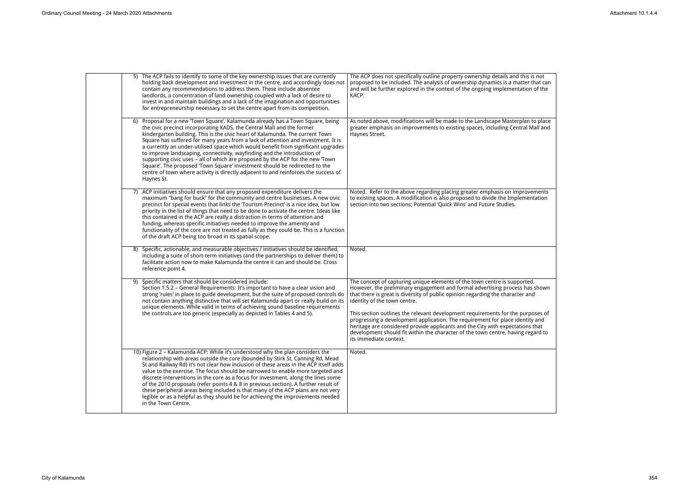| 5) The ACP fails to identify to some of the key ownership issues that are currently<br>holding back development and investment in the centre, and accordingly does not<br>contain any recommendations to address them. These include absentee<br>landlords, a concentration of land ownership coupled with a lack of desire to<br>invest in and maintain buildings and a lack of the imagination and opportunities<br>for entrepreneurship necessary to set the centre apart from its competition.                                                                                                                                                                                                                                                                    | The ACP does not specifically outline property ownership details and this is not<br>proposed to be included. The analysis of ownership dynamics is a matter that can<br>and will be further explored in the context of the ongoing implementation of the<br>KACP.                                                                                                                                                                                                                                                                                                                                                                               |
|-----------------------------------------------------------------------------------------------------------------------------------------------------------------------------------------------------------------------------------------------------------------------------------------------------------------------------------------------------------------------------------------------------------------------------------------------------------------------------------------------------------------------------------------------------------------------------------------------------------------------------------------------------------------------------------------------------------------------------------------------------------------------|-------------------------------------------------------------------------------------------------------------------------------------------------------------------------------------------------------------------------------------------------------------------------------------------------------------------------------------------------------------------------------------------------------------------------------------------------------------------------------------------------------------------------------------------------------------------------------------------------------------------------------------------------|
| 6) Proposal for a new 'Town Square'. Kalamunda already has a Town Square, being<br>the civic precinct incorporating KADS, the Central Mall and the former<br>kindergarten building. This is the civic heart of Kalamunda. The current Town<br>Square has suffered for many years from a lack of attention and investment. It is<br>a currently an under-utilised space which would benefit from significant upgrades<br>to improve landscaping, connectivity, wayfinding and the introduction of<br>supporting civic uses - all of which are proposed by the ACP for the new 'Town<br>Square'. The proposed 'Town Square' investment should be redirected to the<br>centre of town where activity is directly adjacent to and reinforces the success of<br>Haynes St. | As noted above, modifications will be made to the Landscape Masterplan to place<br>greater emphasis on improvements to existing spaces, including Central Mall and<br>Haynes Street.                                                                                                                                                                                                                                                                                                                                                                                                                                                            |
| 7) ACP initiatives should ensure that any proposed expenditure delivers the<br>maximum "bang for buck" for the community and centre businesses. A new civic<br>precinct for special events that links the 'Tourism Precinct' is a nice idea, but low<br>priority in the list of things that need to be done to activate the centre. Ideas like<br>this contained in the ACP are really a distraction in terms of attention and<br>funding, whereas specific initiatives needed to improve the amenity and<br>functionality of the core are not treated as fully as they could be. This is a function<br>of the draft ACP being too broad in its spatial scope.                                                                                                        | Noted. Refer to the above regarding placing greater emphasis on improvements<br>to existing spaces. A modification is also proposed to divide the Implementation<br>section into two sections; Potential 'Quick Wins' and Future Studies.                                                                                                                                                                                                                                                                                                                                                                                                       |
| Specific, actionable, and measurable objectives / initiatives should be identified,<br>8)<br>including a suite of short-term initiatives (and the partnerships to deliver them) to<br>facilitate action now to make Kalamunda the centre it can and should be. Cross<br>reference point 4.                                                                                                                                                                                                                                                                                                                                                                                                                                                                            | Noted.                                                                                                                                                                                                                                                                                                                                                                                                                                                                                                                                                                                                                                          |
| 9) Specific matters that should be considered include:<br>Section 1.5.2 - General Requirements: It's important to have a clear vision and<br>strong 'rules' in place to guide development, but the suite of proposed controls do<br>not contain anything distinctive that will set Kalamunda apart or really build on its<br>unique elements. While valid in terms of achieving sound baseline requirements<br>the controls are too generic (especially as depicted in Tables 4 and 5).                                                                                                                                                                                                                                                                               | The concept of capturing unique elements of the town centre is supported.<br>However, the preliminary engagement and formal advertising process has shown<br>that there is great is diversity of public opinion regarding the character and<br>identity of the town centre.<br>This section outlines the relevant development requirements for the purposes of<br>progressing a development application. The requirement for place identity and<br>heritage are considered provide applicants and the City with expectations that<br>development should fit within the character of the town centre, having regard to<br>its immediate context. |
| 10) Figure 2 - Kalamunda ACP: While it's understood why the plan considers the<br>relationship with areas outside the core (bounded by Stirk St, Canning Rd, Mead<br>St and Railway Rd) it's not clear how inclusion of these areas in the ACP itself adds<br>value to the exercise. The focus should be narrowed to enable more targeted and<br>discrete interventions in the core as a focus for investment, along the lines some<br>of the 2010 proposals (refer points 4 & 8 in previous section). A further result of<br>these peripheral areas being included is that many of the ACP plans are not very<br>legible or as a helpful as they should be for achieving the improvements needed<br>in the Town Centre.                                              | Noted.                                                                                                                                                                                                                                                                                                                                                                                                                                                                                                                                                                                                                                          |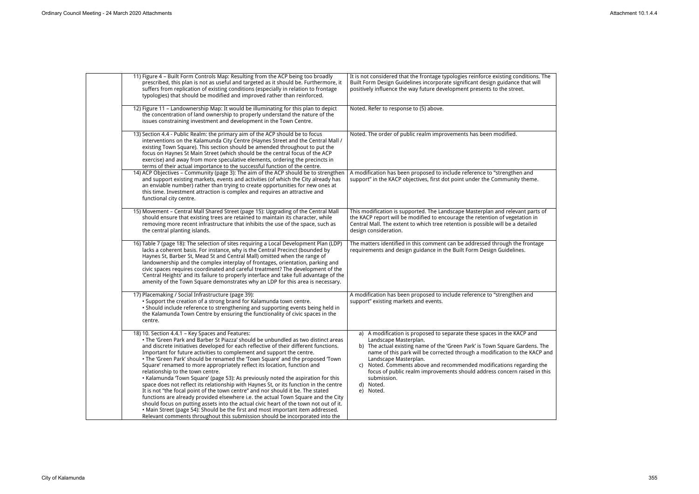| 11) Figure 4 - Built Form Controls Map: Resulting from the ACP being too broadly<br>prescribed, this plan is not as useful and targeted as it should be. Furthermore, it<br>suffers from replication of existing conditions (especially in relation to frontage<br>typologies) that should be modified and improved rather than reinforced.                                                                                                                                                                                                                                                                                                                                                                                                                                                                                                                                                                                                                                                                                                                                                                              | It is not considered that the frontage typologies reinforce existing conditions. The<br>Built Form Design Guidelines incorporate significant design guidance that will<br>positively influence the way future development presents to the street.                                                                                                                                                                                                                                  |
|--------------------------------------------------------------------------------------------------------------------------------------------------------------------------------------------------------------------------------------------------------------------------------------------------------------------------------------------------------------------------------------------------------------------------------------------------------------------------------------------------------------------------------------------------------------------------------------------------------------------------------------------------------------------------------------------------------------------------------------------------------------------------------------------------------------------------------------------------------------------------------------------------------------------------------------------------------------------------------------------------------------------------------------------------------------------------------------------------------------------------|------------------------------------------------------------------------------------------------------------------------------------------------------------------------------------------------------------------------------------------------------------------------------------------------------------------------------------------------------------------------------------------------------------------------------------------------------------------------------------|
| 12) Figure 11 - Landownership Map: It would be illuminating for this plan to depict<br>the concentration of land ownership to properly understand the nature of the<br>issues constraining investment and development in the Town Centre.                                                                                                                                                                                                                                                                                                                                                                                                                                                                                                                                                                                                                                                                                                                                                                                                                                                                                | Noted. Refer to response to (5) above.                                                                                                                                                                                                                                                                                                                                                                                                                                             |
| 13) Section 4.4 - Public Realm: the primary aim of the ACP should be to focus<br>interventions on the Kalamunda City Centre (Haynes Street and the Central Mall /<br>existing Town Square). This section should be amended throughout to put the<br>focus on Haynes St Main Street (which should be the central focus of the ACP<br>exercise) and away from more speculative elements, ordering the precincts in<br>terms of their actual importance to the successful function of the centre.                                                                                                                                                                                                                                                                                                                                                                                                                                                                                                                                                                                                                           | Noted. The order of public realm improvements has been modified.                                                                                                                                                                                                                                                                                                                                                                                                                   |
| 14) ACP Objectives - Community (page 3): The aim of the ACP should be to strengthen<br>and support existing markets, events and activities (of which the City already has<br>an enviable number) rather than trying to create opportunities for new ones at<br>this time. Investment attraction is complex and requires an attractive and<br>functional city centre.                                                                                                                                                                                                                                                                                                                                                                                                                                                                                                                                                                                                                                                                                                                                                     | A modification has been proposed to include reference to "strengthen and<br>support" in the KACP objectives, first dot point under the Community theme.                                                                                                                                                                                                                                                                                                                            |
| 15) Movement - Central Mall Shared Street (page 15): Upgrading of the Central Mall<br>should ensure that existing trees are retained to maintain its character, while<br>removing more recent infrastructure that inhibits the use of the space, such as<br>the central planting islands.                                                                                                                                                                                                                                                                                                                                                                                                                                                                                                                                                                                                                                                                                                                                                                                                                                | This modification is supported. The Landscape Masterplan and relevant parts of<br>the KACP report will be modified to encourage the retention of vegetation in<br>Central Mall. The extent to which tree retention is possible will be a detailed<br>design consideration.                                                                                                                                                                                                         |
| 16) Table 7 (page 18): The selection of sites requiring a Local Development Plan (LDP)<br>lacks a coherent basis. For instance, why is the Central Precinct (bounded by<br>Haynes St, Barber St, Mead St and Central Mall) omitted when the range of<br>landownership and the complex interplay of frontages, orientation, parking and<br>civic spaces requires coordinated and careful treatment? The development of the<br>'Central Heights' and its failure to properly interface and take full advantage of the<br>amenity of the Town Square demonstrates why an LDP for this area is necessary.                                                                                                                                                                                                                                                                                                                                                                                                                                                                                                                    | The matters identified in this comment can be addressed through the frontage<br>requirements and design guidance in the Built Form Design Guidelines.                                                                                                                                                                                                                                                                                                                              |
| 17) Placemaking / Social Infrastructure (page 39):<br>• Support the creation of a strong brand for Kalamunda town centre.<br>. Should include reference to strengthening and supporting events being held in<br>the Kalamunda Town Centre by ensuring the functionality of civic spaces in the<br>centre.                                                                                                                                                                                                                                                                                                                                                                                                                                                                                                                                                                                                                                                                                                                                                                                                                | A modification has been proposed to include reference to "strengthen and<br>support" existing markets and events.                                                                                                                                                                                                                                                                                                                                                                  |
| 18) 10. Section 4.4.1 - Key Spaces and Features:<br>. The 'Green Park and Barber St Piazza' should be unbundled as two distinct areas<br>and discrete initiatives developed for each reflective of their different functions.<br>Important for future activities to complement and support the centre.<br>. The 'Green Park' should be renamed the 'Town Square' and the proposed 'Town<br>Square' renamed to more appropriately reflect its location, function and<br>relationship to the town centre.<br>• Kalamunda 'Town Square' (page 53): As previously noted the aspiration for this<br>space does not reflect its relationship with Haynes St, or its function in the centre<br>It is not "the focal point of the town centre" and nor should it be. The stated<br>functions are already provided elsewhere i.e. the actual Town Square and the City<br>should focus on putting assets into the actual civic heart of the town not out of it.<br>• Main Street (page 54): Should be the first and most important item addressed.<br>Relevant comments throughout this submission should be incorporated into the | a) A modification is proposed to separate these spaces in the KACP and<br>Landscape Masterplan.<br>b) The actual existing name of the 'Green Park' is Town Square Gardens. The<br>name of this park will be corrected through a modification to the KACP and<br>Landscape Masterplan.<br>c) Noted. Comments above and recommended modifications regarding the<br>focus of public realm improvements should address concern raised in this<br>submission.<br>d) Noted.<br>e) Noted. |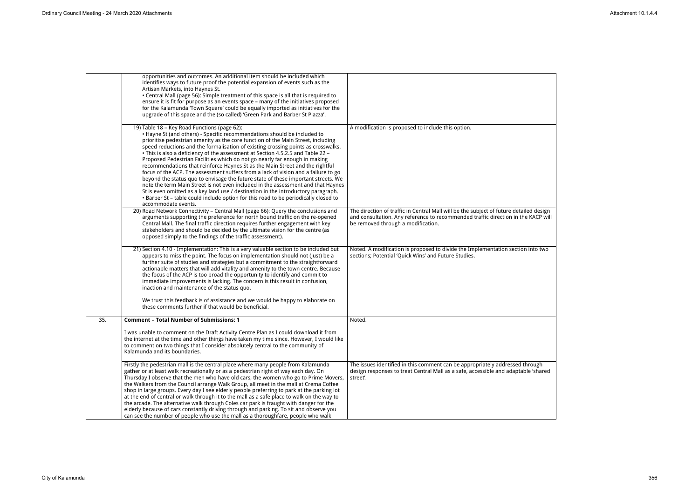|     | opportunities and outcomes. An additional item should be included which<br>identifies ways to future proof the potential expansion of events such as the<br>Artisan Markets, into Haynes St.<br>• Central Mall (page 56): Simple treatment of this space is all that is required to<br>ensure it is fit for purpose as an events space - many of the initiatives proposed<br>for the Kalamunda 'Town Square' could be equally imported as initiatives for the<br>upgrade of this space and the (so called) 'Green Park and Barber St Piazza'.                                                                                                                                                                                                                                                                                                                                                                                                                                                                        |                                                                                                                                                                                                                   |
|-----|----------------------------------------------------------------------------------------------------------------------------------------------------------------------------------------------------------------------------------------------------------------------------------------------------------------------------------------------------------------------------------------------------------------------------------------------------------------------------------------------------------------------------------------------------------------------------------------------------------------------------------------------------------------------------------------------------------------------------------------------------------------------------------------------------------------------------------------------------------------------------------------------------------------------------------------------------------------------------------------------------------------------|-------------------------------------------------------------------------------------------------------------------------------------------------------------------------------------------------------------------|
|     | 19) Table 18 - Key Road Functions (page 62):<br>. Hayne St (and others) - Specific recommendations should be included to<br>prioritise pedestrian amenity as the core function of the Main Street, including<br>speed reductions and the formalisation of existing crossing points as crosswalks.<br>• This is also a deficiency of the assessment at Section 4.5.2.5 and Table 22 -<br>Proposed Pedestrian Facilities which do not go nearly far enough in making<br>recommendations that reinforce Haynes St as the Main Street and the rightful<br>focus of the ACP. The assessment suffers from a lack of vision and a failure to go<br>beyond the status quo to envisage the future state of these important streets. We<br>note the term Main Street is not even included in the assessment and that Haynes<br>St is even omitted as a key land use / destination in the introductory paragraph.<br>. Barber St - table could include option for this road to be periodically closed to<br>accommodate events. | A modification is proposed to include this option.                                                                                                                                                                |
|     | 20) Road Network Connectivity - Central Mall (page 66): Query the conclusions and<br>arguments supporting the preference for north bound traffic on the re-opened<br>Central Mall. The final traffic direction requires further engagement with key<br>stakeholders and should be decided by the ultimate vision for the centre (as<br>opposed simply to the findings of the traffic assessment).                                                                                                                                                                                                                                                                                                                                                                                                                                                                                                                                                                                                                    | The direction of traffic in Central Mall will be the subject of future detailed design<br>and consultation. Any reference to recommended traffic direction in the KACP will<br>be removed through a modification. |
|     | 21) Section 4.10 - Implementation: This is a very valuable section to be included but<br>appears to miss the point. The focus on implementation should not (just) be a<br>further suite of studies and strategies but a commitment to the straightforward<br>actionable matters that will add vitality and amenity to the town centre. Because<br>the focus of the ACP is too broad the opportunity to identify and commit to<br>immediate improvements is lacking. The concern is this result in confusion,<br>inaction and maintenance of the status quo.<br>We trust this feedback is of assistance and we would be happy to elaborate on<br>these comments further if that would be beneficial.                                                                                                                                                                                                                                                                                                                  | Noted. A modification is proposed to divide the Implementation section into two<br>sections; Potential 'Quick Wins' and Future Studies.                                                                           |
| 35. | <b>Comment - Total Number of Submissions: 1</b>                                                                                                                                                                                                                                                                                                                                                                                                                                                                                                                                                                                                                                                                                                                                                                                                                                                                                                                                                                      | Noted.                                                                                                                                                                                                            |
|     | I was unable to comment on the Draft Activity Centre Plan as I could download it from<br>the internet at the time and other things have taken my time since. However, I would like<br>to comment on two things that I consider absolutely central to the community of<br>Kalamunda and its boundaries.                                                                                                                                                                                                                                                                                                                                                                                                                                                                                                                                                                                                                                                                                                               |                                                                                                                                                                                                                   |
|     | Firstly the pedestrian mall is the central place where many people from Kalamunda<br>gather or at least walk recreationally or as a pedestrian right of way each day. On<br>Thursday I observe that the men who have old cars, the women who go to Prime Movers,<br>the Walkers from the Council arrange Walk Group, all meet in the mall at Crema Coffee<br>shop in large groups. Every day I see elderly people preferring to park at the parking lot<br>at the end of central or walk through it to the mall as a safe place to walk on the way to<br>the arcade. The alternative walk through Coles car park is fraught with danger for the<br>elderly because of cars constantly driving through and parking. To sit and observe you<br>can see the number of people who use the mall as a thoroughfare, people who walk                                                                                                                                                                                        | The issues identified in this comment can be appropriately addressed through<br>design responses to treat Central Mall as a safe, accessible and adaptable 'shared<br>street'.                                    |
|     |                                                                                                                                                                                                                                                                                                                                                                                                                                                                                                                                                                                                                                                                                                                                                                                                                                                                                                                                                                                                                      |                                                                                                                                                                                                                   |

| iled design<br>ne KACP will |  |
|-----------------------------|--|
| n into two                  |  |
|                             |  |
| through                     |  |
| ble 'shared                 |  |

 $\overline{\phantom{a}}$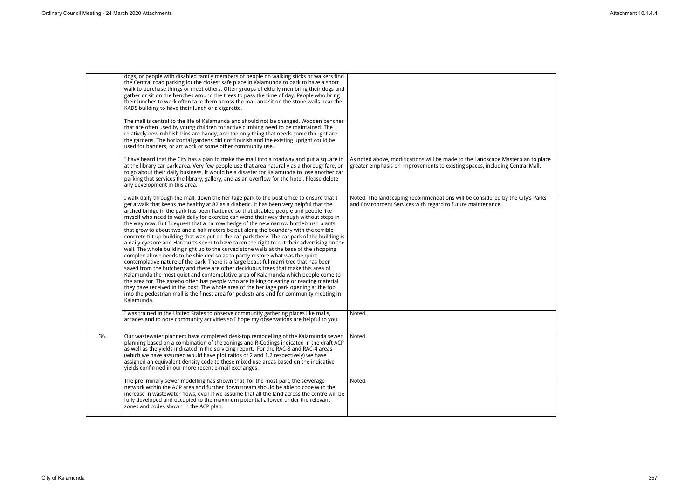|     | dogs, or people with disabled family members of people on walking sticks or walkers find<br>the Central road parking lot the closest safe place in Kalamunda to park to have a short<br>walk to purchase things or meet others. Often groups of elderly men bring their dogs and<br>gather or sit on the benches around the trees to pass the time of day. People who bring<br>their lunches to work often take them across the mall and sit on the stone walls near the<br>KADS building to have their lunch or a cigarette.<br>The mall is central to the life of Kalamunda and should not be changed. Wooden benches<br>that are often used by young children for active climbing need to be maintained. The                                                                                                                                                                                                                                                                                                                                                                                                                                                                                                                                                                                                                                                                                                                                                                                     |                                                                                                                                                                 |
|-----|-----------------------------------------------------------------------------------------------------------------------------------------------------------------------------------------------------------------------------------------------------------------------------------------------------------------------------------------------------------------------------------------------------------------------------------------------------------------------------------------------------------------------------------------------------------------------------------------------------------------------------------------------------------------------------------------------------------------------------------------------------------------------------------------------------------------------------------------------------------------------------------------------------------------------------------------------------------------------------------------------------------------------------------------------------------------------------------------------------------------------------------------------------------------------------------------------------------------------------------------------------------------------------------------------------------------------------------------------------------------------------------------------------------------------------------------------------------------------------------------------------|-----------------------------------------------------------------------------------------------------------------------------------------------------------------|
|     | relatively new rubbish bins are handy, and the only thing that needs some thought are<br>the gardens, The horizontal gardens did not flourish and the existing upright could be<br>used for banners, or art work or some other community use.                                                                                                                                                                                                                                                                                                                                                                                                                                                                                                                                                                                                                                                                                                                                                                                                                                                                                                                                                                                                                                                                                                                                                                                                                                                       |                                                                                                                                                                 |
|     | I have heard that the City has a plan to make the mall into a roadway and put a square in<br>at the library car park area. Very few people use that area naturally as a thoroughfare, or<br>to go about their daily business, It would be a disaster for Kalamunda to lose another car<br>parking that services the library, gallery, and as an overflow for the hotel. Please delete<br>any development in this area.                                                                                                                                                                                                                                                                                                                                                                                                                                                                                                                                                                                                                                                                                                                                                                                                                                                                                                                                                                                                                                                                              | As noted above, modifications will be made to the Landscape Masterplan to place<br>greater emphasis on improvements to existing spaces, including Central Mall. |
|     | I walk daily through the mall, down the heritage park to the post office to ensure that I<br>get a walk that keeps me healthy at 82 as a diabetic. It has been very helpful that the<br>arched bridge in the park has been flattened so that disabled people and people like<br>myself who need to walk daily for exercise can wend their way through without steps in<br>the way now. But I request that a narrow hedge of the new narrow bottlebrush plants<br>that grow to about two and a half meters be put along the boundary with the terrible<br>concrete tilt up building that was put on the car park there. The car park of the building is<br>a daily eyesore and Harcourts seem to have taken the right to put their advertising on the<br>wall. The whole building right up to the curved stone walls at the base of the shopping<br>complex above needs to be shielded so as to partly restore what was the quiet<br>contemplative nature of the park. There is a large beautiful marri tree that has been<br>saved from the butchery and there are other deciduous trees that make this area of<br>Kalamunda the most quiet and contemplative area of Kalamunda which people come to<br>the area for. The gazebo often has people who are talking or eating or reading material<br>they have received in the post. The whole area of the heritage park opening at the top<br>into the pedestrian mall is the finest area for pedestrians and for community meeting in<br>Kalamunda. | Noted. The landscaping recommendations will be considered by the City's Parks<br>and Environment Services with regard to future maintenance.                    |
|     | I was trained in the United States to observe community gathering places like malls,<br>arcades and to note community activities so I hope my observations are helpful to you.                                                                                                                                                                                                                                                                                                                                                                                                                                                                                                                                                                                                                                                                                                                                                                                                                                                                                                                                                                                                                                                                                                                                                                                                                                                                                                                      | Noted.                                                                                                                                                          |
| 36. | Our wastewater planners have completed desk-top remodelling of the Kalamunda sewer<br>planning based on a combination of the zonings and R-Codings indicated in the draft ACP<br>as well as the yields indicated in the servicing report. For the RAC-3 and RAC-4 areas<br>(which we have assumed would have plot ratios of 2 and 1.2 respectively) we have<br>assigned an equivalent density code to these mixed use areas based on the indicative<br>yields confirmed in our more recent e-mail exchanges.                                                                                                                                                                                                                                                                                                                                                                                                                                                                                                                                                                                                                                                                                                                                                                                                                                                                                                                                                                                        | Noted.                                                                                                                                                          |
|     | The preliminary sewer modelling has shown that, for the most part, the sewerage<br>network within the ACP area and further downstream should be able to cope with the<br>increase in wastewater flows, even if we assume that all the land across the centre will be<br>fully developed and occupied to the maximum potential allowed under the relevant<br>zones and codes shown in the ACP plan.                                                                                                                                                                                                                                                                                                                                                                                                                                                                                                                                                                                                                                                                                                                                                                                                                                                                                                                                                                                                                                                                                                  | Noted.                                                                                                                                                          |

| n to place<br>Mall. |
|---------------------|
|                     |
| Parks<br>'s         |
|                     |
|                     |
|                     |
|                     |
|                     |
|                     |
|                     |